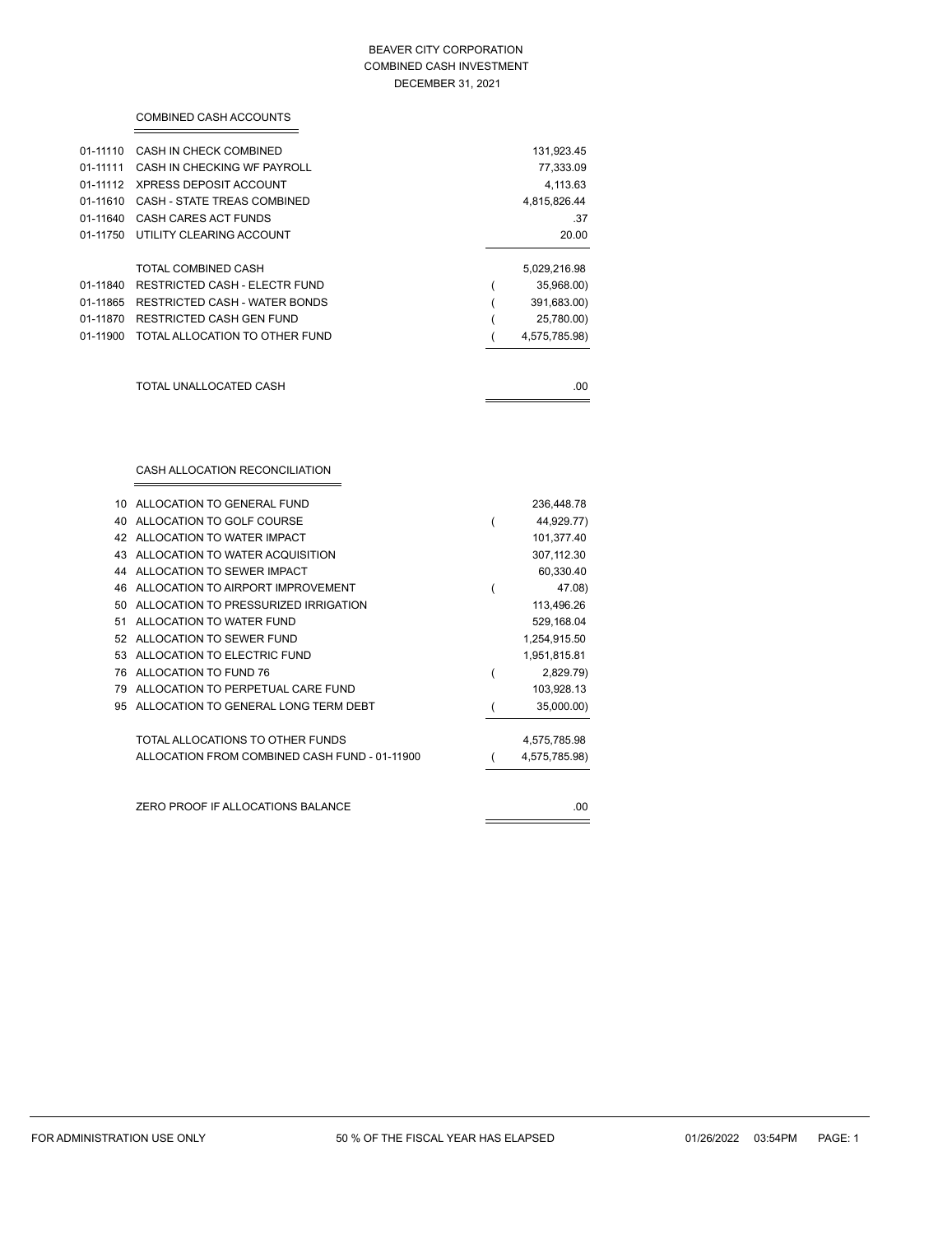#### BEAVER CITY CORPORATION COMBINED CASH INVESTMENT DECEMBER 31, 2021

|          | <b>COMBINED CASH ACCOUNTS</b>        |                 |
|----------|--------------------------------------|-----------------|
| 01-11110 | CASH IN CHECK COMBINED               | 131,923.45      |
| 01-11111 | CASH IN CHECKING WF PAYROLL          | 77,333.09       |
| 01-11112 | XPRESS DEPOSIT ACCOUNT               | 4,113.63        |
| 01-11610 | <b>CASH - STATE TREAS COMBINED</b>   | 4,815,826.44    |
| 01-11640 | CASH CARES ACT FUNDS                 | .37             |
| 01-11750 | UTILITY CLEARING ACCOUNT             | 20.00           |
|          | <b>TOTAL COMBINED CASH</b>           | 5,029,216.98    |
| 01-11840 | <b>RESTRICTED CASH - ELECTR FUND</b> | 35,968.00)<br>1 |
| 01-11865 | RESTRICTED CASH - WATER BONDS        | 391,683.00)     |
| 01-11870 | RESTRICTED CASH GEN FUND             | 25,780.00)      |
| 01-11900 | TOTAL ALLOCATION TO OTHER FUND       | 4,575,785.98)   |
|          | TOTAL UNALLOCATED CASH               | .00             |
|          | CASH ALLOCATION RECONCILIATION       |                 |
| 10       | ALLOCATION TO GENERAL FUND           | 236,448.78      |
| 40       | ALLOCATION TO GOLF COURSE            | 44,929.77)<br>( |
| 42       | ALLOCATION TO WATER IMPACT           | 101,377.40      |
| 43       | ALLOCATION TO WATER ACQUISITION      | 307,112.30      |
|          | 44 ALLOCATION TO SEWER IMPACT        | 60,330.40       |

|    | 76 ALLOCATION TO FUND 76                      | 2,829.79)     |
|----|-----------------------------------------------|---------------|
| 79 | ALLOCATION TO PERPETUAL CARE FUND             | 103,928.13    |
| 95 | ALLOCATION TO GENERAL LONG TERM DEBT          | 35,000.00)    |
|    | TOTAL ALLOCATIONS TO OTHER FUNDS              | 4,575,785.98  |
|    | ALLOCATION FROM COMBINED CASH FUND - 01-11900 | 4,575,785.98) |
|    |                                               |               |
|    | ZERO PROOF IF ALLOCATIONS BALANCE             | .00           |

46 ALLOCATION TO AIRPORT IMPROVEMENT (1992) 47.08) 50 ALLOCATION TO PRESSURIZED IRRIGATION 113,496.26 51 ALLOCATION TO WATER FUND 529,168.04 52 ALLOCATION TO SEWER FUND 1,254,915.50 53 ALLOCATION TO ELECTRIC FUND 1,951,815.81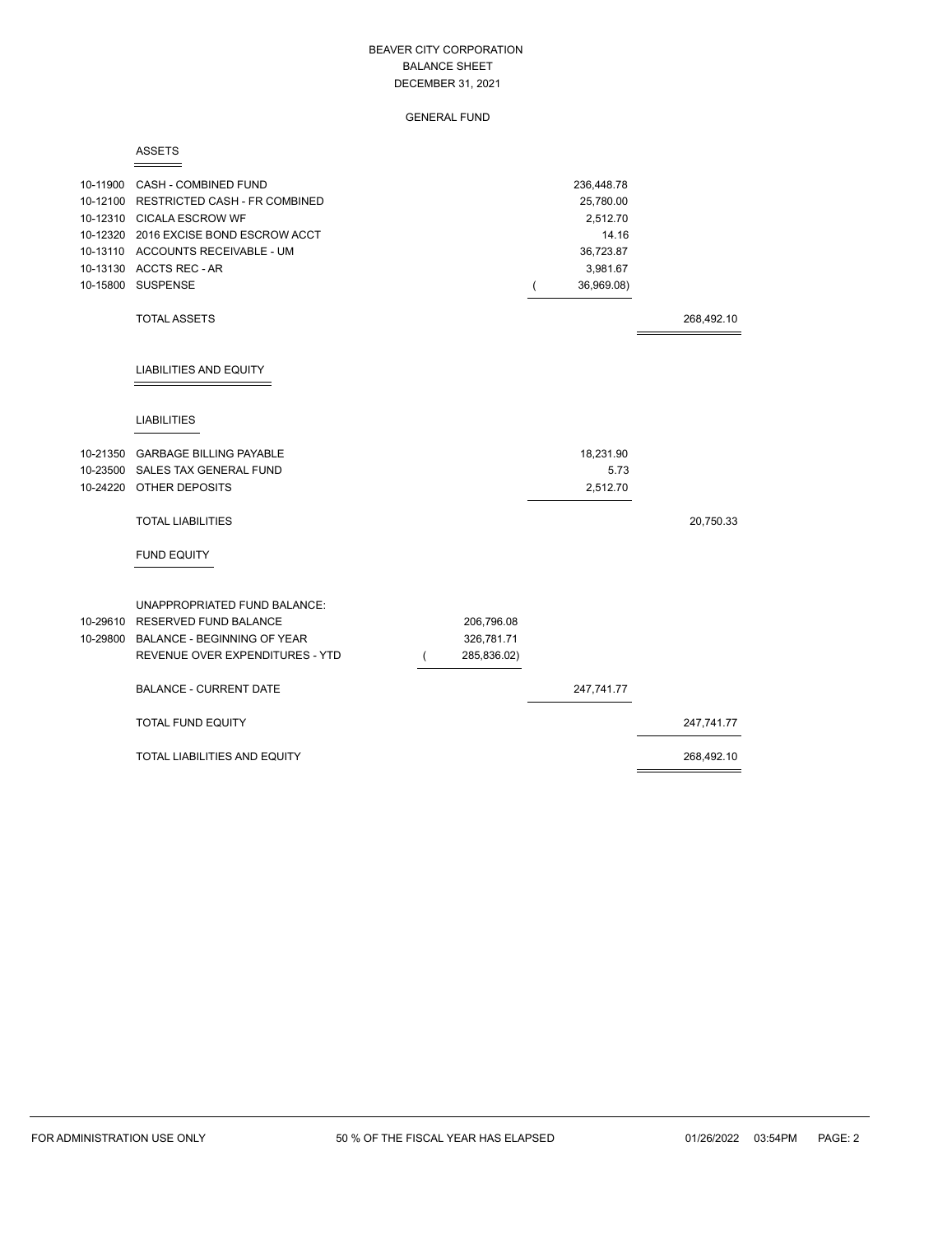GENERAL FUND

#### ASSETS

| 10-11900 CASH - COMBINED FUND<br>10-12100 RESTRICTED CASH - FR COMBINED<br>10-12310 CICALA ESCROW WF<br>10-12320 2016 EXCISE BOND ESCROW ACCT<br>10-13110 ACCOUNTS RECEIVABLE - UM<br>10-13130 ACCTS REC - AR<br>10-15800 SUSPENSE |             | 236,448.78<br>25,780.00<br>2,512.70<br>14.16<br>36,723.87<br>3,981.67<br>36,969.08) |            |
|------------------------------------------------------------------------------------------------------------------------------------------------------------------------------------------------------------------------------------|-------------|-------------------------------------------------------------------------------------|------------|
| <b>TOTAL ASSETS</b>                                                                                                                                                                                                                |             |                                                                                     | 268,492.10 |
| LIABILITIES AND EQUITY                                                                                                                                                                                                             |             |                                                                                     |            |
| <b>LIABILITIES</b>                                                                                                                                                                                                                 |             |                                                                                     |            |
| 10-21350 GARBAGE BILLING PAYABLE                                                                                                                                                                                                   |             | 18,231.90                                                                           |            |
| 10-23500 SALES TAX GENERAL FUND                                                                                                                                                                                                    |             | 5.73                                                                                |            |
| 10-24220 OTHER DEPOSITS                                                                                                                                                                                                            |             | 2,512.70                                                                            |            |
| <b>TOTAL LIABILITIES</b>                                                                                                                                                                                                           |             |                                                                                     | 20,750.33  |
| <b>FUND EQUITY</b>                                                                                                                                                                                                                 |             |                                                                                     |            |
| UNAPPROPRIATED FUND BALANCE:                                                                                                                                                                                                       |             |                                                                                     |            |
| 10-29610 RESERVED FUND BALANCE                                                                                                                                                                                                     | 206,796.08  |                                                                                     |            |
| 10-29800 BALANCE - BEGINNING OF YEAR                                                                                                                                                                                               | 326,781.71  |                                                                                     |            |
| REVENUE OVER EXPENDITURES - YTD                                                                                                                                                                                                    | 285,836.02) |                                                                                     |            |
| <b>BALANCE - CURRENT DATE</b>                                                                                                                                                                                                      |             | 247,741.77                                                                          |            |
| TOTAL FUND EQUITY                                                                                                                                                                                                                  |             |                                                                                     | 247,741.77 |
| TOTAL LIABILITIES AND EQUITY                                                                                                                                                                                                       |             |                                                                                     | 268,492.10 |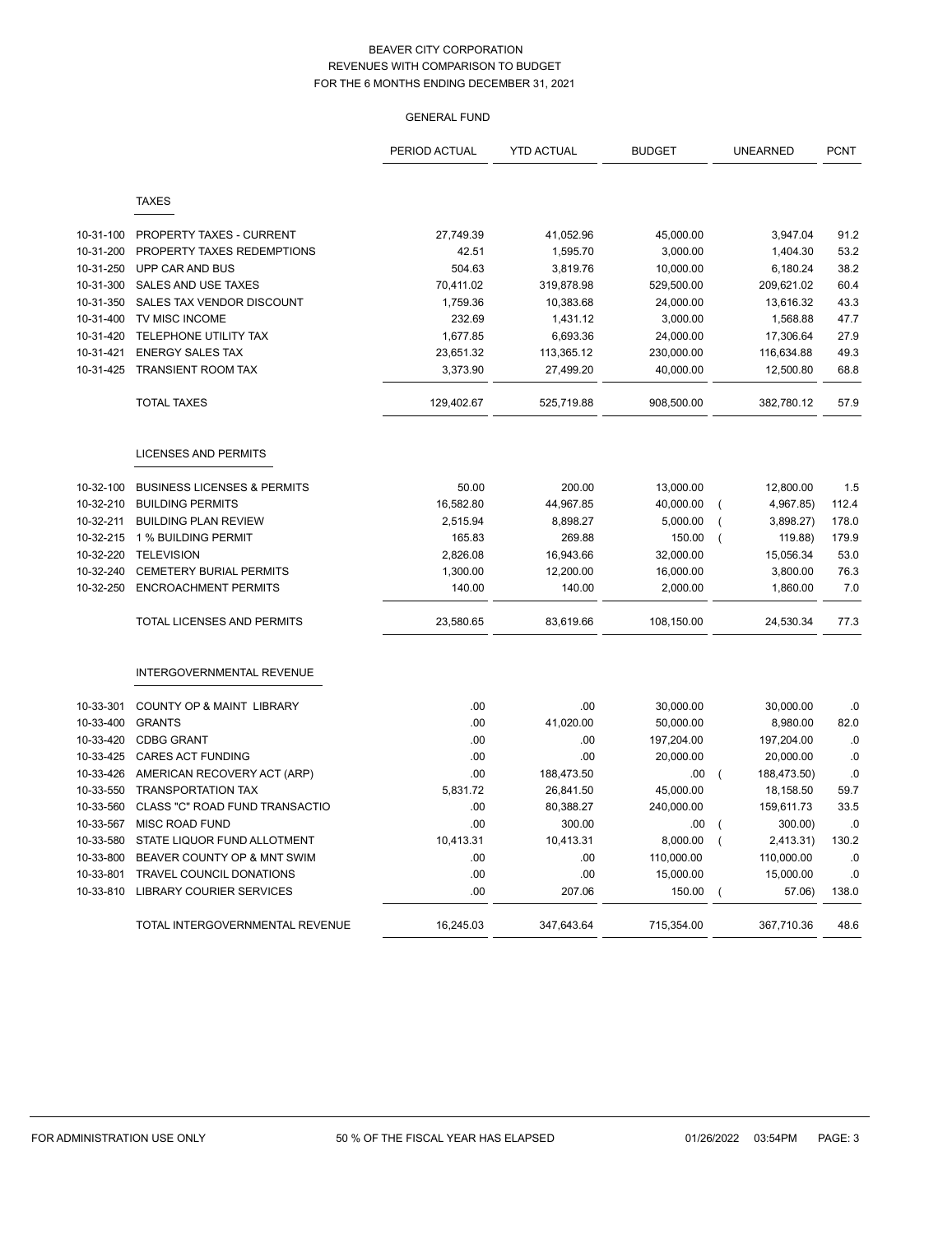# GENERAL FUND

|           |                                        | PERIOD ACTUAL | <b>YTD ACTUAL</b> | <b>BUDGET</b> | <b>UNEARNED</b>               | <b>PCNT</b> |
|-----------|----------------------------------------|---------------|-------------------|---------------|-------------------------------|-------------|
|           |                                        |               |                   |               |                               |             |
|           | <b>TAXES</b>                           |               |                   |               |                               |             |
| 10-31-100 | PROPERTY TAXES - CURRENT               | 27,749.39     | 41,052.96         | 45,000.00     | 3,947.04                      | 91.2        |
| 10-31-200 | PROPERTY TAXES REDEMPTIONS             | 42.51         | 1,595.70          | 3,000.00      | 1,404.30                      | 53.2        |
| 10-31-250 | UPP CAR AND BUS                        | 504.63        | 3,819.76          | 10,000.00     | 6,180.24                      | 38.2        |
| 10-31-300 | <b>SALES AND USE TAXES</b>             | 70,411.02     | 319,878.98        | 529,500.00    | 209,621.02                    | 60.4        |
| 10-31-350 | SALES TAX VENDOR DISCOUNT              | 1,759.36      | 10,383.68         | 24,000.00     | 13,616.32                     | 43.3        |
| 10-31-400 | TV MISC INCOME                         | 232.69        | 1,431.12          | 3,000.00      | 1,568.88                      | 47.7        |
| 10-31-420 | TELEPHONE UTILITY TAX                  | 1,677.85      | 6,693.36          | 24,000.00     | 17,306.64                     | 27.9        |
| 10-31-421 | <b>ENERGY SALES TAX</b>                | 23,651.32     | 113,365.12        | 230,000.00    | 116,634.88                    | 49.3        |
| 10-31-425 | <b>TRANSIENT ROOM TAX</b>              | 3,373.90      | 27,499.20         | 40,000.00     | 12,500.80                     | 68.8        |
|           | <b>TOTAL TAXES</b>                     | 129,402.67    | 525,719.88        | 908,500.00    | 382,780.12                    | 57.9        |
|           | <b>LICENSES AND PERMITS</b>            |               |                   |               |                               |             |
| 10-32-100 | <b>BUSINESS LICENSES &amp; PERMITS</b> | 50.00         | 200.00            | 13,000.00     | 12,800.00                     | 1.5         |
| 10-32-210 | <b>BUILDING PERMITS</b>                | 16,582.80     | 44,967.85         | 40,000.00     | 4,967.85)<br>$\overline{ }$   | 112.4       |
| 10-32-211 | <b>BUILDING PLAN REVIEW</b>            | 2,515.94      | 8,898.27          | 5,000.00      | 3,898.27)                     | 178.0       |
| 10-32-215 | 1 % BUILDING PERMIT                    | 165.83        | 269.88            | 150.00        | 119.88)<br>$\overline{ }$     | 179.9       |
| 10-32-220 | <b>TELEVISION</b>                      | 2,826.08      | 16,943.66         | 32,000.00     | 15,056.34                     | 53.0        |
| 10-32-240 | <b>CEMETERY BURIAL PERMITS</b>         | 1,300.00      | 12,200.00         | 16,000.00     | 3,800.00                      | 76.3        |
| 10-32-250 | <b>ENCROACHMENT PERMITS</b>            | 140.00        | 140.00            | 2,000.00      | 1,860.00                      | 7.0         |
|           | TOTAL LICENSES AND PERMITS             | 23,580.65     | 83,619.66         | 108,150.00    | 24,530.34                     | 77.3        |
|           | INTERGOVERNMENTAL REVENUE              |               |                   |               |                               |             |
| 10-33-301 | COUNTY OP & MAINT LIBRARY              | .00           | .00               | 30,000.00     | 30,000.00                     | .0          |
| 10-33-400 | <b>GRANTS</b>                          | .00           | 41,020.00         | 50,000.00     | 8,980.00                      | 82.0        |
| 10-33-420 | <b>CDBG GRANT</b>                      | .00           | .00               | 197,204.00    | 197,204.00                    | 0.0         |
| 10-33-425 | <b>CARES ACT FUNDING</b>               | .00           | .00               | 20,000.00     | 20,000.00                     | .0          |
| 10-33-426 | AMERICAN RECOVERY ACT (ARP)            | .00           | 188,473.50        | .00           | 188,473.50)<br>$\overline{ }$ | .0          |
| 10-33-550 | <b>TRANSPORTATION TAX</b>              | 5,831.72      | 26,841.50         | 45,000.00     | 18,158.50                     | 59.7        |
| 10-33-560 | CLASS "C" ROAD FUND TRANSACTIO         | .00           | 80,388.27         | 240,000.00    | 159,611.73                    | 33.5        |
| 10-33-567 | <b>MISC ROAD FUND</b>                  | .00           | 300.00            | .00           | 300.00)<br>$\overline{ }$     | .0          |
| 10-33-580 | STATE LIQUOR FUND ALLOTMENT            | 10,413.31     | 10,413.31         | 8,000.00      | 2,413.31)                     | 130.2       |
| 10-33-800 | BEAVER COUNTY OP & MNT SWIM            | .00           | .00               | 110,000.00    | 110,000.00                    | .0          |
| 10-33-801 | TRAVEL COUNCIL DONATIONS               | .00           | .00               | 15,000.00     | 15,000.00                     | .0          |
| 10-33-810 | <b>LIBRARY COURIER SERVICES</b>        | .00           | 207.06            | 150.00        | 57.06)                        | 138.0       |
|           | TOTAL INTERGOVERNMENTAL REVENUE        | 16,245.03     | 347,643.64        | 715,354.00    | 367,710.36                    | 48.6        |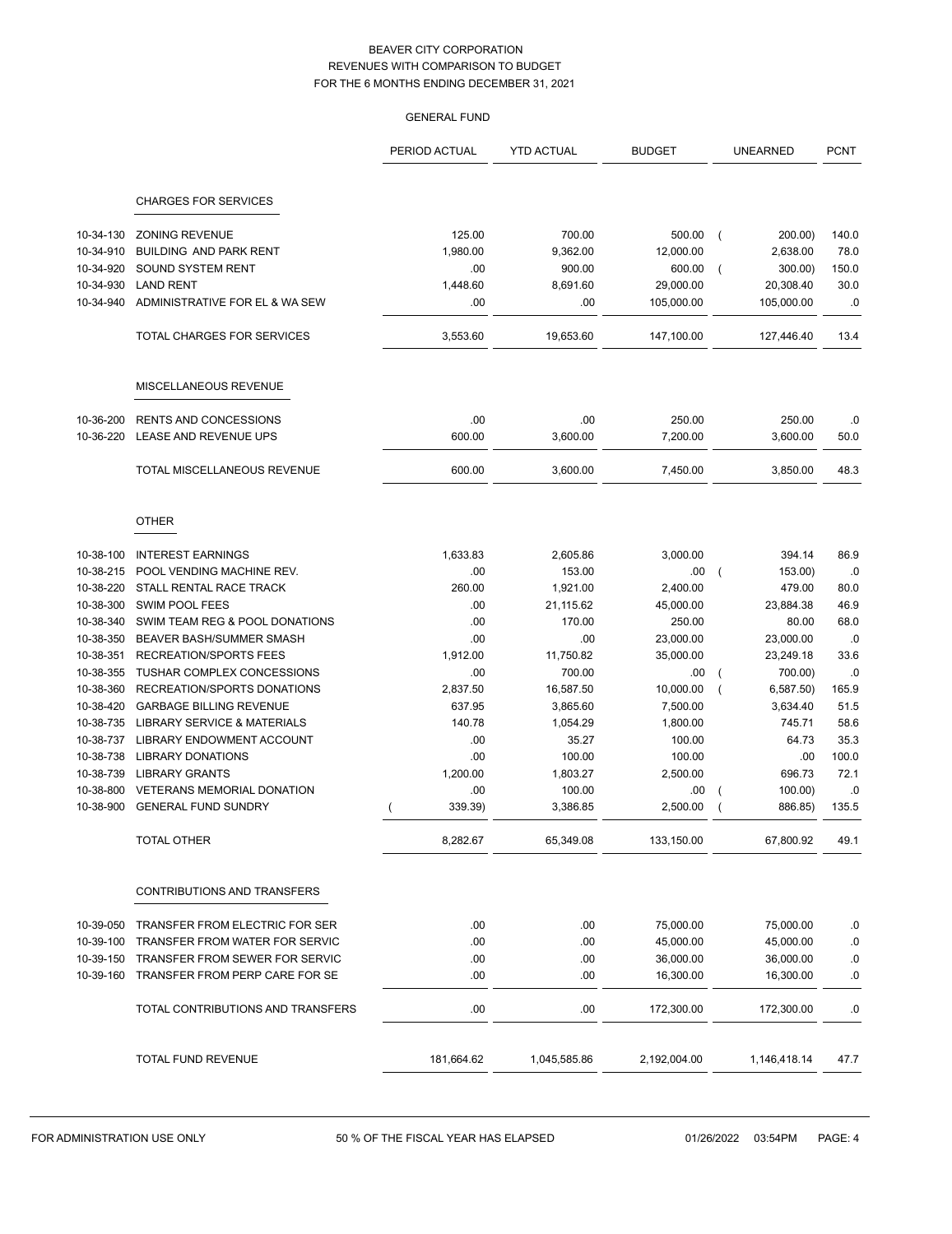|                        |                                                 | <b>GENERAL FUND</b> |                   |                     |                                       |               |
|------------------------|-------------------------------------------------|---------------------|-------------------|---------------------|---------------------------------------|---------------|
|                        |                                                 | PERIOD ACTUAL       | <b>YTD ACTUAL</b> | <b>BUDGET</b>       | <b>UNEARNED</b>                       | <b>PCNT</b>   |
|                        | <b>CHARGES FOR SERVICES</b>                     |                     |                   |                     |                                       |               |
|                        |                                                 | 125.00              | 700.00            |                     |                                       |               |
| 10-34-130<br>10-34-910 | <b>ZONING REVENUE</b><br>BUILDING AND PARK RENT | 1,980.00            | 9,362.00          | 500.00<br>12,000.00 | 200.00)<br>$\overline{ }$<br>2,638.00 | 140.0<br>78.0 |
| 10-34-920              | SOUND SYSTEM RENT                               | .00                 | 900.00            | 600.00              | 300.00)<br>$\overline{ }$             | 150.0         |
| 10-34-930              | <b>LAND RENT</b>                                | 1,448.60            | 8,691.60          | 29,000.00           | 20,308.40                             | 30.0          |
| 10-34-940              | ADMINISTRATIVE FOR EL & WA SEW                  | .00                 | .00               | 105,000.00          | 105,000.00                            | .0            |
|                        | TOTAL CHARGES FOR SERVICES                      | 3,553.60            | 19,653.60         | 147,100.00          | 127,446.40                            | 13.4          |
|                        |                                                 |                     |                   |                     |                                       |               |
|                        | MISCELLANEOUS REVENUE                           |                     |                   |                     |                                       |               |
| 10-36-200              | <b>RENTS AND CONCESSIONS</b>                    | .00                 | .00               | 250.00              | 250.00                                | .0            |
| 10-36-220              | LEASE AND REVENUE UPS                           | 600.00              | 3.600.00          | 7,200.00            | 3,600.00                              | 50.0          |
|                        | TOTAL MISCELLANEOUS REVENUE                     | 600.00              | 3,600.00          | 7,450.00            | 3,850.00                              | 48.3          |
|                        | <b>OTHER</b>                                    |                     |                   |                     |                                       |               |
| 10-38-100              | <b>INTEREST EARNINGS</b>                        | 1,633.83            | 2,605.86          | 3,000.00            | 394.14                                | 86.9          |
| 10-38-215              | POOL VENDING MACHINE REV.                       | .00                 | 153.00            | .00                 | 153.00)                               | .0            |
| 10-38-220              | STALL RENTAL RACE TRACK                         | 260.00              | 1,921.00          | 2,400.00            | 479.00                                | 80.0          |
| 10-38-300              | SWIM POOL FEES                                  | .00                 | 21,115.62         | 45,000.00           | 23,884.38                             | 46.9          |
| 10-38-340              | SWIM TEAM REG & POOL DONATIONS                  | .00                 | 170.00            | 250.00              | 80.00                                 | 68.0          |
| 10-38-350              | BEAVER BASH/SUMMER SMASH                        | .00                 | .00               | 23,000.00           | 23,000.00                             | .0            |
| 10-38-351              | <b>RECREATION/SPORTS FEES</b>                   | 1,912.00            | 11,750.82         | 35,000.00           | 23,249.18                             | 33.6          |
| 10-38-355              | TUSHAR COMPLEX CONCESSIONS                      | .00                 | 700.00            | .00                 | 700.00)                               | .0            |
| 10-38-360              | RECREATION/SPORTS DONATIONS                     | 2,837.50            | 16,587.50         | 10,000.00           | 6,587.50                              | 165.9         |
| 10-38-420              | <b>GARBAGE BILLING REVENUE</b>                  | 637.95              | 3,865.60          | 7,500.00            | 3,634.40                              | 51.5          |
| 10-38-735              | <b>LIBRARY SERVICE &amp; MATERIALS</b>          | 140.78              | 1,054.29          | 1,800.00            | 745.71                                | 58.6          |
| 10-38-737              | LIBRARY ENDOWMENT ACCOUNT                       | .00                 | 35.27             | 100.00              | 64.73                                 | 35.3          |
| 10-38-738              | <b>LIBRARY DONATIONS</b>                        | .00                 | 100.00            | 100.00              | .00                                   | 100.0         |
| 10-38-739              | <b>LIBRARY GRANTS</b>                           | 1,200.00            | 1,803.27          | 2,500.00            | 696.73                                | 72.1          |
| 10-38-800              | <b>VETERANS MEMORIAL DONATION</b>               | .00                 | 100.00            | .00                 | 100.00                                | .0            |
|                        | 10-38-900 GENERAL FUND SUNDRY                   | 339.39)             | 3,386.85          | 2,500.00            | 886.85)                               | 135.5         |
|                        | TOTAL OTHER                                     | 8,282.67            | 65,349.08         | 133,150.00          | 67,800.92                             | 49.1          |
|                        | CONTRIBUTIONS AND TRANSFERS                     |                     |                   |                     |                                       |               |
| 10-39-050              | TRANSFER FROM ELECTRIC FOR SER                  | .00                 | .00               | 75,000.00           | 75,000.00                             | .0            |
| 10-39-100              | TRANSFER FROM WATER FOR SERVIC                  | .00                 | .00               | 45,000.00           | 45,000.00                             | $.0\,$        |
| 10-39-150              | TRANSFER FROM SEWER FOR SERVIC                  | .00                 | .00               | 36,000.00           | 36,000.00                             | ${\bf .0}$    |
| 10-39-160              | TRANSFER FROM PERP CARE FOR SE                  | .00                 | .00               | 16,300.00           | 16,300.00                             | ${\bf .0}$    |
|                        | TOTAL CONTRIBUTIONS AND TRANSFERS               | .00                 | .00               | 172,300.00          | 172,300.00                            | .0            |
|                        |                                                 |                     |                   |                     |                                       |               |
|                        | TOTAL FUND REVENUE                              | 181,664.62          | 1,045,585.86      | 2,192,004.00        | 1,146,418.14                          | 47.7          |

 $\overline{a}$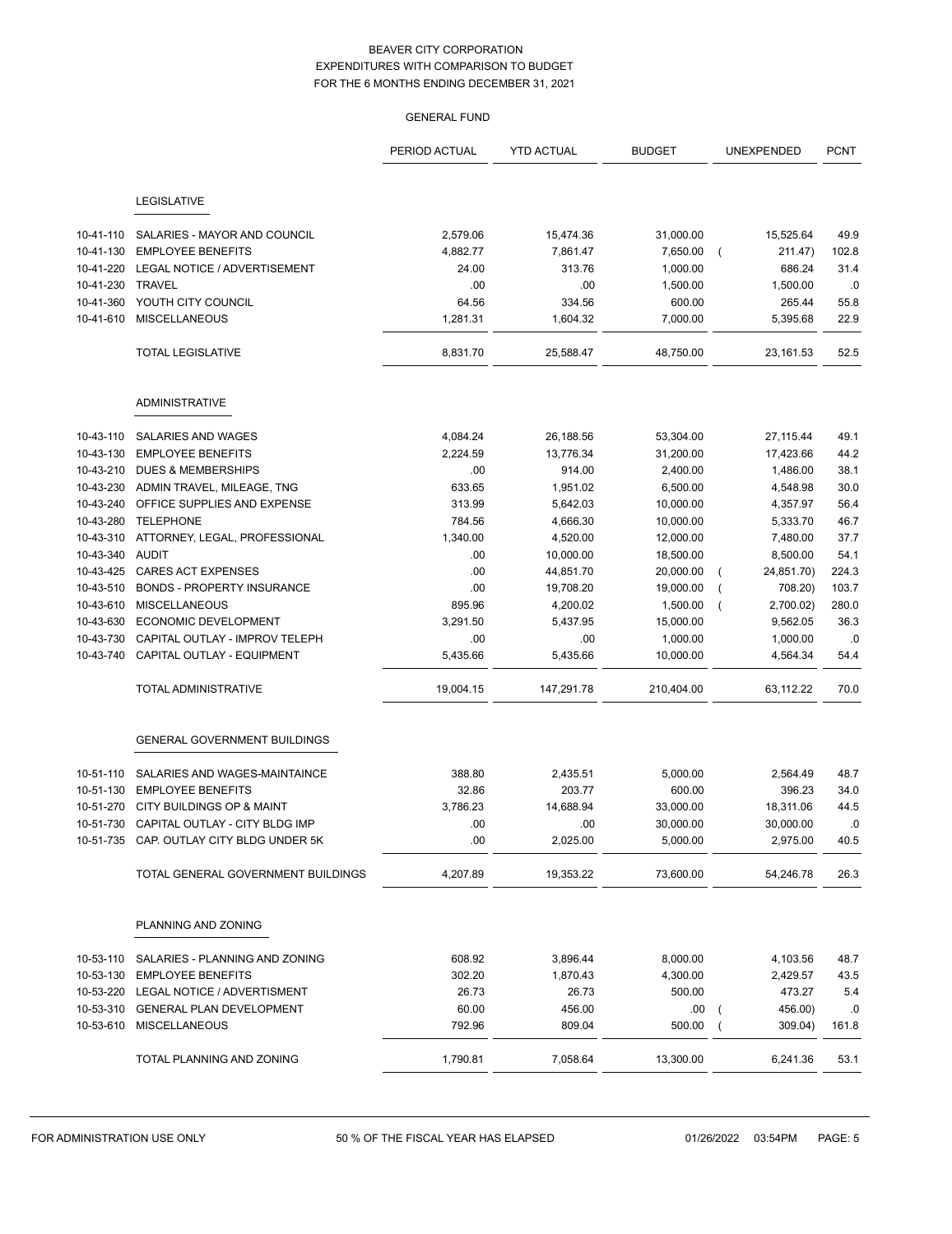|           |                                          | <b>GENERAL FUND</b> |                   |               |                           |             |
|-----------|------------------------------------------|---------------------|-------------------|---------------|---------------------------|-------------|
|           |                                          | PERIOD ACTUAL       | <b>YTD ACTUAL</b> | <b>BUDGET</b> | UNEXPENDED                | <b>PCNT</b> |
|           | LEGISLATIVE                              |                     |                   |               |                           |             |
| 10-41-110 | SALARIES - MAYOR AND COUNCIL             | 2,579.06            | 15,474.36         | 31,000.00     | 15,525.64                 | 49.9        |
| 10-41-130 | <b>EMPLOYEE BENEFITS</b>                 | 4,882.77            | 7,861.47          | 7,650.00      | 211.47)                   | 102.8       |
| 10-41-220 | LEGAL NOTICE / ADVERTISEMENT             | 24.00               | 313.76            | 1,000.00      | 686.24                    | 31.4        |
| 10-41-230 | <b>TRAVEL</b>                            | .00                 | .00               | 1,500.00      | 1,500.00                  | .0          |
| 10-41-360 | YOUTH CITY COUNCIL                       | 64.56               | 334.56            | 600.00        | 265.44                    | 55.8        |
| 10-41-610 | <b>MISCELLANEOUS</b>                     | 1,281.31            | 1,604.32          | 7,000.00      | 5,395.68                  | 22.9        |
|           | <b>TOTAL LEGISLATIVE</b>                 | 8,831.70            | 25,588.47         | 48,750.00     | 23,161.53                 | 52.5        |
|           | <b>ADMINISTRATIVE</b>                    |                     |                   |               |                           |             |
| 10-43-110 | SALARIES AND WAGES                       | 4,084.24            | 26,188.56         | 53,304.00     | 27, 115.44                | 49.1        |
| 10-43-130 | <b>EMPLOYEE BENEFITS</b>                 | 2,224.59            | 13,776.34         | 31,200.00     | 17,423.66                 | 44.2        |
| 10-43-210 | <b>DUES &amp; MEMBERSHIPS</b>            | .00                 | 914.00            | 2,400.00      | 1,486.00                  | 38.1        |
| 10-43-230 | ADMIN TRAVEL, MILEAGE, TNG               | 633.65              | 1,951.02          | 6,500.00      | 4,548.98                  | 30.0        |
| 10-43-240 | OFFICE SUPPLIES AND EXPENSE              | 313.99              | 5,642.03          | 10,000.00     | 4,357.97                  | 56.4        |
| 10-43-280 | <b>TELEPHONE</b>                         | 784.56              | 4,666.30          | 10,000.00     | 5,333.70                  | 46.7        |
| 10-43-310 | ATTORNEY, LEGAL, PROFESSIONAL            | 1,340.00            | 4,520.00          | 12,000.00     | 7,480.00                  | 37.7        |
| 10-43-340 | <b>AUDIT</b>                             | .00                 | 10,000.00         | 18,500.00     | 8,500.00                  | 54.1        |
| 10-43-425 | <b>CARES ACT EXPENSES</b>                | .00                 | 44,851.70         | 20,000.00     | 24,851.70)                | 224.3       |
| 10-43-510 | <b>BONDS - PROPERTY INSURANCE</b>        | .00                 | 19,708.20         | 19,000.00     | 708.20)                   | 103.7       |
| 10-43-610 | <b>MISCELLANEOUS</b>                     | 895.96              | 4,200.02          | 1,500.00      | 2,700.02)                 | 280.0       |
| 10-43-630 | ECONOMIC DEVELOPMENT                     | 3,291.50            | 5,437.95          | 15,000.00     | 9,562.05                  | 36.3        |
| 10-43-730 | CAPITAL OUTLAY - IMPROV TELEPH           | .00                 | .00               | 1,000.00      | 1,000.00                  | .0          |
| 10-43-740 | CAPITAL OUTLAY - EQUIPMENT               | 5,435.66            | 5,435.66          | 10,000.00     | 4,564.34                  | 54.4        |
|           | TOTAL ADMINISTRATIVE                     | 19,004.15           | 147,291.78        | 210,404.00    | 63,112.22                 | 70.0        |
|           | <b>GENERAL GOVERNMENT BUILDINGS</b>      |                     |                   |               |                           |             |
| 10-51-110 | SALARIES AND WAGES-MAINTAINCE            | 388.80              | 2,435.51          | 5,000.00      | 2,564.49                  | 48.7        |
|           | 10-51-130 EMPLOYEE BENEFITS              | 32.86               | 203.77            | 600.00        | 396.23                    | 34.0        |
| 10-51-270 | CITY BUILDINGS OP & MAINT                | 3,786.23            | 14,688.94         | 33,000.00     | 18,311.06                 | 44.5        |
|           | 10-51-730 CAPITAL OUTLAY - CITY BLDG IMP | .00                 | .00               | 30,000.00     | 30,000.00                 | .0          |
|           | 10-51-735 CAP. OUTLAY CITY BLDG UNDER 5K | .00                 | 2,025.00          | 5,000.00      | 2,975.00                  | 40.5        |
|           | TOTAL GENERAL GOVERNMENT BUILDINGS       | 4,207.89            | 19,353.22         | 73,600.00     | 54,246.78                 | 26.3        |
|           | PLANNING AND ZONING                      |                     |                   |               |                           |             |
| 10-53-110 | SALARIES - PLANNING AND ZONING           | 608.92              | 3,896.44          | 8,000.00      | 4,103.56                  | 48.7        |
|           | 10-53-130 EMPLOYEE BENEFITS              | 302.20              | 1,870.43          | 4,300.00      | 2,429.57                  | 43.5        |
|           | 10-53-220 LEGAL NOTICE / ADVERTISMENT    | 26.73               | 26.73             | 500.00        | 473.27                    | 5.4         |
|           | 10-53-310 GENERAL PLAN DEVELOPMENT       | 60.00               | 456.00            | .00.          | 456.00)                   | .0          |
|           | 10-53-610 MISCELLANEOUS                  | 792.96              | 809.04            | 500.00        | 309.04)<br>$\overline{ }$ | 161.8       |
|           | TOTAL PLANNING AND ZONING                | 1,790.81            | 7,058.64          | 13,300.00     | 6,241.36                  | 53.1        |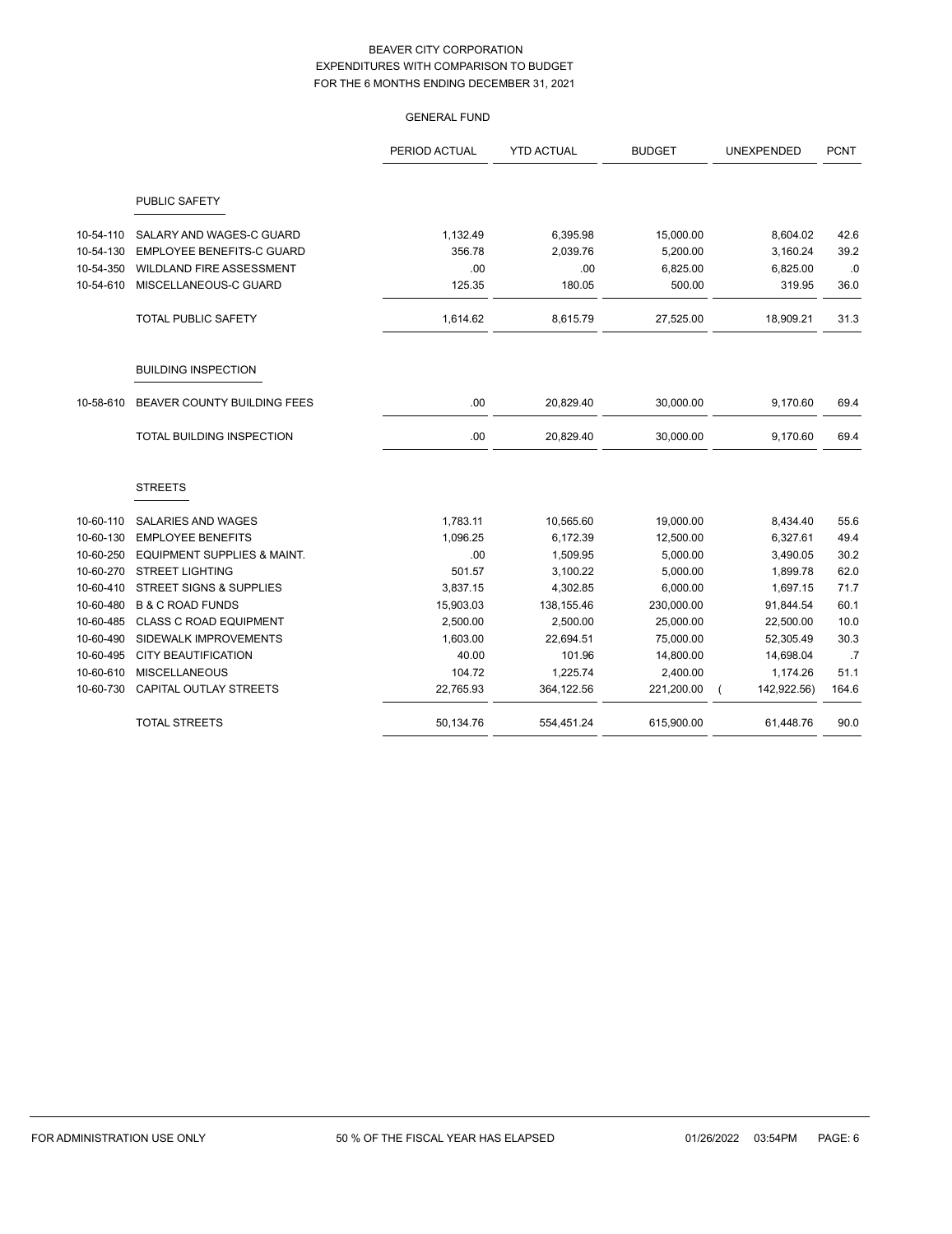|           |                                        | <b>GENERAL FUND</b> |                   |               |             |             |
|-----------|----------------------------------------|---------------------|-------------------|---------------|-------------|-------------|
|           |                                        | PERIOD ACTUAL       | <b>YTD ACTUAL</b> | <b>BUDGET</b> | UNEXPENDED  | <b>PCNT</b> |
|           | PUBLIC SAFETY                          |                     |                   |               |             |             |
| 10-54-110 | SALARY AND WAGES-C GUARD               | 1,132.49            | 6,395.98          | 15,000.00     | 8,604.02    | 42.6        |
| 10-54-130 | <b>EMPLOYEE BENEFITS-C GUARD</b>       | 356.78              | 2,039.76          | 5,200.00      | 3,160.24    | 39.2        |
| 10-54-350 | WILDLAND FIRE ASSESSMENT               | .00                 | .00               | 6,825.00      | 6,825.00    | .0          |
| 10-54-610 | MISCELLANEOUS-C GUARD                  | 125.35              | 180.05            | 500.00        | 319.95      | 36.0        |
|           | <b>TOTAL PUBLIC SAFETY</b>             | 1,614.62            | 8,615.79          | 27,525.00     | 18,909.21   | 31.3        |
|           | <b>BUILDING INSPECTION</b>             |                     |                   |               |             |             |
| 10-58-610 | BEAVER COUNTY BUILDING FEES            | .00                 | 20,829.40         | 30,000.00     | 9,170.60    | 69.4        |
|           | TOTAL BUILDING INSPECTION              | .00                 | 20,829.40         | 30,000.00     | 9,170.60    | 69.4        |
|           | <b>STREETS</b>                         |                     |                   |               |             |             |
| 10-60-110 | SALARIES AND WAGES                     | 1,783.11            | 10,565.60         | 19,000.00     | 8,434.40    | 55.6        |
| 10-60-130 | <b>EMPLOYEE BENEFITS</b>               | 1.096.25            | 6,172.39          | 12,500.00     | 6,327.61    | 49.4        |
| 10-60-250 | <b>EQUIPMENT SUPPLIES &amp; MAINT.</b> | .00                 | 1,509.95          | 5,000.00      | 3,490.05    | 30.2        |
| 10-60-270 | <b>STREET LIGHTING</b>                 | 501.57              | 3,100.22          | 5,000.00      | 1,899.78    | 62.0        |
| 10-60-410 | <b>STREET SIGNS &amp; SUPPLIES</b>     | 3,837.15            | 4,302.85          | 6,000.00      | 1,697.15    | 71.7        |
| 10-60-480 | <b>B &amp; C ROAD FUNDS</b>            | 15,903.03           | 138,155.46        | 230,000.00    | 91,844.54   | 60.1        |
| 10-60-485 | <b>CLASS C ROAD EQUIPMENT</b>          | 2,500.00            | 2,500.00          | 25,000.00     | 22,500.00   | 10.0        |
| 10-60-490 | SIDEWALK IMPROVEMENTS                  | 1,603.00            | 22,694.51         | 75,000.00     | 52,305.49   | 30.3        |
| 10-60-495 | <b>CITY BEAUTIFICATION</b>             | 40.00               | 101.96            | 14,800.00     | 14,698.04   | .7          |
| 10-60-610 | <b>MISCELLANEOUS</b>                   | 104.72              | 1,225.74          | 2,400.00      | 1,174.26    | 51.1        |
| 10-60-730 | CAPITAL OUTLAY STREETS                 | 22,765.93           | 364,122.56        | 221,200.00    | 142,922.56) | 164.6       |
|           | <b>TOTAL STREETS</b>                   | 50,134.76           | 554,451.24        | 615,900.00    | 61,448.76   | 90.0        |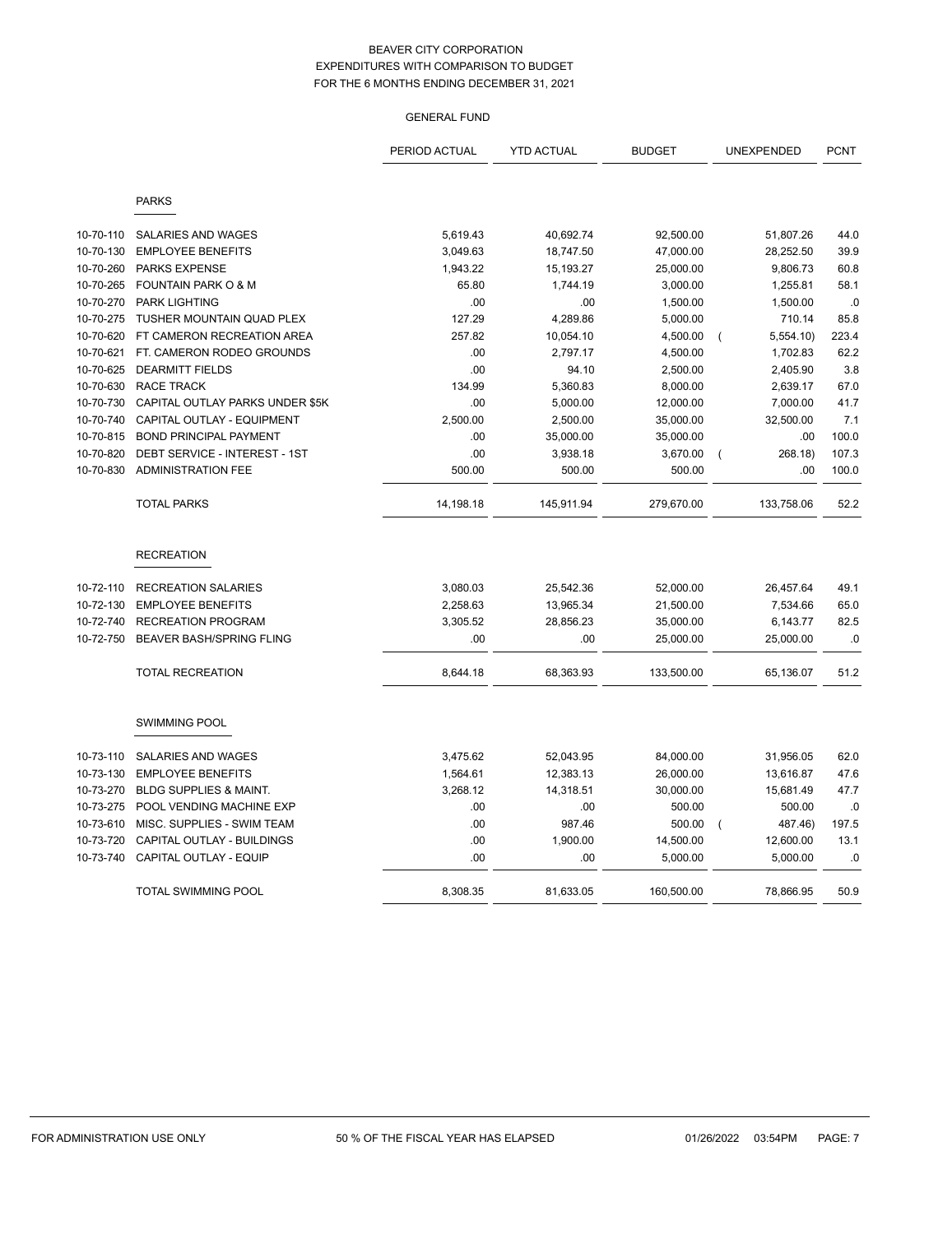# GENERAL FUND

|           |                                   | PERIOD ACTUAL | <b>YTD ACTUAL</b> | <b>BUDGET</b> | UNEXPENDED                 | <b>PCNT</b> |
|-----------|-----------------------------------|---------------|-------------------|---------------|----------------------------|-------------|
|           | <b>PARKS</b>                      |               |                   |               |                            |             |
|           |                                   |               |                   |               |                            |             |
| 10-70-110 | SALARIES AND WAGES                | 5,619.43      | 40,692.74         | 92,500.00     | 51,807.26                  | 44.0        |
| 10-70-130 | <b>EMPLOYEE BENEFITS</b>          | 3,049.63      | 18,747.50         | 47,000.00     | 28,252.50                  | 39.9        |
| 10-70-260 | <b>PARKS EXPENSE</b>              | 1,943.22      | 15,193.27         | 25,000.00     | 9,806.73                   | 60.8        |
| 10-70-265 | <b>FOUNTAIN PARK O &amp; M</b>    | 65.80         | 1,744.19          | 3,000.00      | 1,255.81                   | 58.1        |
| 10-70-270 | <b>PARK LIGHTING</b>              | .00           | .00               | 1,500.00      | 1,500.00                   | .0          |
| 10-70-275 | TUSHER MOUNTAIN QUAD PLEX         | 127.29        | 4,289.86          | 5,000.00      | 710.14                     | 85.8        |
| 10-70-620 | FT CAMERON RECREATION AREA        | 257.82        | 10,054.10         | 4,500.00      | 5,554.10<br>$\overline{ }$ | 223.4       |
| 10-70-621 | FT. CAMERON RODEO GROUNDS         | .00           | 2,797.17          | 4,500.00      | 1,702.83                   | 62.2        |
| 10-70-625 | <b>DEARMITT FIELDS</b>            | .00           | 94.10             | 2,500.00      | 2,405.90                   | 3.8         |
| 10-70-630 | <b>RACE TRACK</b>                 | 134.99        | 5,360.83          | 8,000.00      | 2,639.17                   | 67.0        |
| 10-70-730 | CAPITAL OUTLAY PARKS UNDER \$5K   | .00           | 5,000.00          | 12,000.00     | 7,000.00                   | 41.7        |
| 10-70-740 | CAPITAL OUTLAY - EQUIPMENT        | 2,500.00      | 2,500.00          | 35,000.00     | 32,500.00                  | 7.1         |
| 10-70-815 | <b>BOND PRINCIPAL PAYMENT</b>     | .00           | 35,000.00         | 35,000.00     | .00                        | 100.0       |
| 10-70-820 | DEBT SERVICE - INTEREST - 1ST     | .00           | 3,938.18          | 3,670.00      | 268.18)<br>$\overline{ }$  | 107.3       |
| 10-70-830 | <b>ADMINISTRATION FEE</b>         | 500.00        | 500.00            | 500.00        | .00.                       | 100.0       |
|           | <b>TOTAL PARKS</b>                | 14,198.18     | 145,911.94        | 279,670.00    | 133,758.06                 | 52.2        |
|           | <b>RECREATION</b>                 |               |                   |               |                            |             |
| 10-72-110 | <b>RECREATION SALARIES</b>        | 3,080.03      | 25,542.36         | 52,000.00     | 26,457.64                  | 49.1        |
| 10-72-130 | <b>EMPLOYEE BENEFITS</b>          | 2,258.63      | 13,965.34         | 21,500.00     | 7,534.66                   | 65.0        |
| 10-72-740 | <b>RECREATION PROGRAM</b>         | 3,305.52      | 28,856.23         | 35,000.00     | 6,143.77                   | 82.5        |
| 10-72-750 | <b>BEAVER BASH/SPRING FLING</b>   | .00           | .00               | 25,000.00     | 25,000.00                  | .0          |
|           | <b>TOTAL RECREATION</b>           | 8,644.18      | 68,363.93         | 133,500.00    | 65,136.07                  | 51.2        |
|           | <b>SWIMMING POOL</b>              |               |                   |               |                            |             |
| 10-73-110 | SALARIES AND WAGES                | 3,475.62      | 52,043.95         | 84,000.00     | 31,956.05                  | 62.0        |
| 10-73-130 | <b>EMPLOYEE BENEFITS</b>          | 1,564.61      | 12,383.13         | 26,000.00     | 13,616.87                  | 47.6        |
| 10-73-270 | <b>BLDG SUPPLIES &amp; MAINT.</b> | 3,268.12      | 14,318.51         | 30,000.00     | 15,681.49                  | 47.7        |
| 10-73-275 | POOL VENDING MACHINE EXP          | .00           | .00               | 500.00        | 500.00                     | .0          |
| 10-73-610 | MISC. SUPPLIES - SWIM TEAM        | .00           | 987.46            | 500.00        | 487.46)                    | 197.5       |
| 10-73-720 | CAPITAL OUTLAY - BUILDINGS        | .00           | 1,900.00          | 14,500.00     | 12,600.00                  | 13.1        |
| 10-73-740 | CAPITAL OUTLAY - EQUIP            | .00           | .00               | 5.000.00      | 5.000.00                   | .0          |
|           | TOTAL SWIMMING POOL               | 8,308.35      | 81,633.05         | 160,500.00    | 78,866.95                  | 50.9        |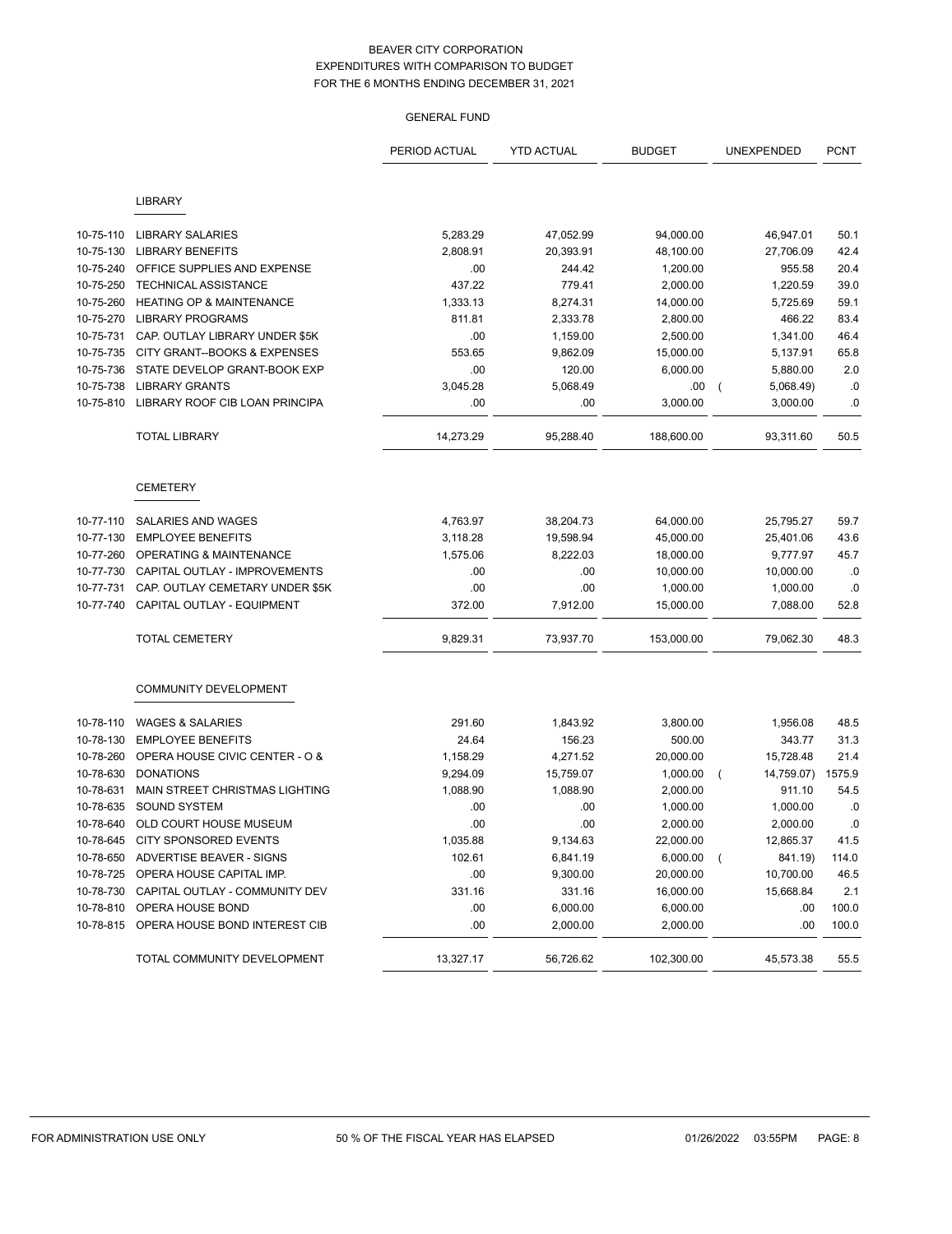# GENERAL FUND

|           |                                         | PERIOD ACTUAL | <b>YTD ACTUAL</b> | <b>BUDGET</b> | UNEXPENDED          | <b>PCNT</b> |
|-----------|-----------------------------------------|---------------|-------------------|---------------|---------------------|-------------|
|           | <b>LIBRARY</b>                          |               |                   |               |                     |             |
|           |                                         |               |                   |               |                     |             |
| 10-75-110 | <b>LIBRARY SALARIES</b>                 | 5,283.29      | 47,052.99         | 94,000.00     | 46,947.01           | 50.1        |
| 10-75-130 | <b>LIBRARY BENEFITS</b>                 | 2,808.91      | 20,393.91         | 48,100.00     | 27,706.09           | 42.4        |
| 10-75-240 | OFFICE SUPPLIES AND EXPENSE             | .00           | 244.42            | 1,200.00      | 955.58              | 20.4        |
| 10-75-250 | TECHNICAL ASSISTANCE                    | 437.22        | 779.41            | 2,000.00      | 1,220.59            | 39.0        |
| 10-75-260 | <b>HEATING OP &amp; MAINTENANCE</b>     | 1,333.13      | 8,274.31          | 14,000.00     | 5,725.69            | 59.1        |
| 10-75-270 | <b>LIBRARY PROGRAMS</b>                 | 811.81        | 2,333.78          | 2,800.00      | 466.22              | 83.4        |
| 10-75-731 | CAP. OUTLAY LIBRARY UNDER \$5K          | .00           | 1,159.00          | 2,500.00      | 1,341.00            | 46.4        |
| 10-75-735 | CITY GRANT--BOOKS & EXPENSES            | 553.65        | 9,862.09          | 15,000.00     | 5,137.91            | 65.8        |
| 10-75-736 | STATE DEVELOP GRANT-BOOK EXP            | .00           | 120.00            | 6,000.00      | 5,880.00            | 2.0         |
| 10-75-738 | <b>LIBRARY GRANTS</b>                   | 3,045.28      | 5,068.49          | .00           | 5,068.49)           | $\cdot$ 0   |
| 10-75-810 | LIBRARY ROOF CIB LOAN PRINCIPA          | .00           | .00               | 3,000.00      | 3,000.00            | $\cdot$ 0   |
|           | <b>TOTAL LIBRARY</b>                    | 14,273.29     | 95,288.40         | 188,600.00    | 93,311.60           | 50.5        |
|           | <b>CEMETERY</b>                         |               |                   |               |                     |             |
| 10-77-110 | SALARIES AND WAGES                      | 4,763.97      | 38,204.73         | 64,000.00     | 25,795.27           | 59.7        |
| 10-77-130 | <b>EMPLOYEE BENEFITS</b>                | 3,118.28      | 19,598.94         | 45,000.00     | 25,401.06           | 43.6        |
| 10-77-260 | OPERATING & MAINTENANCE                 | 1,575.06      | 8,222.03          | 18,000.00     | 9,777.97            | 45.7        |
| 10-77-730 | CAPITAL OUTLAY - IMPROVEMENTS           | .00           | .00               | 10,000.00     | 10,000.00           | .0          |
| 10-77-731 | CAP. OUTLAY CEMETARY UNDER \$5K         | .00           | .00               | 1,000.00      | 1,000.00            | .0          |
| 10-77-740 | CAPITAL OUTLAY - EQUIPMENT              | 372.00        | 7,912.00          | 15,000.00     | 7,088.00            | 52.8        |
|           | <b>TOTAL CEMETERY</b>                   | 9,829.31      | 73,937.70         | 153,000.00    | 79,062.30           | 48.3        |
|           | COMMUNITY DEVELOPMENT                   |               |                   |               |                     |             |
| 10-78-110 | <b>WAGES &amp; SALARIES</b>             | 291.60        | 1,843.92          | 3,800.00      | 1,956.08            | 48.5        |
| 10-78-130 | <b>EMPLOYEE BENEFITS</b>                | 24.64         | 156.23            | 500.00        | 343.77              | 31.3        |
| 10-78-260 | OPERA HOUSE CIVIC CENTER - O &          | 1,158.29      | 4,271.52          | 20,000.00     | 15,728.48           | 21.4        |
| 10-78-630 | <b>DONATIONS</b>                        | 9,294.09      | 15,759.07         | 1,000.00      | 14,759.07)<br>(     | 1575.9      |
| 10-78-631 | MAIN STREET CHRISTMAS LIGHTING          | 1,088.90      | 1,088.90          | 2,000.00      | 911.10              | 54.5        |
| 10-78-635 | <b>SOUND SYSTEM</b>                     | .00           | .00               | 1,000.00      | 1,000.00            | .0          |
| 10-78-640 | OLD COURT HOUSE MUSEUM                  | .00           | .00               | 2,000.00      | 2,000.00            | $\cdot$ 0   |
| 10-78-645 | CITY SPONSORED EVENTS                   | 1,035.88      | 9,134.63          | 22,000.00     | 12,865.37           | 41.5        |
|           | 10-78-650 ADVERTISE BEAVER - SIGNS      | 102.61        | 6,841.19          | 6,000.00      | 841.19)<br>$\left($ | 114.0       |
| 10-78-725 | OPERA HOUSE CAPITAL IMP.                | .00           | 9,300.00          | 20,000.00     | 10,700.00           | 46.5        |
| 10-78-730 | CAPITAL OUTLAY - COMMUNITY DEV          | 331.16        | 331.16            | 16,000.00     | 15,668.84           | 2.1         |
| 10-78-810 | OPERA HOUSE BOND                        | .00           | 6,000.00          | 6,000.00      | .00                 | 100.0       |
|           | 10-78-815 OPERA HOUSE BOND INTEREST CIB | .00           | 2,000.00          | 2,000.00      | .00                 | 100.0       |
|           | TOTAL COMMUNITY DEVELOPMENT             | 13,327.17     | 56,726.62         | 102,300.00    | 45,573.38           | 55.5        |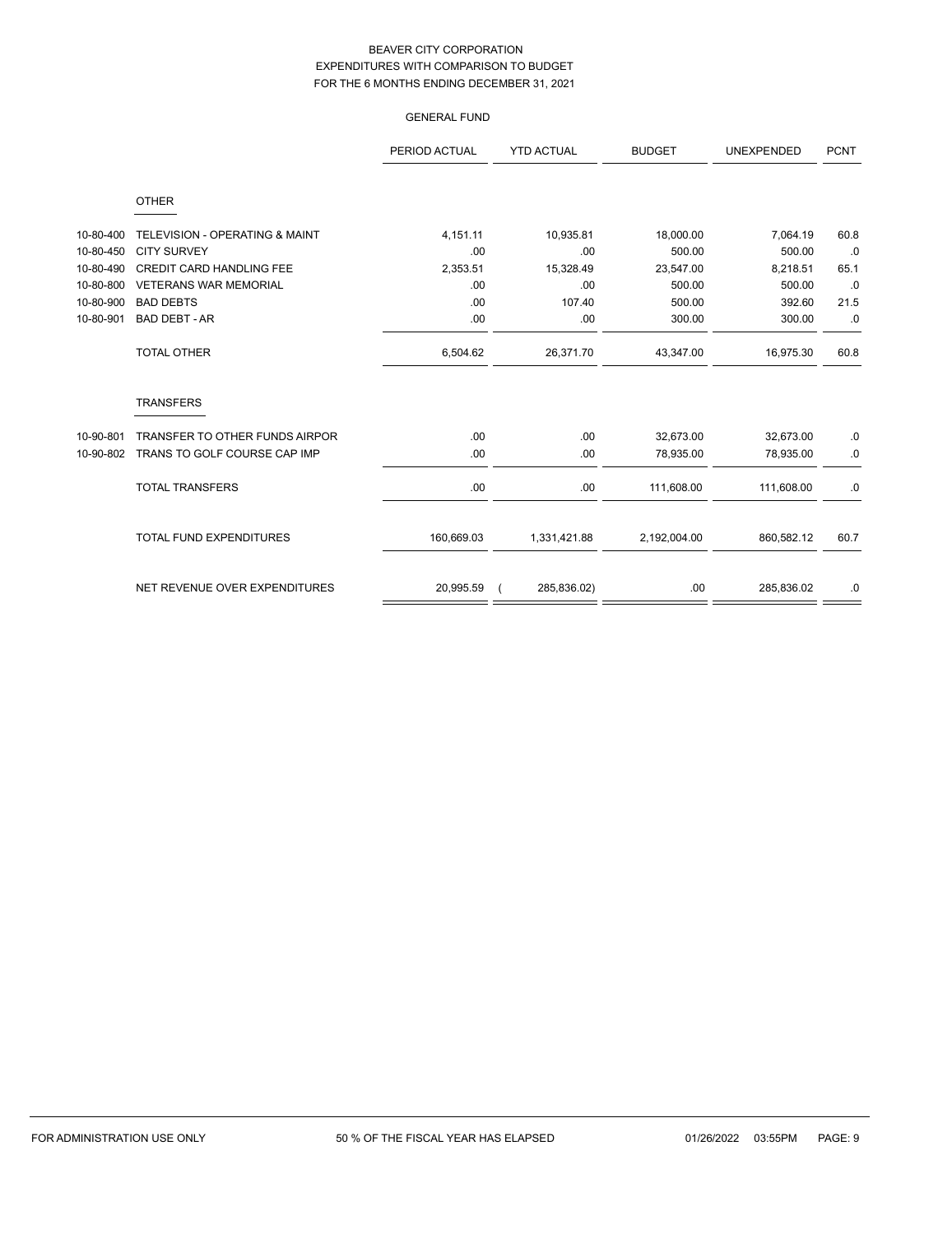|           |                                           | <b>GENERAL FUND</b> |                   |               |                   |             |
|-----------|-------------------------------------------|---------------------|-------------------|---------------|-------------------|-------------|
|           |                                           | PERIOD ACTUAL       | <b>YTD ACTUAL</b> | <b>BUDGET</b> | <b>UNEXPENDED</b> | <b>PCNT</b> |
|           | <b>OTHER</b>                              |                     |                   |               |                   |             |
| 10-80-400 | <b>TELEVISION - OPERATING &amp; MAINT</b> | 4,151.11            | 10,935.81         | 18,000.00     | 7,064.19          | 60.8        |
| 10-80-450 | <b>CITY SURVEY</b>                        | .00                 | .00               | 500.00        | 500.00            | .0          |
| 10-80-490 | <b>CREDIT CARD HANDLING FEE</b>           | 2,353.51            | 15,328.49         | 23,547.00     | 8,218.51          | 65.1        |
| 10-80-800 | <b>VETERANS WAR MEMORIAL</b>              | .00                 | .00               | 500.00        | 500.00            | .0          |
| 10-80-900 | <b>BAD DEBTS</b>                          | .00                 | 107.40            | 500.00        | 392.60            | 21.5        |
| 10-80-901 | <b>BAD DEBT - AR</b>                      | .00                 | .00               | 300.00        | 300.00            | .0          |
|           | <b>TOTAL OTHER</b>                        | 6,504.62            | 26,371.70         | 43,347.00     | 16,975.30         | 60.8        |
|           | <b>TRANSFERS</b>                          |                     |                   |               |                   |             |
| 10-90-801 | TRANSFER TO OTHER FUNDS AIRPOR            | .00                 | .00               | 32,673.00     | 32,673.00         | $\cdot$ 0   |
| 10-90-802 | TRANS TO GOLF COURSE CAP IMP              | .00                 | .00               | 78,935.00     | 78,935.00         | .0          |
|           | <b>TOTAL TRANSFERS</b>                    | .00                 | .00               | 111,608.00    | 111,608.00        | $\cdot$ 0   |
|           | <b>TOTAL FUND EXPENDITURES</b>            | 160,669.03          | 1,331,421.88      | 2,192,004.00  | 860,582.12        | 60.7        |
|           | NET REVENUE OVER EXPENDITURES             | 20,995.59           | 285,836.02)       | .00           | 285,836.02        | .0          |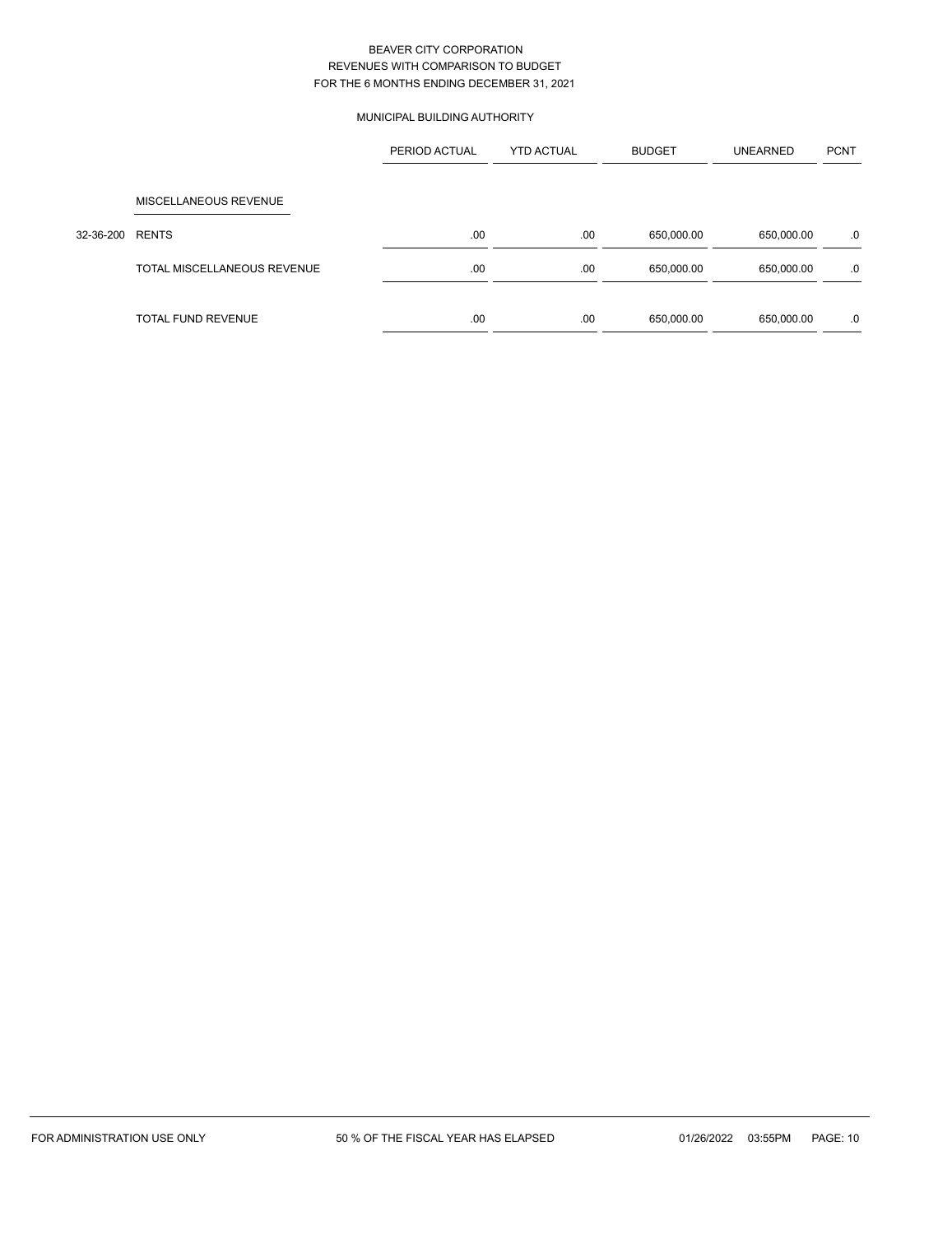# MUNICIPAL BUILDING AUTHORITY

|           |                             | PERIOD ACTUAL | <b>YTD ACTUAL</b> | <b>BUDGET</b> | <b>UNEARNED</b> | <b>PCNT</b> |
|-----------|-----------------------------|---------------|-------------------|---------------|-----------------|-------------|
|           | MISCELLANEOUS REVENUE       |               |                   |               |                 |             |
| 32-36-200 | <b>RENTS</b>                | .00           | .00               | 650,000.00    | 650,000.00      | .0          |
|           | TOTAL MISCELLANEOUS REVENUE | .00           | .00               | 650,000.00    | 650,000.00      | .0          |
|           |                             |               |                   |               |                 |             |
|           | <b>TOTAL FUND REVENUE</b>   | .00           | .00               | 650,000.00    | 650,000.00      | .0          |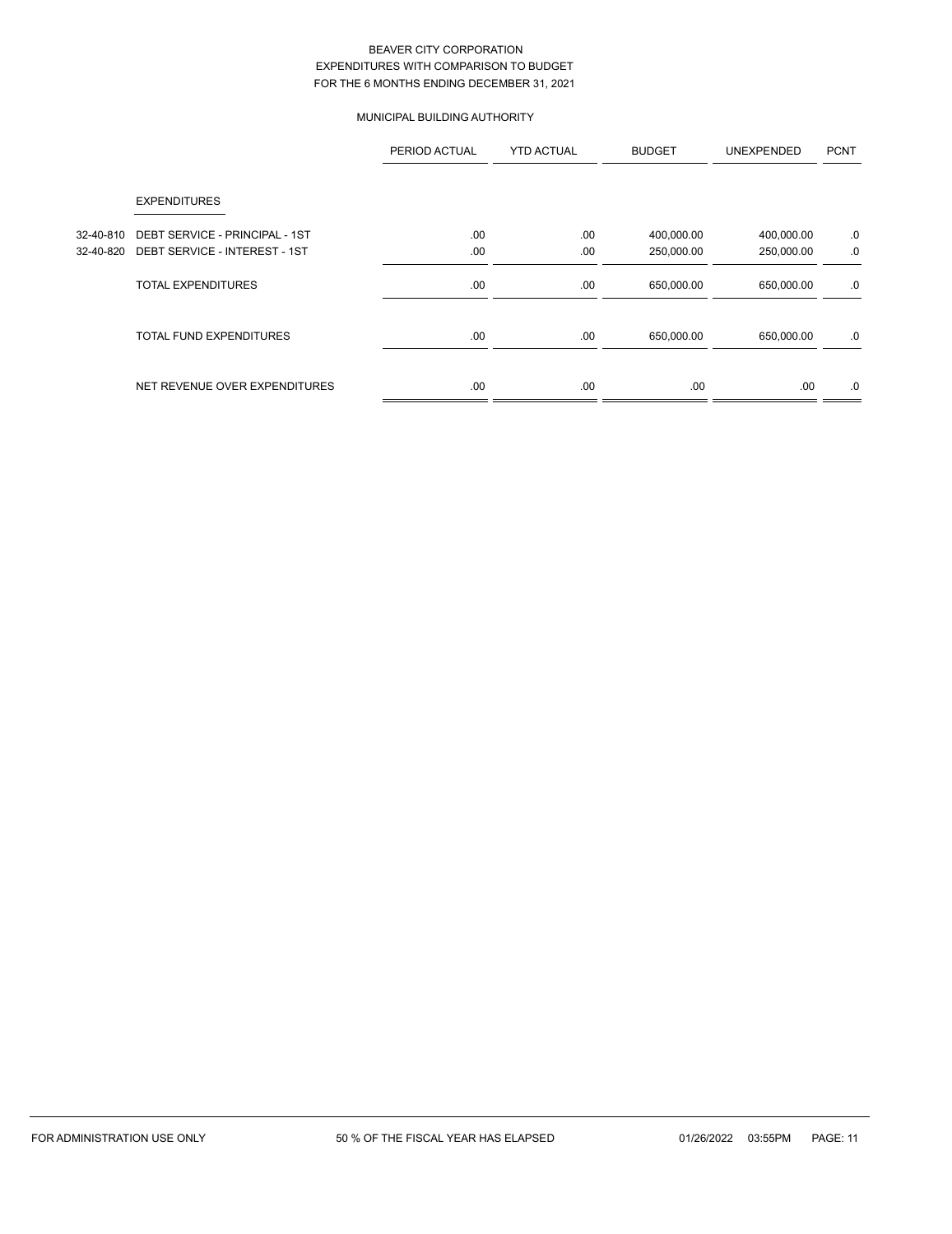# MUNICIPAL BUILDING AUTHORITY

|           |                                | PERIOD ACTUAL | <b>YTD ACTUAL</b> | <b>BUDGET</b> | <b>UNEXPENDED</b> | <b>PCNT</b> |
|-----------|--------------------------------|---------------|-------------------|---------------|-------------------|-------------|
|           | <b>EXPENDITURES</b>            |               |                   |               |                   |             |
| 32-40-810 | DEBT SERVICE - PRINCIPAL - 1ST | .00           | .00               | 400,000.00    | 400,000.00        | .0          |
| 32-40-820 | DEBT SERVICE - INTEREST - 1ST  | .00           | .00               | 250,000.00    | 250,000.00        | .0          |
|           | <b>TOTAL EXPENDITURES</b>      | .00.          | .00               | 650,000.00    | 650,000.00        | .0          |
|           | <b>TOTAL FUND EXPENDITURES</b> | .00.          | .00               | 650,000.00    | 650,000.00        | .0          |
|           | NET REVENUE OVER EXPENDITURES  | .00           | .00               | .00.          | .00.              | .0          |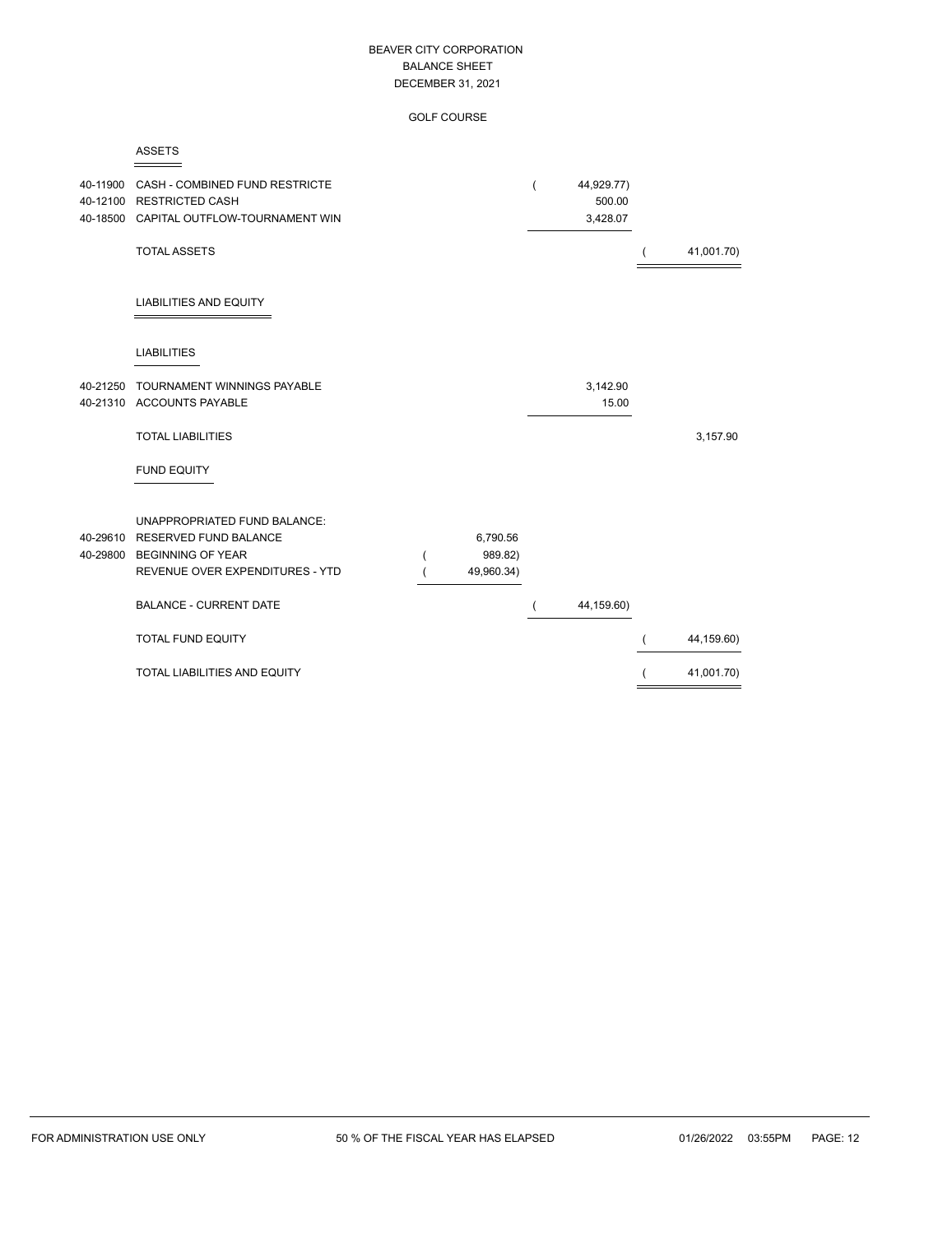GOLF COURSE

|--|

| 40-11900<br>40-12100 | CASH - COMBINED FUND RESTRICTE<br><b>RESTRICTED CASH</b><br>40-18500 CAPITAL OUTFLOW-TOURNAMENT WIN                                |   |                                   | 44,929.77)<br>500.00<br>3,428.07 |            |
|----------------------|------------------------------------------------------------------------------------------------------------------------------------|---|-----------------------------------|----------------------------------|------------|
|                      | <b>TOTAL ASSETS</b>                                                                                                                |   |                                   |                                  | 41,001.70) |
|                      | <b>LIABILITIES AND EQUITY</b>                                                                                                      |   |                                   |                                  |            |
|                      | <b>LIABILITIES</b>                                                                                                                 |   |                                   |                                  |            |
|                      | 40-21250 TOURNAMENT WINNINGS PAYABLE<br>40-21310 ACCOUNTS PAYABLE                                                                  |   |                                   | 3,142.90<br>15.00                |            |
|                      | <b>TOTAL LIABILITIES</b>                                                                                                           |   |                                   |                                  | 3,157.90   |
|                      | <b>FUND EQUITY</b>                                                                                                                 |   |                                   |                                  |            |
| 40-29610<br>40-29800 | <b>UNAPPROPRIATED FUND BALANCE:</b><br><b>RESERVED FUND BALANCE</b><br><b>BEGINNING OF YEAR</b><br>REVENUE OVER EXPENDITURES - YTD | ( | 6,790.56<br>989.82)<br>49,960.34) |                                  |            |
|                      | <b>BALANCE - CURRENT DATE</b>                                                                                                      |   |                                   | 44,159.60)                       |            |
|                      | <b>TOTAL FUND EQUITY</b>                                                                                                           |   |                                   |                                  | 44,159.60) |
|                      | <b>TOTAL LIABILITIES AND EQUITY</b>                                                                                                |   |                                   |                                  | 41,001.70) |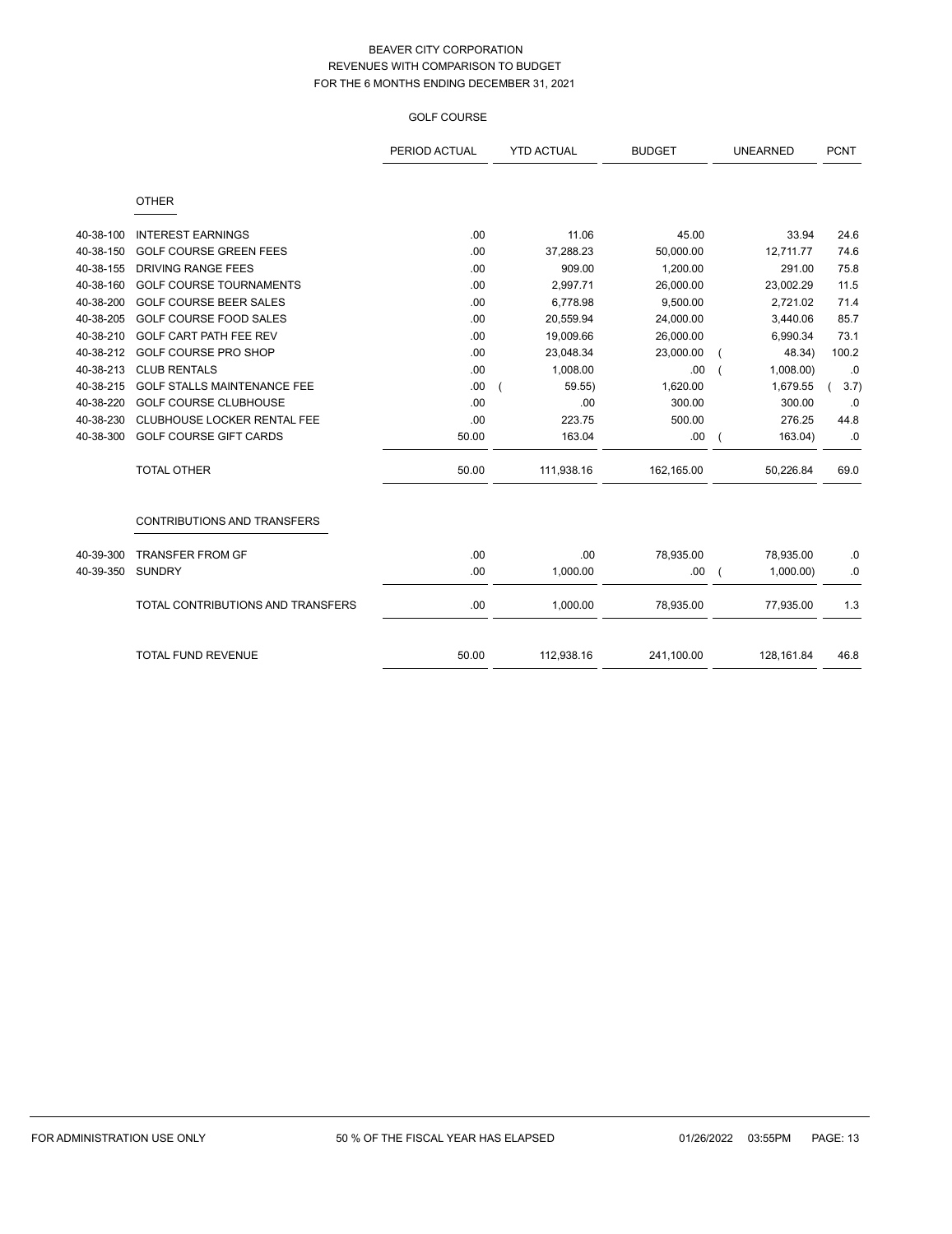## GOLF COURSE

|           |                                    | PERIOD ACTUAL | <b>YTD ACTUAL</b> | <b>BUDGET</b> | <b>UNEARNED</b> | <b>PCNT</b> |
|-----------|------------------------------------|---------------|-------------------|---------------|-----------------|-------------|
|           | <b>OTHER</b>                       |               |                   |               |                 |             |
| 40-38-100 | <b>INTEREST EARNINGS</b>           | .00           | 11.06             | 45.00         | 33.94           | 24.6        |
| 40-38-150 | <b>GOLF COURSE GREEN FEES</b>      | .00           | 37,288.23         | 50,000.00     | 12,711.77       | 74.6        |
| 40-38-155 | <b>DRIVING RANGE FEES</b>          | .00           | 909.00            | 1,200.00      | 291.00          | 75.8        |
| 40-38-160 | <b>GOLF COURSE TOURNAMENTS</b>     | .00           | 2,997.71          | 26,000.00     | 23,002.29       | 11.5        |
| 40-38-200 | <b>GOLF COURSE BEER SALES</b>      | .00           | 6,778.98          | 9,500.00      | 2,721.02        | 71.4        |
| 40-38-205 | <b>GOLF COURSE FOOD SALES</b>      | .00           | 20,559.94         | 24,000.00     | 3,440.06        | 85.7        |
| 40-38-210 | GOLF CART PATH FEE REV             | .00           | 19,009.66         | 26,000.00     | 6,990.34        | 73.1        |
| 40-38-212 | <b>GOLF COURSE PRO SHOP</b>        | .00           | 23,048.34         | 23,000.00     | 48.34)          | 100.2       |
| 40-38-213 | <b>CLUB RENTALS</b>                | .00           | 1,008.00          | .00           | 1,008.00        | .0          |
| 40-38-215 | <b>GOLF STALLS MAINTENANCE FEE</b> | .00           | 59.55)            | 1,620.00      | 1,679.55        | 3.7)        |
| 40-38-220 | <b>GOLF COURSE CLUBHOUSE</b>       | .00           | .00               | 300.00        | 300.00          | .0          |
| 40-38-230 | CLUBHOUSE LOCKER RENTAL FEE        | .00           | 223.75            | 500.00        | 276.25          | 44.8        |
| 40-38-300 | <b>GOLF COURSE GIFT CARDS</b>      | 50.00         | 163.04            | .00           | 163.04)         | .0          |
|           | <b>TOTAL OTHER</b>                 | 50.00         | 111,938.16        | 162,165.00    | 50,226.84       | 69.0        |
|           | <b>CONTRIBUTIONS AND TRANSFERS</b> |               |                   |               |                 |             |
| 40-39-300 | <b>TRANSFER FROM GF</b>            | .00           | .00               | 78,935.00     | 78,935.00       | .0          |
| 40-39-350 | <b>SUNDRY</b>                      | .00           | 1,000.00          | .00           | 1,000.00        | .0          |
|           | TOTAL CONTRIBUTIONS AND TRANSFERS  | .00           | 1,000.00          | 78,935.00     | 77,935.00       | 1.3         |
|           | <b>TOTAL FUND REVENUE</b>          | 50.00         | 112,938.16        | 241,100.00    | 128,161.84      | 46.8        |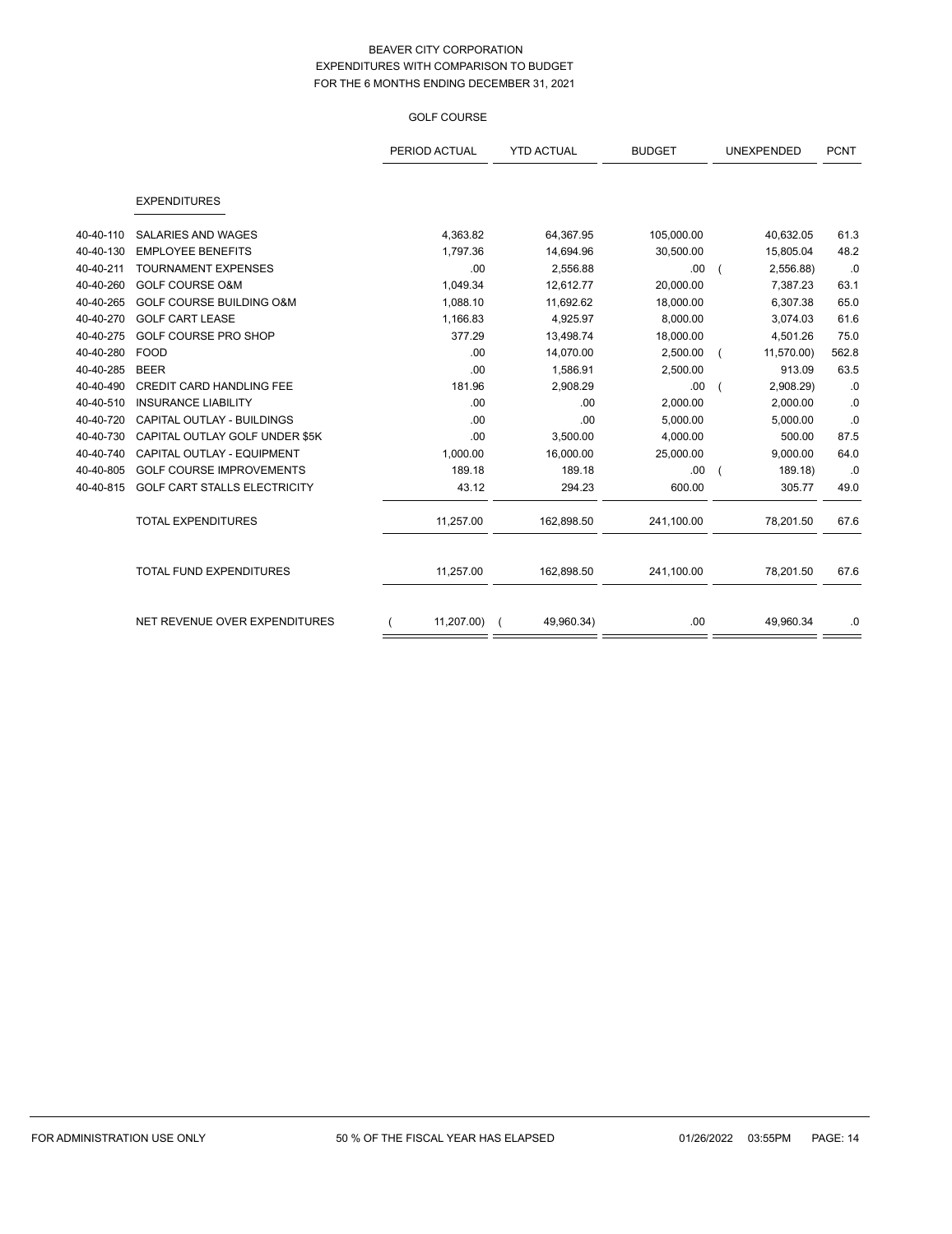#### GOLF COURSE

|           |                                     | PERIOD ACTUAL | <b>YTD ACTUAL</b> | <b>BUDGET</b> | <b>UNEXPENDED</b> | <b>PCNT</b> |
|-----------|-------------------------------------|---------------|-------------------|---------------|-------------------|-------------|
|           | <b>EXPENDITURES</b>                 |               |                   |               |                   |             |
| 40-40-110 | <b>SALARIES AND WAGES</b>           | 4,363.82      | 64,367.95         | 105,000.00    | 40,632.05         | 61.3        |
| 40-40-130 | <b>EMPLOYEE BENEFITS</b>            | 1,797.36      | 14,694.96         | 30,500.00     | 15,805.04         | 48.2        |
| 40-40-211 | <b>TOURNAMENT EXPENSES</b>          | .00           | 2,556.88          | .00.          | 2,556.88)         | .0          |
| 40-40-260 | <b>GOLF COURSE O&amp;M</b>          | 1,049.34      | 12,612.77         | 20,000.00     | 7,387.23          | 63.1        |
| 40-40-265 | <b>GOLF COURSE BUILDING O&amp;M</b> | 1,088.10      | 11,692.62         | 18,000.00     | 6,307.38          | 65.0        |
| 40-40-270 | <b>GOLF CART LEASE</b>              | 1,166.83      | 4,925.97          | 8,000.00      | 3,074.03          | 61.6        |
| 40-40-275 | GOLF COURSE PRO SHOP                | 377.29        | 13,498.74         | 18,000.00     | 4,501.26          | 75.0        |
| 40-40-280 | <b>FOOD</b>                         | .00           | 14,070.00         | 2,500.00      | 11,570.00)        | 562.8       |
| 40-40-285 | <b>BEER</b>                         | .00           | 1,586.91          | 2,500.00      | 913.09            | 63.5        |
| 40-40-490 | CREDIT CARD HANDLING FEE            | 181.96        | 2,908.29          | .00.          | 2,908.29)         | $.0\,$      |
| 40-40-510 | <b>INSURANCE LIABILITY</b>          | .00           | .00               | 2,000.00      | 2,000.00          | .0          |
| 40-40-720 | CAPITAL OUTLAY - BUILDINGS          | .00           | .00               | 5,000.00      | 5,000.00          | .0          |
| 40-40-730 | CAPITAL OUTLAY GOLF UNDER \$5K      | .00           | 3,500.00          | 4,000.00      | 500.00            | 87.5        |
| 40-40-740 | CAPITAL OUTLAY - EQUIPMENT          | 1,000.00      | 16,000.00         | 25,000.00     | 9,000.00          | 64.0        |
| 40-40-805 | <b>GOLF COURSE IMPROVEMENTS</b>     | 189.18        | 189.18            | .00.          | 189.18)           | .0          |
| 40-40-815 | GOLF CART STALLS ELECTRICITY        | 43.12         | 294.23            | 600.00        | 305.77            | 49.0        |
|           | <b>TOTAL EXPENDITURES</b>           | 11,257.00     | 162,898.50        | 241,100.00    | 78,201.50         | 67.6        |
|           | TOTAL FUND EXPENDITURES             | 11,257.00     | 162,898.50        | 241,100.00    | 78,201.50         | 67.6        |
|           | NET REVENUE OVER EXPENDITURES       | 11,207.00)    | 49,960.34)        | .00.          | 49,960.34         | .0          |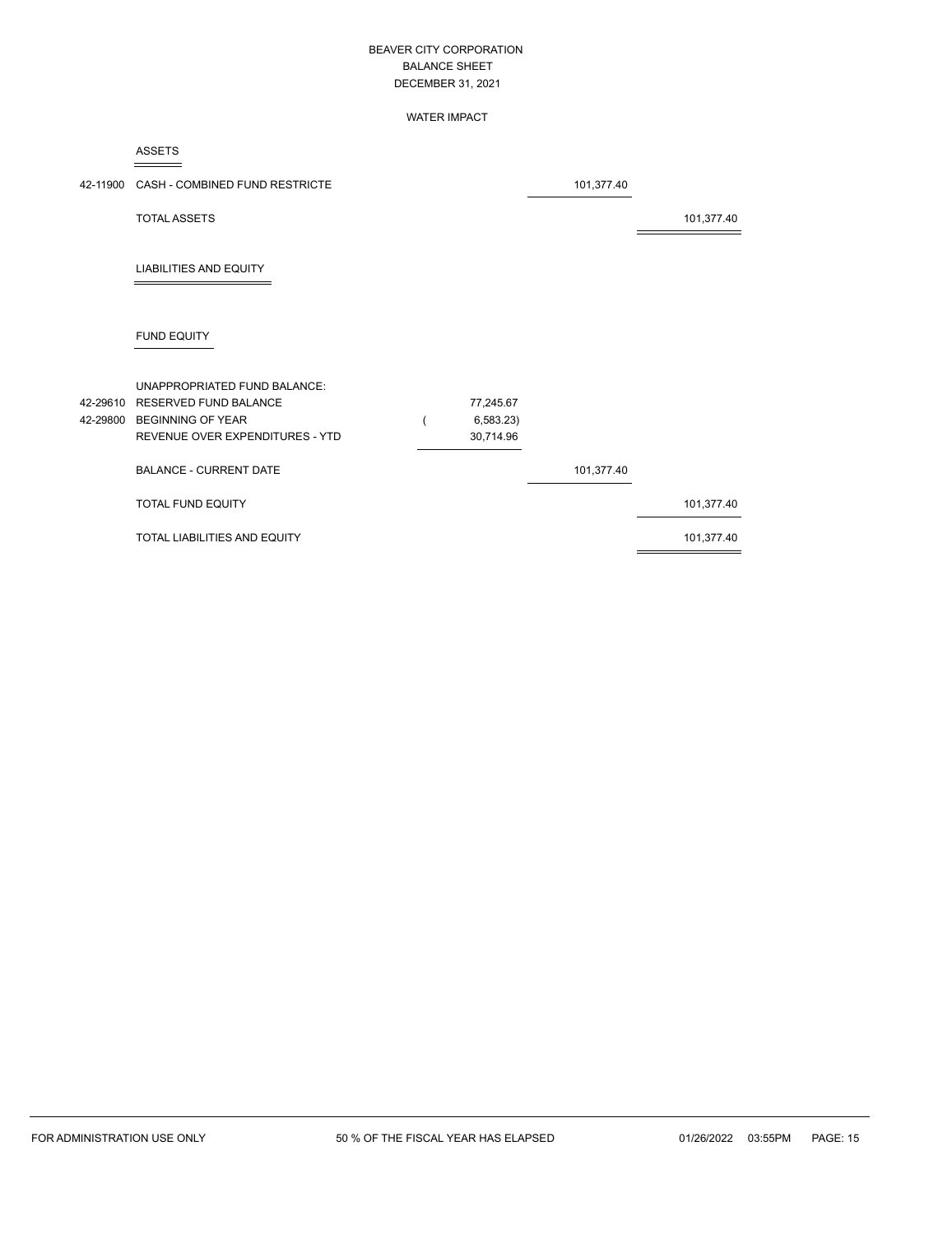#### WATER IMPACT

ASSETS

|                      | 42-11900 CASH - COMBINED FUND RESTRICTE                                                                                     |                                     | 101,377.40 |            |
|----------------------|-----------------------------------------------------------------------------------------------------------------------------|-------------------------------------|------------|------------|
|                      | <b>TOTAL ASSETS</b>                                                                                                         |                                     |            | 101,377.40 |
|                      | <b>LIABILITIES AND EQUITY</b>                                                                                               |                                     |            |            |
|                      | <b>FUND EQUITY</b>                                                                                                          |                                     |            |            |
| 42-29610<br>42-29800 | UNAPPROPRIATED FUND BALANCE:<br><b>RESERVED FUND BALANCE</b><br><b>BEGINNING OF YEAR</b><br>REVENUE OVER EXPENDITURES - YTD | 77,245.67<br>6,583.23)<br>30,714.96 |            |            |
|                      | <b>BALANCE - CURRENT DATE</b>                                                                                               |                                     | 101,377.40 |            |
|                      | TOTAL FUND EQUITY                                                                                                           |                                     |            | 101,377.40 |
|                      | TOTAL LIABILITIES AND EQUITY                                                                                                |                                     |            | 101,377.40 |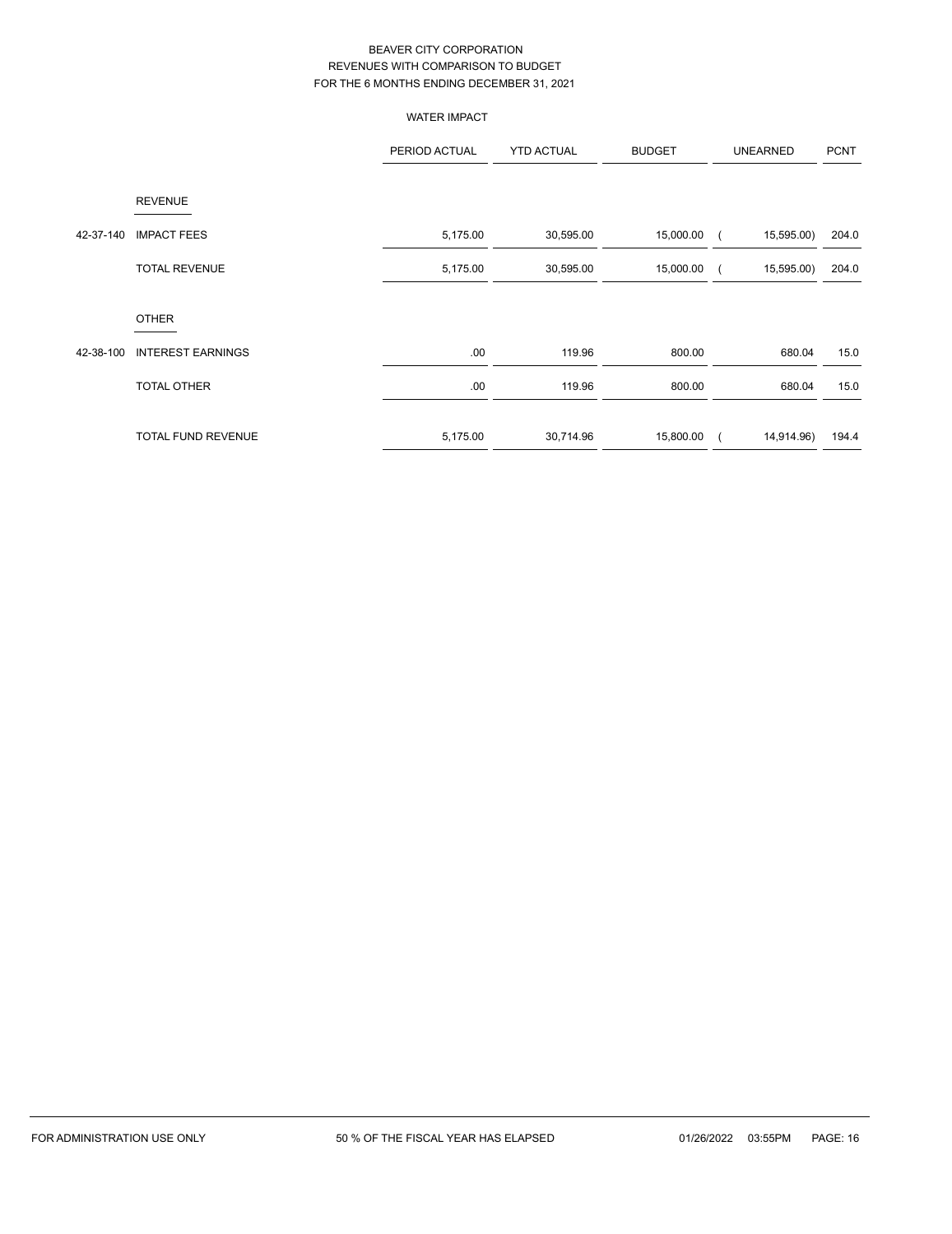|           |                           | <b>WATER IMPACT</b> |                   |               |                          |             |
|-----------|---------------------------|---------------------|-------------------|---------------|--------------------------|-------------|
|           |                           | PERIOD ACTUAL       | <b>YTD ACTUAL</b> | <b>BUDGET</b> | <b>UNEARNED</b>          | <b>PCNT</b> |
|           | <b>REVENUE</b>            |                     |                   |               |                          |             |
| 42-37-140 | <b>IMPACT FEES</b>        | 5,175.00            | 30,595.00         | 15,000.00     | 15,595.00)<br>$\sqrt{2}$ | 204.0       |
|           | <b>TOTAL REVENUE</b>      | 5,175.00            | 30,595.00         | 15,000.00     | 15,595.00)               | 204.0       |
|           | <b>OTHER</b>              |                     |                   |               |                          |             |
| 42-38-100 | <b>INTEREST EARNINGS</b>  | .00                 | 119.96            | 800.00        | 680.04                   | 15.0        |
|           | TOTAL OTHER               | .00                 | 119.96            | 800.00        | 680.04                   | 15.0        |
|           | <b>TOTAL FUND REVENUE</b> | 5,175.00            | 30,714.96         | 15,800.00     | 14,914.96)<br>$\left($   | 194.4       |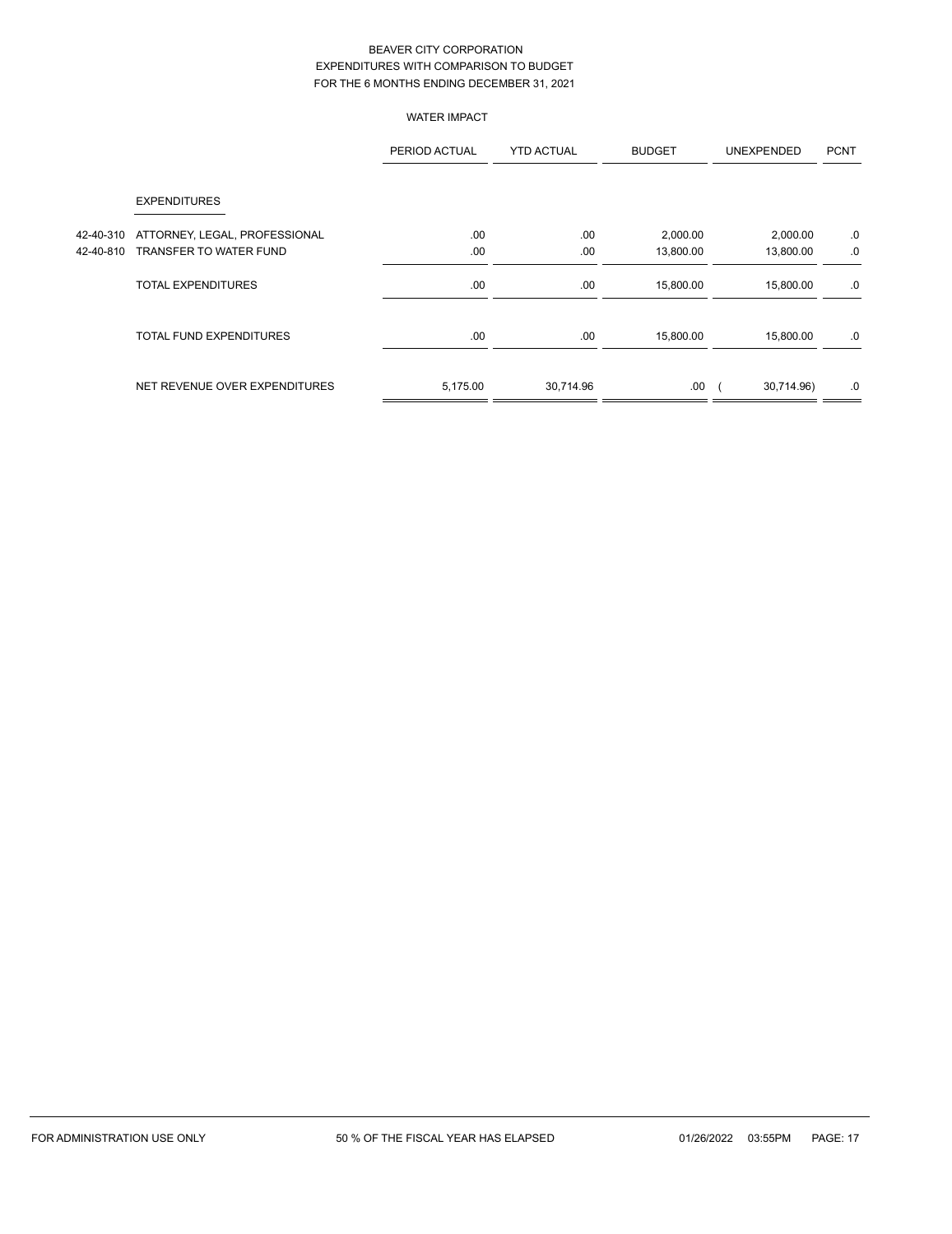WATER IMPACT

|           |                                | PERIOD ACTUAL | <b>YTD ACTUAL</b> | <b>BUDGET</b> | <b>UNEXPENDED</b> | <b>PCNT</b> |
|-----------|--------------------------------|---------------|-------------------|---------------|-------------------|-------------|
|           | <b>EXPENDITURES</b>            |               |                   |               |                   |             |
| 42-40-310 | ATTORNEY, LEGAL, PROFESSIONAL  | .00           | .00               | 2,000.00      | 2,000.00          | .0          |
| 42-40-810 | TRANSFER TO WATER FUND         | .00           | .00               | 13,800.00     | 13,800.00         | .0          |
|           | <b>TOTAL EXPENDITURES</b>      | .00           | .00               | 15,800.00     | 15,800.00         | .0          |
|           | <b>TOTAL FUND EXPENDITURES</b> | .00.          | .00               | 15,800.00     | 15,800.00         | .0          |
|           | NET REVENUE OVER EXPENDITURES  | 5,175.00      | 30,714.96         | .00.          | 30,714.96)        | .0          |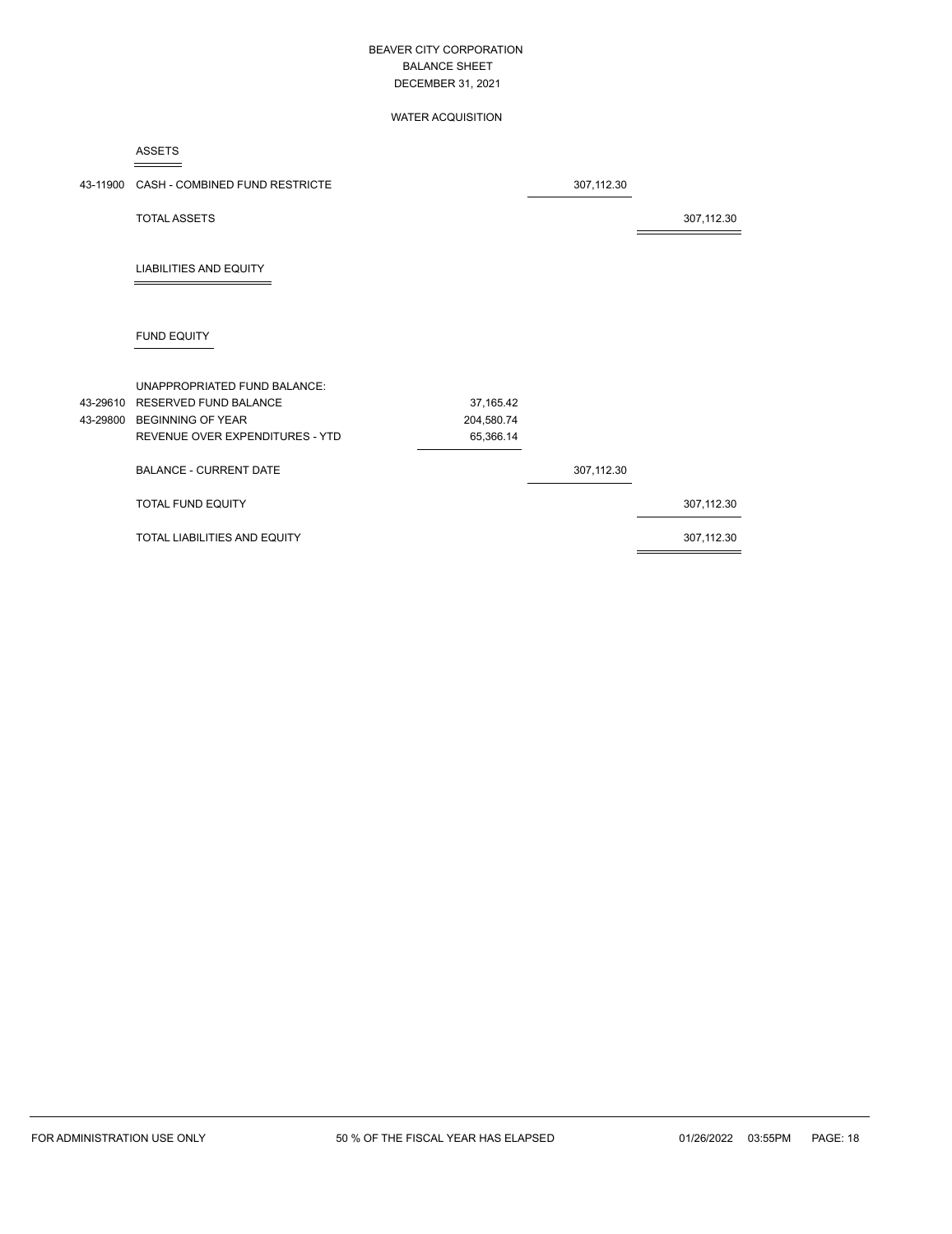#### WATER ACQUISITION

ASSETS

| 43-11900 | CASH - COMBINED FUND RESTRICTE  |            | 307,112.30 |            |
|----------|---------------------------------|------------|------------|------------|
|          | <b>TOTAL ASSETS</b>             |            |            | 307,112.30 |
|          | <b>LIABILITIES AND EQUITY</b>   |            |            |            |
|          | <b>FUND EQUITY</b>              |            |            |            |
|          | UNAPPROPRIATED FUND BALANCE:    |            |            |            |
|          | 43-29610 RESERVED FUND BALANCE  | 37,165.42  |            |            |
|          | 43-29800 BEGINNING OF YEAR      | 204,580.74 |            |            |
|          | REVENUE OVER EXPENDITURES - YTD | 65,366.14  |            |            |
|          | <b>BALANCE - CURRENT DATE</b>   |            | 307,112.30 |            |
|          | TOTAL FUND EQUITY               |            |            | 307,112.30 |
|          | TOTAL LIABILITIES AND EQUITY    |            |            | 307,112.30 |
|          |                                 |            |            |            |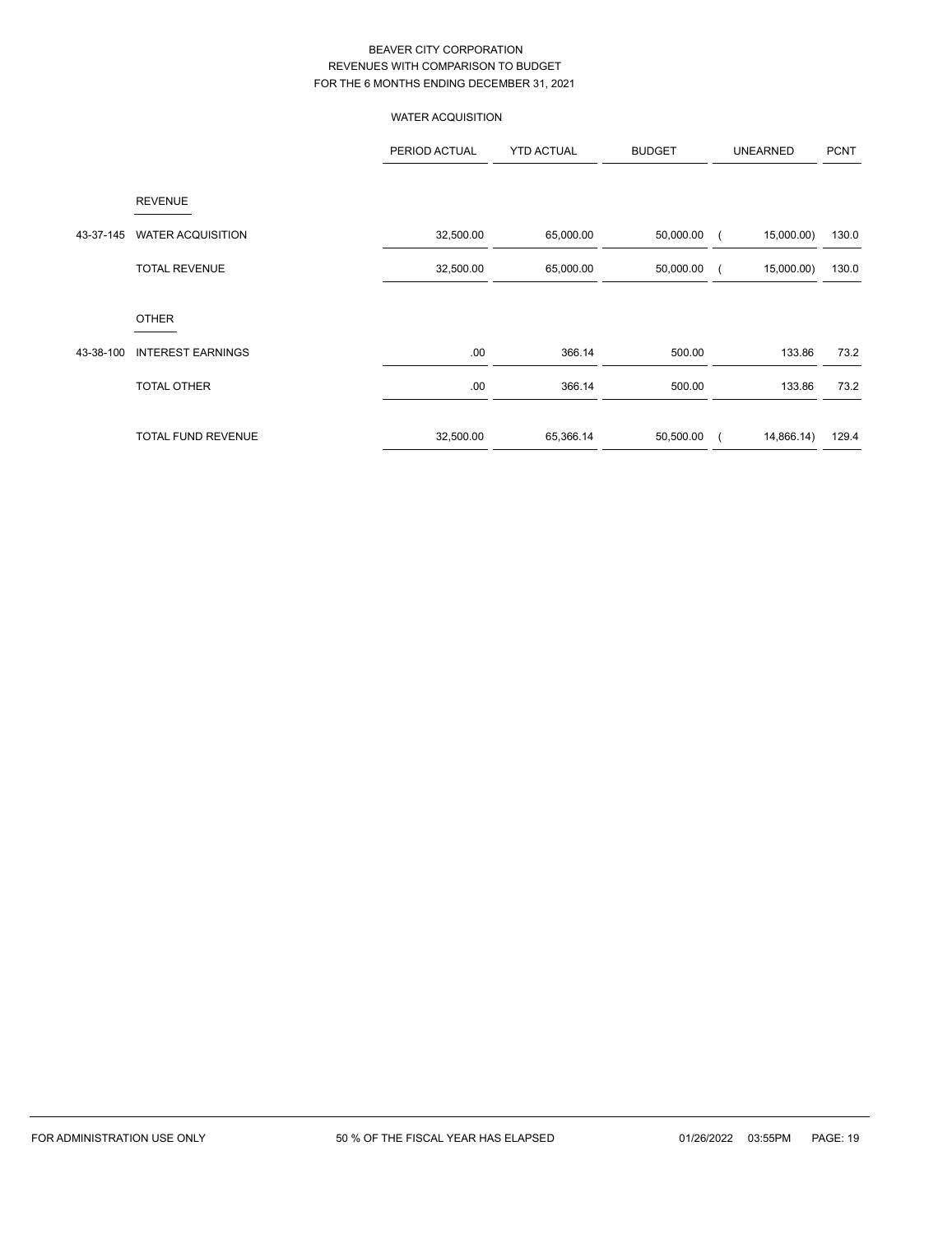WATER ACQUISITION

|           |                           | PERIOD ACTUAL | <b>YTD ACTUAL</b> | <b>BUDGET</b> | <b>UNEARNED</b> | <b>PCNT</b> |
|-----------|---------------------------|---------------|-------------------|---------------|-----------------|-------------|
|           | <b>REVENUE</b>            |               |                   |               |                 |             |
| 43-37-145 | <b>WATER ACQUISITION</b>  | 32,500.00     | 65,000.00         | 50,000.00     | 15,000.00)      | 130.0       |
|           | <b>TOTAL REVENUE</b>      | 32,500.00     | 65,000.00         | 50,000.00     | 15,000.00)      | 130.0       |
|           | <b>OTHER</b>              |               |                   |               |                 |             |
| 43-38-100 | <b>INTEREST EARNINGS</b>  | .00.          | 366.14            | 500.00        | 133.86          | 73.2        |
|           | <b>TOTAL OTHER</b>        | .00.          | 366.14            | 500.00        | 133.86          | 73.2        |
|           | <b>TOTAL FUND REVENUE</b> | 32,500.00     | 65,366.14         | 50,500.00     | 14,866.14)      | 129.4       |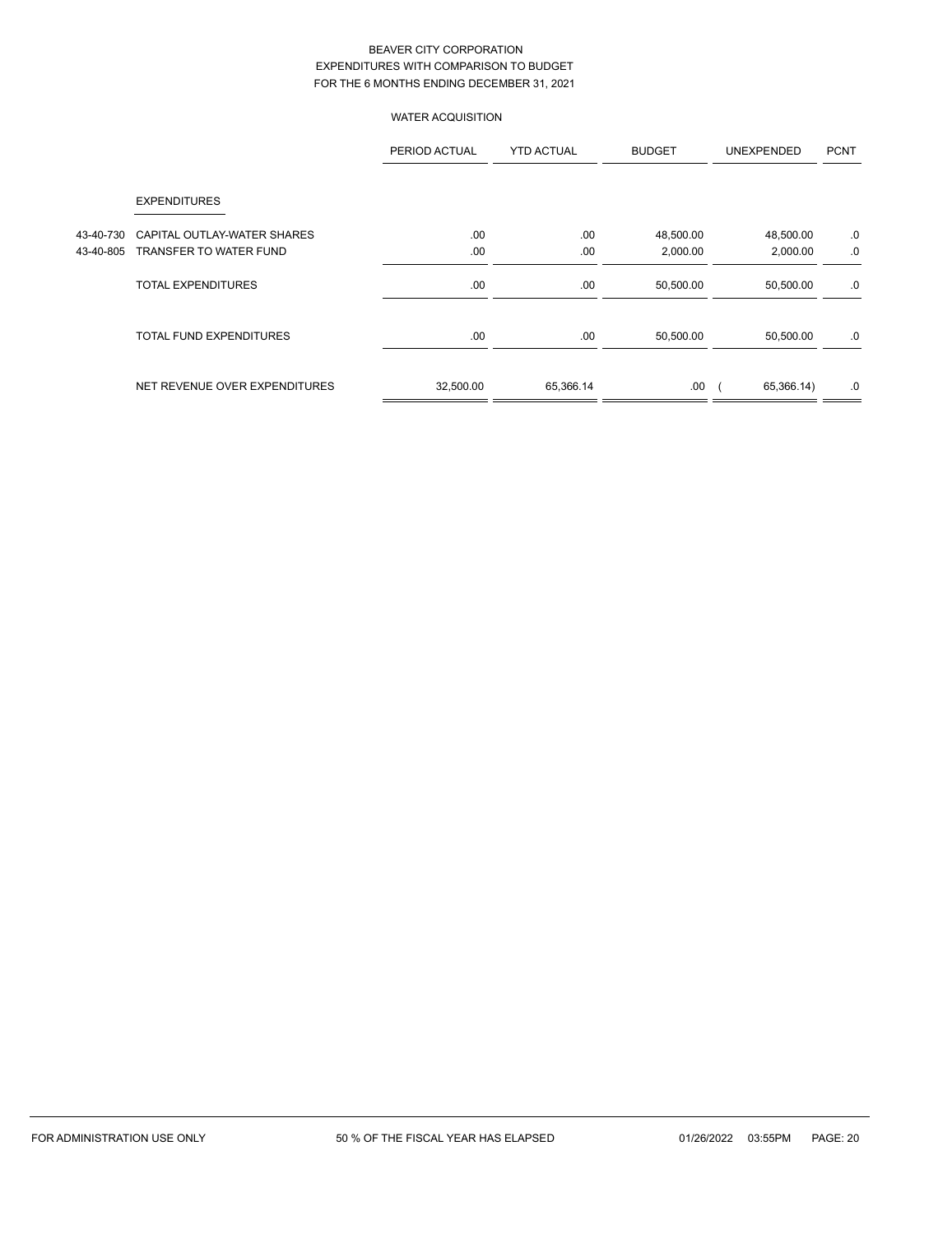# WATER ACQUISITION

|           |                                | PERIOD ACTUAL | <b>YTD ACTUAL</b> | <b>BUDGET</b> | <b>UNEXPENDED</b> | <b>PCNT</b> |
|-----------|--------------------------------|---------------|-------------------|---------------|-------------------|-------------|
|           | <b>EXPENDITURES</b>            |               |                   |               |                   |             |
| 43-40-730 | CAPITAL OUTLAY-WATER SHARES    | .00           | .00               | 48,500.00     | 48,500.00         | .0          |
| 43-40-805 | TRANSFER TO WATER FUND         | .00           | .00               | 2,000.00      | 2,000.00          | .0          |
|           | <b>TOTAL EXPENDITURES</b>      | .00           | .00               | 50,500.00     | 50,500.00         | .0          |
|           | <b>TOTAL FUND EXPENDITURES</b> | .00           | .00               | 50,500.00     | 50,500.00         | .0          |
|           | NET REVENUE OVER EXPENDITURES  | 32,500.00     | 65,366.14         | .00           | 65,366.14)        | .0          |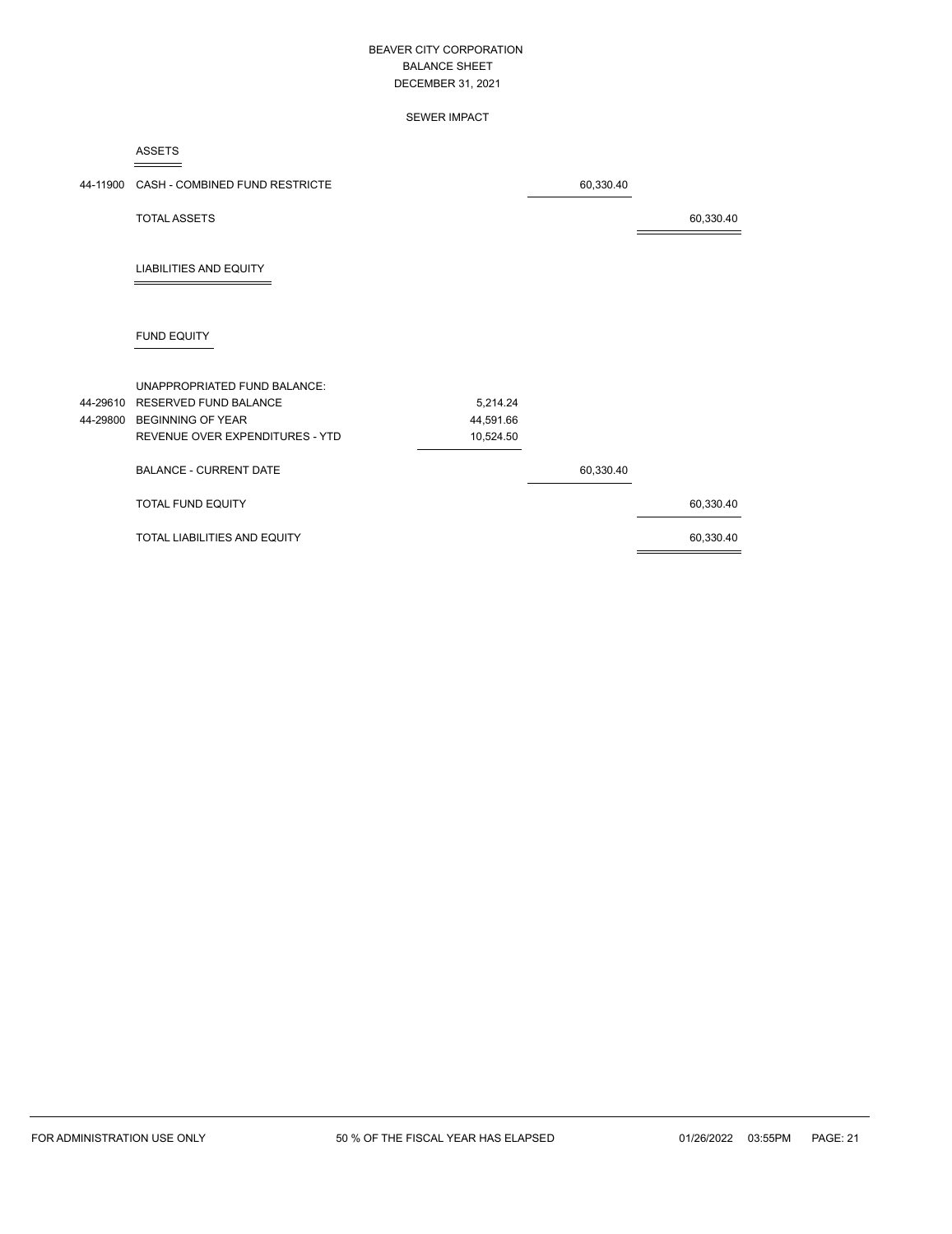#### SEWER IMPACT

ASSETS

| 44-11900 CASH - COMBINED FUND RESTRICTE |           | 60,330.40 |           |
|-----------------------------------------|-----------|-----------|-----------|
| <b>TOTAL ASSETS</b>                     |           |           | 60,330.40 |
| <b>LIABILITIES AND EQUITY</b>           |           |           |           |
| <b>FUND EQUITY</b>                      |           |           |           |
| <b>UNAPPROPRIATED FUND BALANCE:</b>     |           |           |           |
| 44-29610 RESERVED FUND BALANCE          | 5,214.24  |           |           |
| 44-29800 BEGINNING OF YEAR              | 44,591.66 |           |           |
| REVENUE OVER EXPENDITURES - YTD         | 10,524.50 |           |           |
| <b>BALANCE - CURRENT DATE</b>           |           | 60,330.40 |           |
| TOTAL FUND EQUITY                       |           |           | 60,330.40 |
| TOTAL LIABILITIES AND EQUITY            |           |           | 60,330.40 |
|                                         |           |           |           |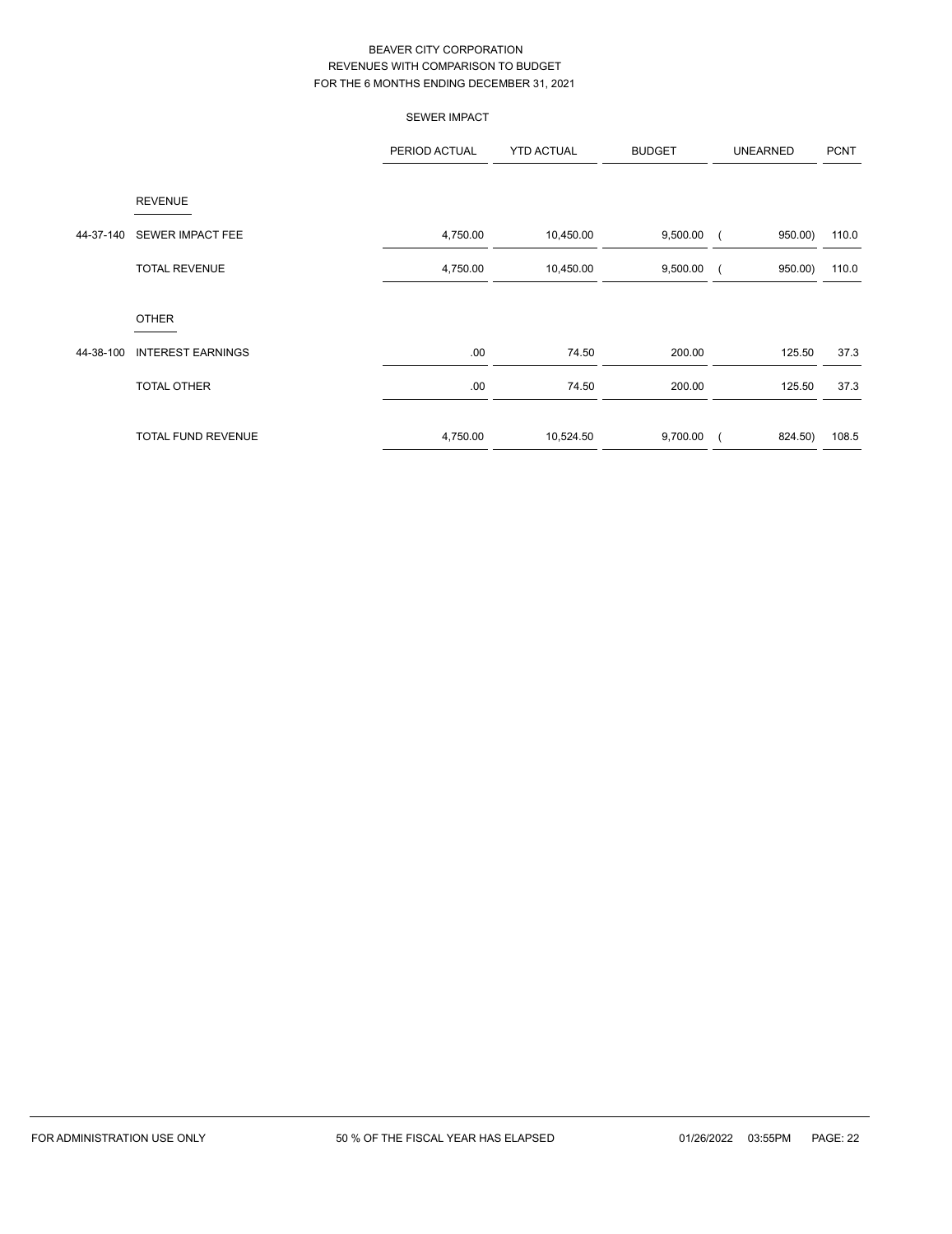|           |                           | <b>SEWER IMPACT</b> |                   |               |                     |             |
|-----------|---------------------------|---------------------|-------------------|---------------|---------------------|-------------|
|           |                           | PERIOD ACTUAL       | <b>YTD ACTUAL</b> | <b>BUDGET</b> | <b>UNEARNED</b>     | <b>PCNT</b> |
|           | <b>REVENUE</b>            |                     |                   |               |                     |             |
| 44-37-140 | <b>SEWER IMPACT FEE</b>   | 4,750.00            | 10,450.00         | 9,500.00      | 950.00)             | 110.0       |
|           | <b>TOTAL REVENUE</b>      | 4,750.00            | 10,450.00         | 9,500.00      | 950.00)             | 110.0       |
|           | <b>OTHER</b>              |                     |                   |               |                     |             |
| 44-38-100 | <b>INTEREST EARNINGS</b>  | .00                 | 74.50             | 200.00        | 125.50              | 37.3        |
|           | TOTAL OTHER               | .00                 | 74.50             | 200.00        | 125.50              | 37.3        |
|           | <b>TOTAL FUND REVENUE</b> | 4,750.00            | 10,524.50         | 9,700.00      | 824.50)<br>$\left($ | 108.5       |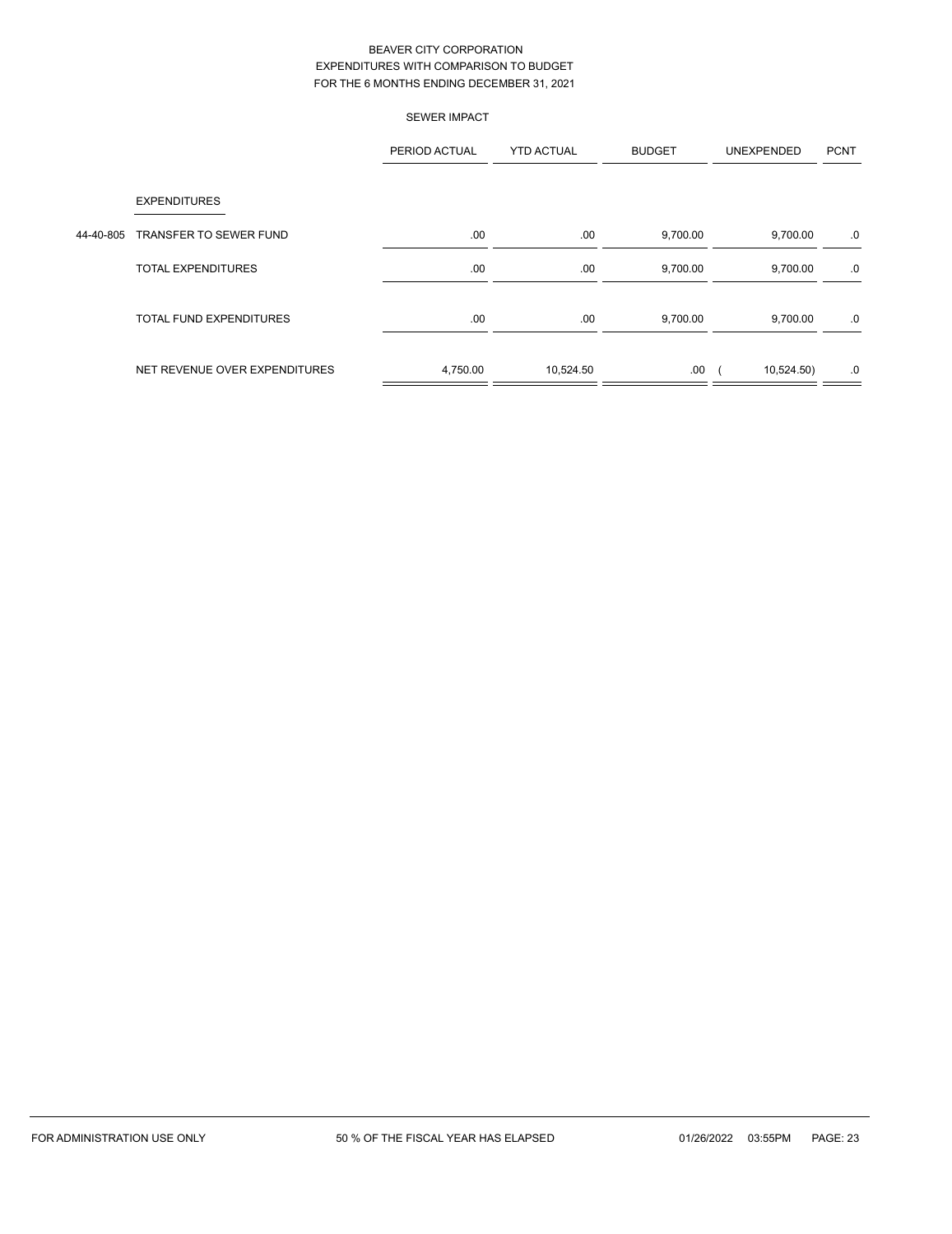|           | <b>SEWER IMPACT</b>            |               |                   |               |            |             |
|-----------|--------------------------------|---------------|-------------------|---------------|------------|-------------|
|           |                                | PERIOD ACTUAL | <b>YTD ACTUAL</b> | <b>BUDGET</b> | UNEXPENDED | <b>PCNT</b> |
|           | <b>EXPENDITURES</b>            |               |                   |               |            |             |
| 44-40-805 | <b>TRANSFER TO SEWER FUND</b>  | .00.          | .00               | 9,700.00      | 9,700.00   | .0          |
|           | <b>TOTAL EXPENDITURES</b>      | .00.          | .00               | 9,700.00      | 9,700.00   | .0          |
|           | <b>TOTAL FUND EXPENDITURES</b> | .00.          | .00               | 9,700.00      | 9,700.00   | .0          |
|           | NET REVENUE OVER EXPENDITURES  | 4,750.00      | 10,524.50         | .00.          | 10,524.50) | .0          |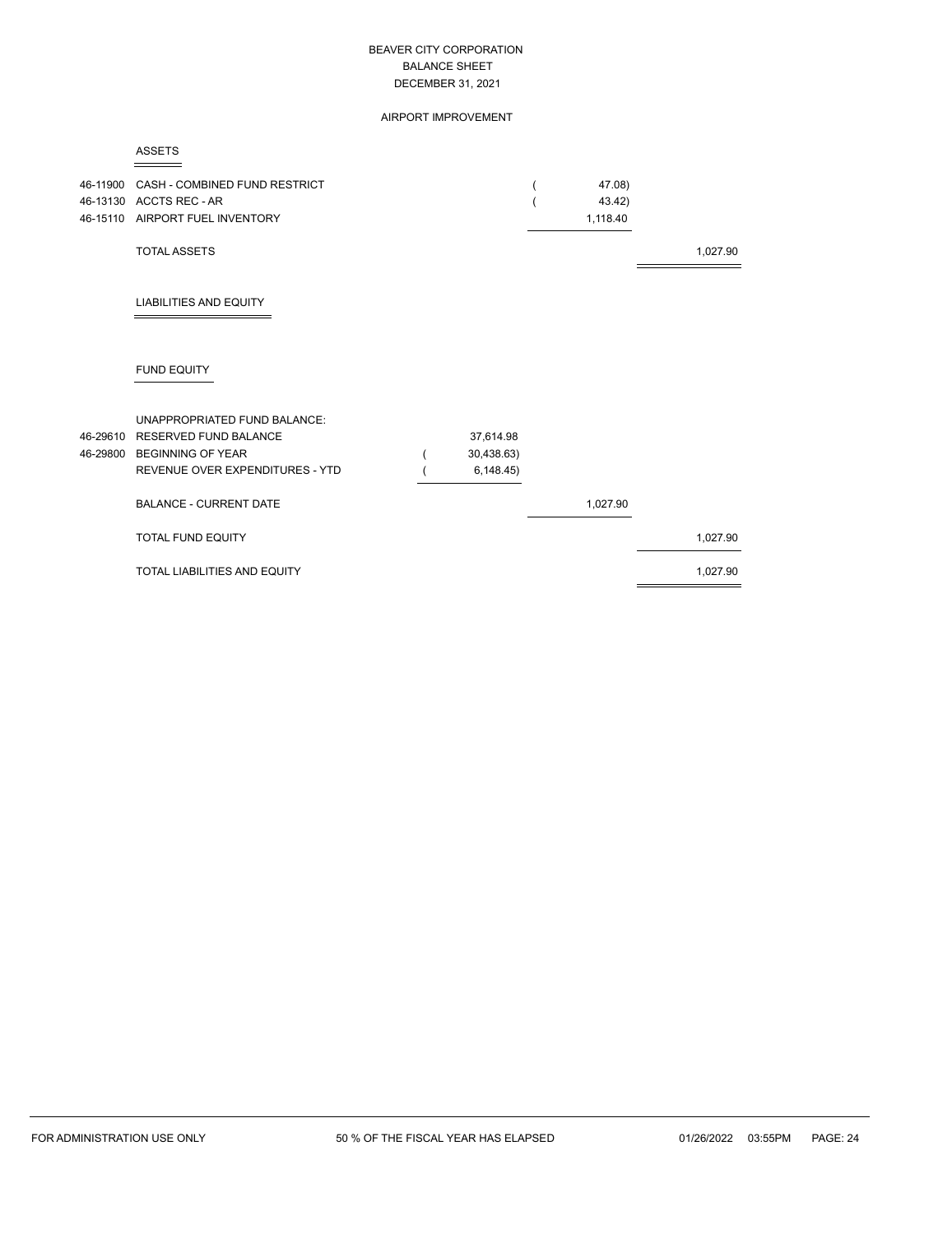AIRPORT IMPROVEMENT

|--|

| 46-11900 | CASH - COMBINED FUND RESTRICT<br>46-13130 ACCTS REC - AR<br>46-15110 AIRPORT FUEL INVENTORY                                   |                                      | 47.08)<br>43.42)<br>1,118.40 |          |
|----------|-------------------------------------------------------------------------------------------------------------------------------|--------------------------------------|------------------------------|----------|
|          | <b>TOTAL ASSETS</b>                                                                                                           |                                      |                              | 1,027.90 |
|          | <b>LIABILITIES AND EQUITY</b>                                                                                                 |                                      |                              |          |
|          | <b>FUND EQUITY</b>                                                                                                            |                                      |                              |          |
| 46-29610 | <b>UNAPPROPRIATED FUND BALANCE:</b><br>RESERVED FUND BALANCE<br>46-29800 BEGINNING OF YEAR<br>REVENUE OVER EXPENDITURES - YTD | 37,614.98<br>30,438.63)<br>6,148.45) |                              |          |
|          | <b>BALANCE - CURRENT DATE</b>                                                                                                 |                                      | 1,027.90                     |          |
|          | <b>TOTAL FUND EQUITY</b>                                                                                                      |                                      |                              | 1,027.90 |
|          | <b>TOTAL LIABILITIES AND EQUITY</b>                                                                                           |                                      |                              | 1,027.90 |
|          |                                                                                                                               |                                      |                              |          |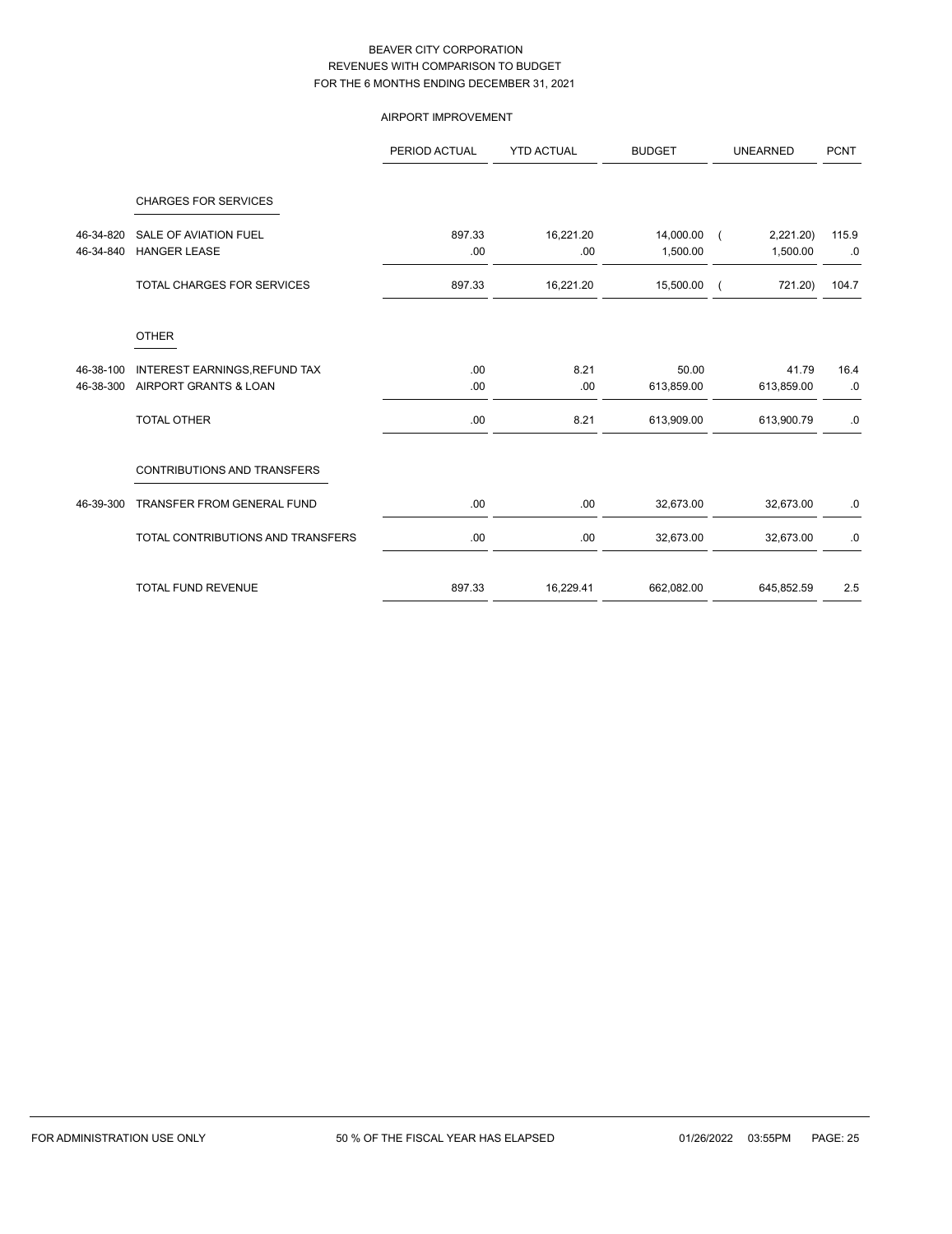# AIRPORT IMPROVEMENT

|                        |                                                        | PERIOD ACTUAL | <b>YTD ACTUAL</b> | <b>BUDGET</b>         | <b>UNEARNED</b>                        | <b>PCNT</b> |
|------------------------|--------------------------------------------------------|---------------|-------------------|-----------------------|----------------------------------------|-------------|
|                        | <b>CHARGES FOR SERVICES</b>                            |               |                   |                       |                                        |             |
| 46-34-820<br>46-34-840 | <b>SALE OF AVIATION FUEL</b><br><b>HANGER LEASE</b>    | 897.33<br>.00 | 16,221.20<br>.00  | 14,000.00<br>1,500.00 | 2,221.20<br>$\overline{ }$<br>1,500.00 | 115.9<br>.0 |
|                        | TOTAL CHARGES FOR SERVICES                             | 897.33        | 16,221.20         | 15,500.00             | 721.20)                                | 104.7       |
|                        | <b>OTHER</b>                                           |               |                   |                       |                                        |             |
| 46-38-100<br>46-38-300 | INTEREST EARNINGS, REFUND TAX<br>AIRPORT GRANTS & LOAN | .00<br>.00    | 8.21<br>.00       | 50.00<br>613,859.00   | 41.79<br>613,859.00                    | 16.4<br>.0  |
|                        | <b>TOTAL OTHER</b>                                     | .00           | 8.21              | 613,909.00            | 613,900.79                             | .0          |
|                        | <b>CONTRIBUTIONS AND TRANSFERS</b>                     |               |                   |                       |                                        |             |
| 46-39-300              | TRANSFER FROM GENERAL FUND                             | .00           | .00               | 32,673.00             | 32,673.00                              | .0          |
|                        | TOTAL CONTRIBUTIONS AND TRANSFERS                      | .00           | .00               | 32,673.00             | 32,673.00                              | .0          |
|                        | <b>TOTAL FUND REVENUE</b>                              | 897.33        | 16,229.41         | 662,082.00            | 645,852.59                             | 2.5         |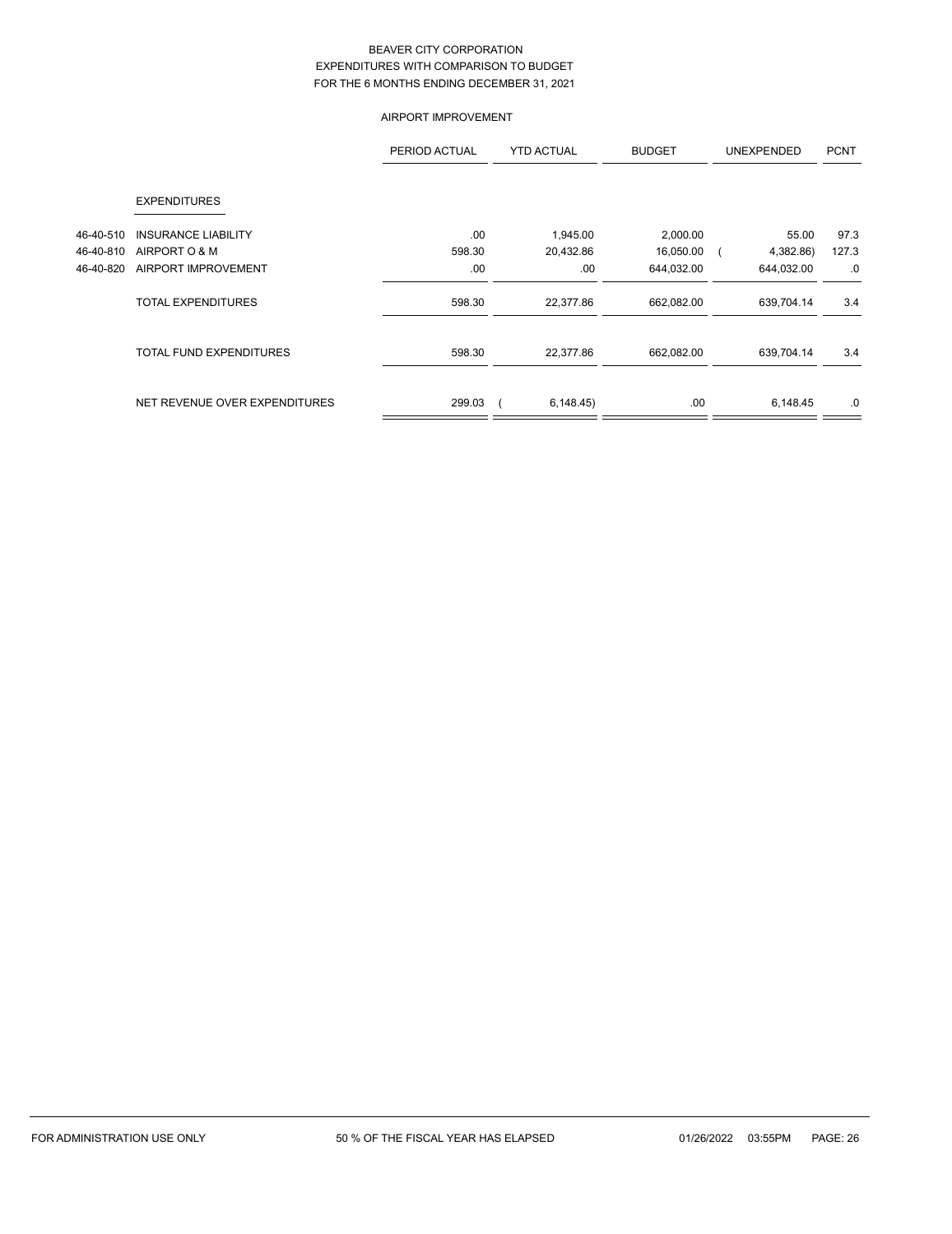## AIRPORT IMPROVEMENT

|           |                                | PERIOD ACTUAL | <b>YTD ACTUAL</b> | <b>BUDGET</b> | <b>UNEXPENDED</b> | <b>PCNT</b> |
|-----------|--------------------------------|---------------|-------------------|---------------|-------------------|-------------|
|           | <b>EXPENDITURES</b>            |               |                   |               |                   |             |
| 46-40-510 | <b>INSURANCE LIABILITY</b>     | .00           | 1,945.00          | 2,000.00      | 55.00             | 97.3        |
| 46-40-810 | AIRPORT O & M                  | 598.30        | 20,432.86         | 16,050.00     | 4,382.86)         | 127.3       |
| 46-40-820 | AIRPORT IMPROVEMENT            | .00           | .00               | 644,032.00    | 644,032.00        | .0          |
|           | <b>TOTAL EXPENDITURES</b>      | 598.30        | 22,377.86         | 662,082.00    | 639,704.14        | 3.4         |
|           | <b>TOTAL FUND EXPENDITURES</b> | 598.30        | 22,377.86         | 662,082.00    | 639,704.14        | 3.4         |
|           | NET REVENUE OVER EXPENDITURES  | 299.03        | 6,148.45          | .00           | 6,148.45          | .0          |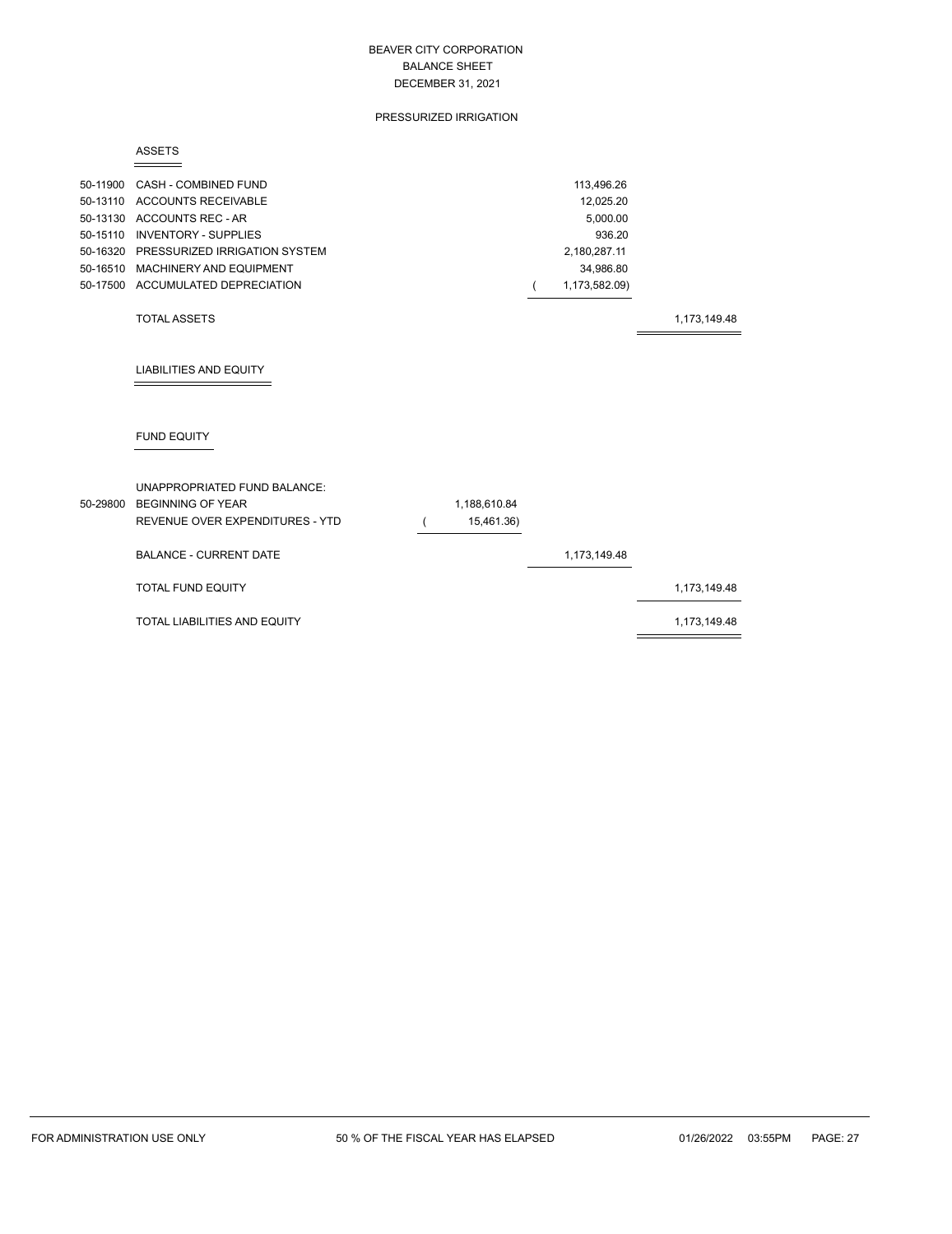#### PRESSURIZED IRRIGATION

#### ASSETS

| 50-11900 CASH - COMBINED FUND          | 113.496.26    |
|----------------------------------------|---------------|
| 50-13110 ACCOUNTS RECEIVABLE           | 12.025.20     |
| 50-13130 ACCOUNTS REC - AR             | 5.000.00      |
| 50-15110 INVENTORY - SUPPLIES          | 936.20        |
| 50-16320 PRESSURIZED IRRIGATION SYSTEM | 2.180.287.11  |
| 50-16510 MACHINERY AND EQUIPMENT       | 34.986.80     |
| 50-17500 ACCUMULATED DEPRECIATION      | 1,173,582.09) |
|                                        |               |

#### TOTAL ASSETS 1,173,149.48

# LIABILITIES AND EQUITY

# FUND EQUITY

| 50-29800 | UNAPPROPRIATED FUND BALANCE:<br>BEGINNING OF YEAR<br>REVENUE OVER EXPENDITURES - YTD | 1,188,610.84<br>15,461.36) |              |              |
|----------|--------------------------------------------------------------------------------------|----------------------------|--------------|--------------|
|          | <b>BALANCE - CURRENT DATE</b>                                                        |                            | 1,173,149.48 |              |
|          | <b>TOTAL FUND EQUITY</b>                                                             |                            |              | 1,173,149.48 |
|          | TOTAL LIABILITIES AND EQUITY                                                         |                            |              | 1,173,149.48 |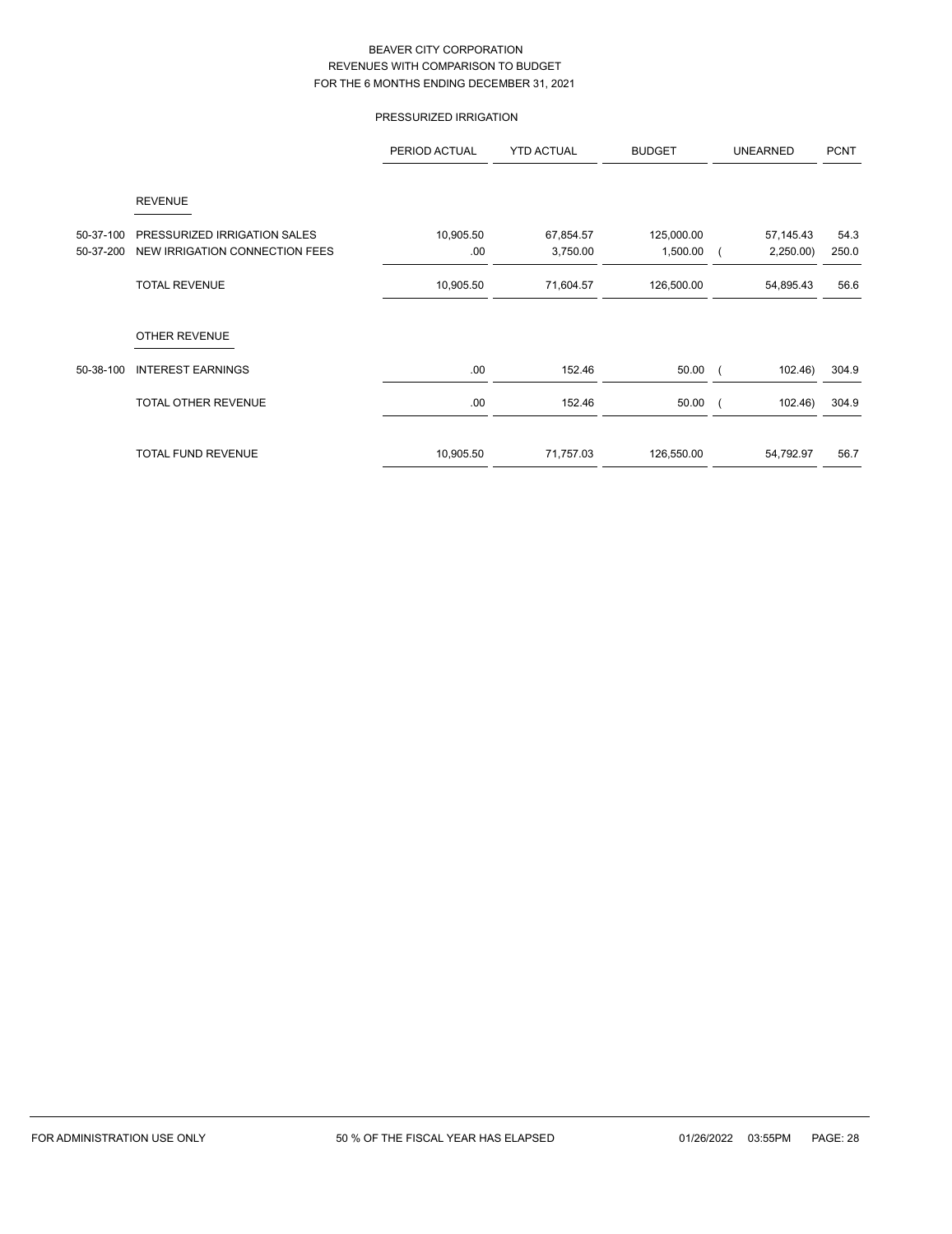# PRESSURIZED IRRIGATION

|           |                                | PERIOD ACTUAL | <b>YTD ACTUAL</b> | <b>BUDGET</b> | <b>UNEARNED</b> | <b>PCNT</b> |
|-----------|--------------------------------|---------------|-------------------|---------------|-----------------|-------------|
|           | <b>REVENUE</b>                 |               |                   |               |                 |             |
| 50-37-100 | PRESSURIZED IRRIGATION SALES   | 10,905.50     | 67,854.57         | 125,000.00    | 57,145.43       | 54.3        |
| 50-37-200 | NEW IRRIGATION CONNECTION FEES | .00.          | 3,750.00          | 1,500.00      | 2,250.00        | 250.0       |
|           | <b>TOTAL REVENUE</b>           | 10,905.50     | 71,604.57         | 126,500.00    | 54,895.43       | 56.6        |
|           | <b>OTHER REVENUE</b>           |               |                   |               |                 |             |
| 50-38-100 | <b>INTEREST EARNINGS</b>       | .00.          | 152.46            | 50.00         | 102.46          | 304.9       |
|           | <b>TOTAL OTHER REVENUE</b>     | .00.          | 152.46            | 50.00         | 102.46          | 304.9       |
|           | <b>TOTAL FUND REVENUE</b>      | 10,905.50     | 71,757.03         | 126,550.00    | 54,792.97       | 56.7        |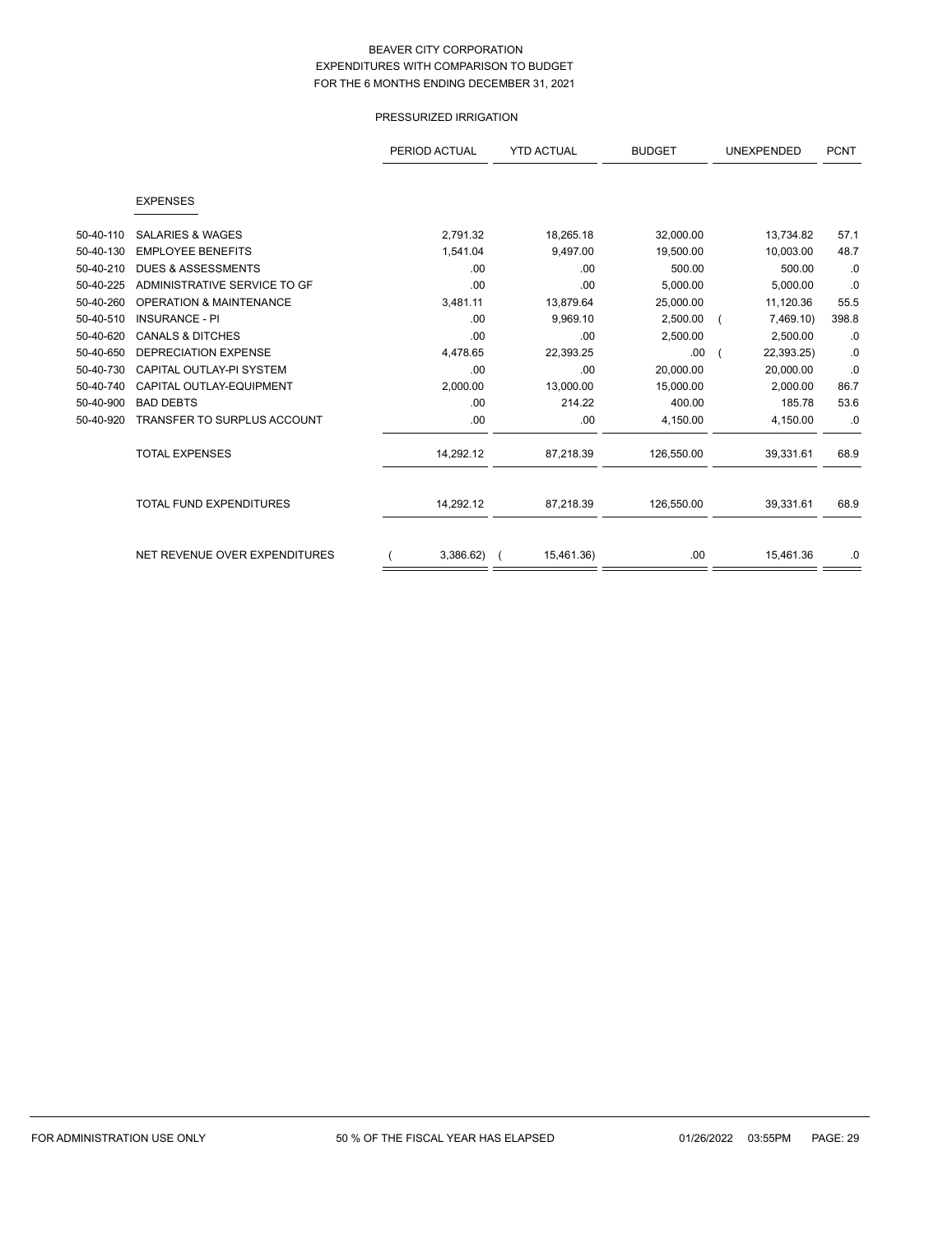# PRESSURIZED IRRIGATION

|           |                                    | PERIOD ACTUAL | <b>YTD ACTUAL</b> | <b>BUDGET</b> | <b>UNEXPENDED</b> |       |
|-----------|------------------------------------|---------------|-------------------|---------------|-------------------|-------|
|           | <b>EXPENSES</b>                    |               |                   |               |                   |       |
|           |                                    |               |                   |               |                   |       |
| 50-40-110 | <b>SALARIES &amp; WAGES</b>        | 2,791.32      | 18,265.18         | 32,000.00     | 13,734.82         | 57.1  |
| 50-40-130 | <b>EMPLOYEE BENEFITS</b>           | 1,541.04      | 9,497.00          | 19,500.00     | 10,003.00         | 48.7  |
| 50-40-210 | <b>DUES &amp; ASSESSMENTS</b>      | .00           | .00               | 500.00        | 500.00            | .0    |
| 50-40-225 | ADMINISTRATIVE SERVICE TO GF       | .00           | .00               | 5,000.00      | 5,000.00          | .0    |
| 50-40-260 | <b>OPERATION &amp; MAINTENANCE</b> | 3,481.11      | 13,879.64         | 25,000.00     | 11,120.36         | 55.5  |
| 50-40-510 | <b>INSURANCE - PI</b>              | .00           | 9,969.10          | 2,500.00      | 7,469.10)         | 398.8 |
| 50-40-620 | <b>CANALS &amp; DITCHES</b>        | .00           | .00               | 2,500.00      | 2,500.00          | .0    |
| 50-40-650 | <b>DEPRECIATION EXPENSE</b>        | 4,478.65      | 22,393.25         | .00.          | 22,393.25)        | .0    |
| 50-40-730 | CAPITAL OUTLAY-PI SYSTEM           | .00           | .00               | 20.000.00     | 20.000.00         | .0    |
| 50-40-740 | CAPITAL OUTLAY-EQUIPMENT           | 2,000.00      | 13,000.00         | 15,000.00     | 2,000.00          | 86.7  |
| 50-40-900 | <b>BAD DEBTS</b>                   | .00           | 214.22            | 400.00        | 185.78            | 53.6  |
| 50-40-920 | <b>TRANSFER TO SURPLUS ACCOUNT</b> | .00           | .00               | 4,150.00      | 4,150.00          | .0    |
|           | <b>TOTAL EXPENSES</b>              | 14,292.12     | 87,218.39         | 126,550.00    | 39,331.61         | 68.9  |
|           | <b>TOTAL FUND EXPENDITURES</b>     | 14,292.12     | 87,218.39         | 126,550.00    | 39,331.61         | 68.9  |
|           | NET REVENUE OVER EXPENDITURES      | $3,386.62$ (  | 15,461.36)        | .00           | 15,461.36         | .0    |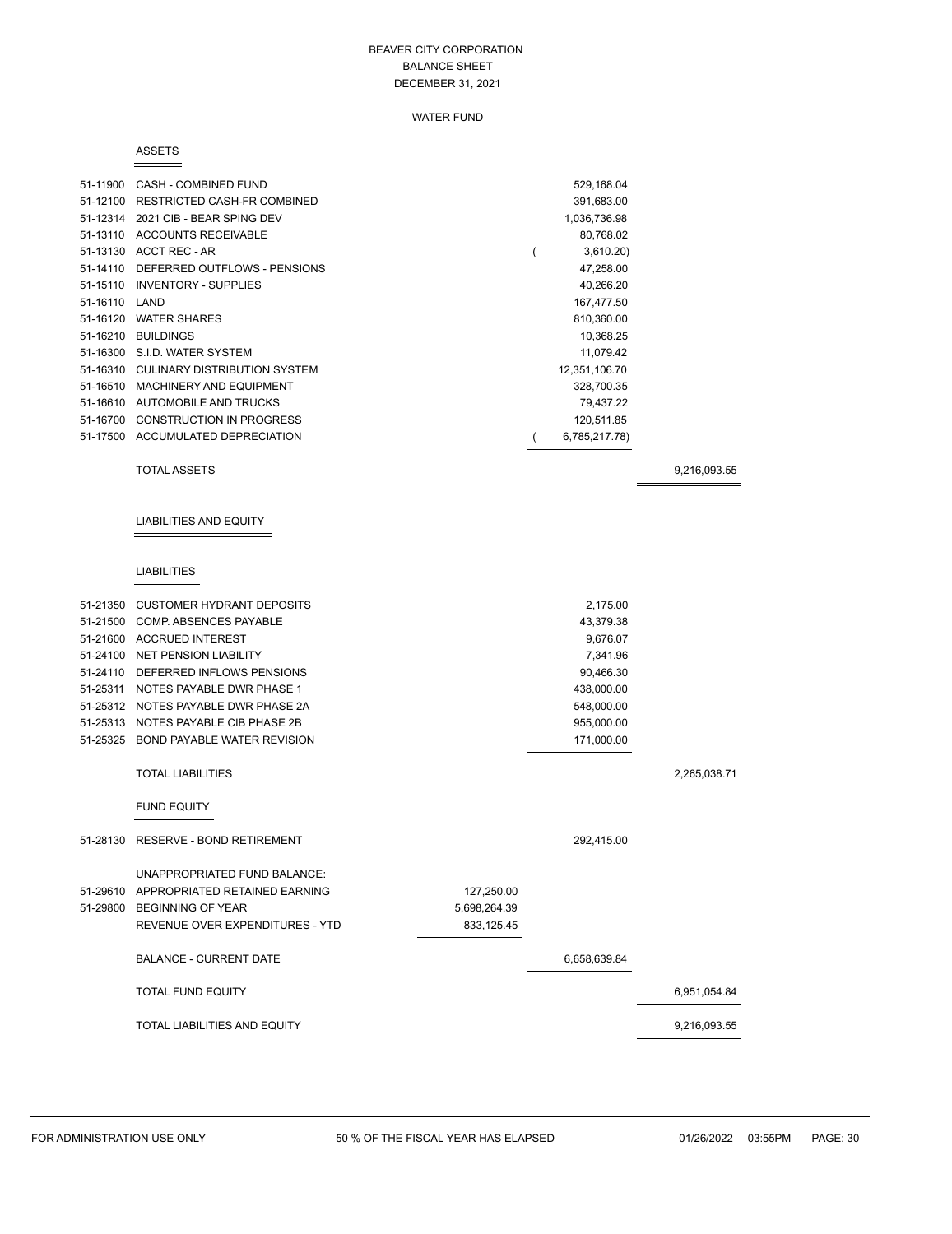#### WATER FUND

#### ASSETS

| 51-11900 | CASH - COMBINED FUND         | 529,168.04    |  |
|----------|------------------------------|---------------|--|
| 51-12100 | RESTRICTED CASH-FR COMBINED  | 391,683.00    |  |
| 51-12314 | 2021 CIB - BEAR SPING DEV    | 1,036,736.98  |  |
| 51-13110 | <b>ACCOUNTS RECEIVABLE</b>   | 80,768.02     |  |
| 51-13130 | ACCT REC - AR                | 3,610.20      |  |
| 51-14110 | DEFERRED OUTFLOWS - PENSIONS | 47,258.00     |  |
| 51-15110 | <b>INVENTORY - SUPPLIES</b>  | 40,266.20     |  |
| 51-16110 | LAND                         | 167,477.50    |  |
| 51-16120 | <b>WATER SHARES</b>          | 810,360.00    |  |
| 51-16210 | <b>BUILDINGS</b>             | 10.368.25     |  |
|          | 51-16300 S.I.D. WATER SYSTEM | 11.079.42     |  |
| 51-16310 | CULINARY DISTRIBUTION SYSTEM | 12,351,106.70 |  |
| 51-16510 | MACHINERY AND EQUIPMENT      | 328,700.35    |  |
| 51-16610 | AUTOMOBILE AND TRUCKS        | 79,437.22     |  |
| 51-16700 | CONSTRUCTION IN PROGRESS     | 120,511.85    |  |
| 51-17500 | ACCUMULATED DEPRECIATION     | 6,785,217.78) |  |

TOTAL ASSETS 9,216,093.55

# LIABILITIES AND EQUITY

#### LIABILITIES

| 51-21350 CUSTOMER HYDRANT DEPOSITS     |              | 2,175.00     |              |
|----------------------------------------|--------------|--------------|--------------|
| 51-21500 COMP. ABSENCES PAYABLE        |              | 43,379.38    |              |
| 51-21600 ACCRUED INTEREST              |              | 9,676.07     |              |
| 51-24100 NET PENSION LIABILITY         |              | 7,341.96     |              |
| 51-24110 DEFERRED INFLOWS PENSIONS     |              | 90,466.30    |              |
| 51-25311 NOTES PAYABLE DWR PHASE 1     |              | 438,000.00   |              |
| 51-25312 NOTES PAYABLE DWR PHASE 2A    |              | 548,000.00   |              |
| 51-25313 NOTES PAYABLE CIB PHASE 2B    |              | 955,000.00   |              |
| 51-25325 BOND PAYABLE WATER REVISION   |              | 171,000.00   |              |
|                                        |              |              |              |
| <b>TOTAL LIABILITIES</b>               |              |              | 2,265,038.71 |
| <b>FUND EQUITY</b>                     |              |              |              |
|                                        |              |              |              |
| 51-28130 RESERVE - BOND RETIREMENT     |              | 292,415.00   |              |
| UNAPPROPRIATED FUND BALANCE:           |              |              |              |
| 51-29610 APPROPRIATED RETAINED EARNING | 127,250.00   |              |              |
| 51-29800 BEGINNING OF YEAR             | 5,698,264.39 |              |              |
| REVENUE OVER EXPENDITURES - YTD        | 833,125.45   |              |              |
|                                        |              |              |              |
| <b>BALANCE - CURRENT DATE</b>          |              | 6,658,639.84 |              |
| <b>TOTAL FUND EQUITY</b>               |              |              | 6,951,054.84 |
| <b>TOTAL LIABILITIES AND EQUITY</b>    |              |              | 9,216,093.55 |
|                                        |              |              |              |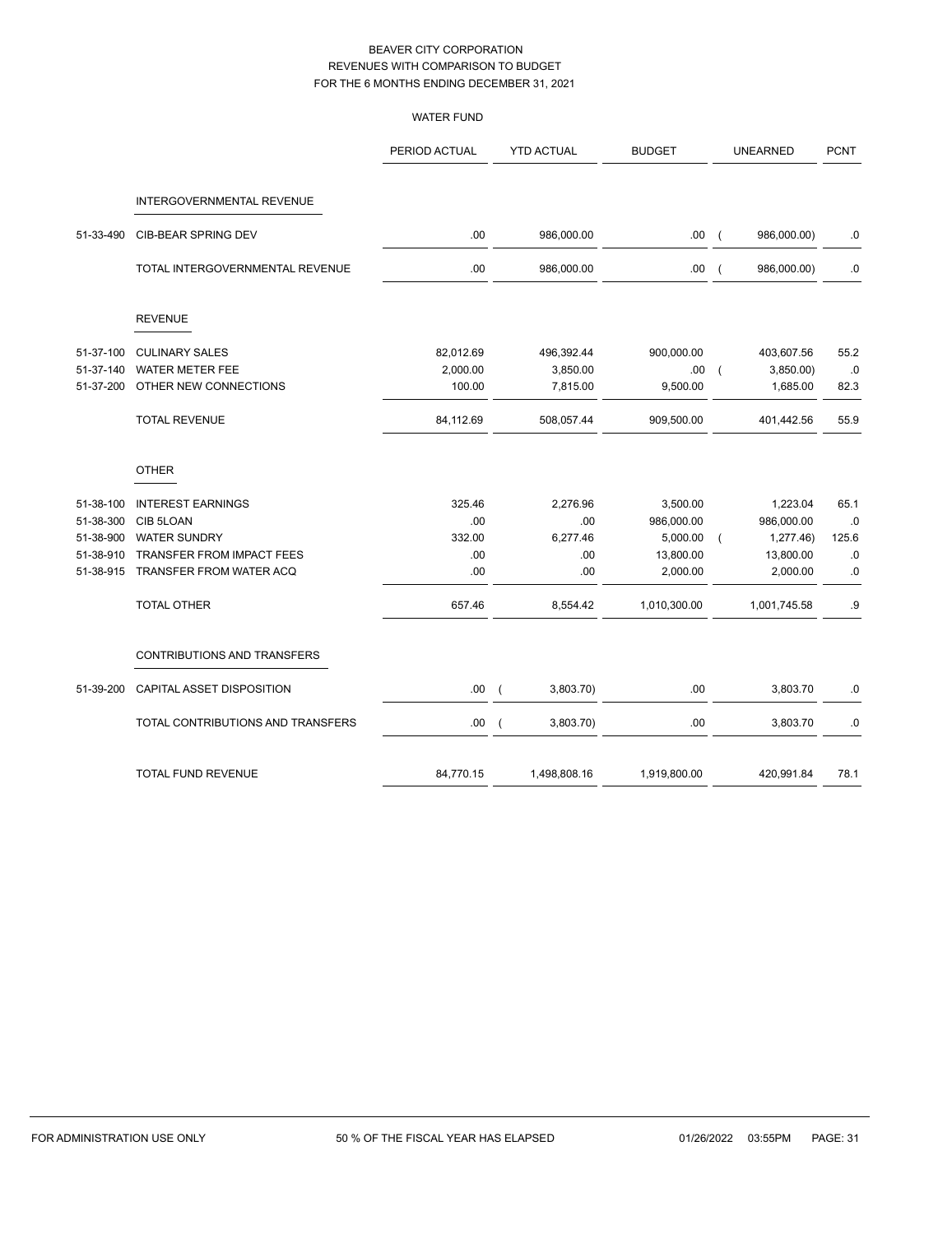|           |                                   | <b>WATER FUND</b> |                             |                   |                |                 |             |
|-----------|-----------------------------------|-------------------|-----------------------------|-------------------|----------------|-----------------|-------------|
|           |                                   | PERIOD ACTUAL     | <b>YTD ACTUAL</b>           | <b>BUDGET</b>     |                | <b>UNEARNED</b> | <b>PCNT</b> |
|           | INTERGOVERNMENTAL REVENUE         |                   |                             |                   |                |                 |             |
| 51-33-490 | CIB-BEAR SPRING DEV               | .00               | 986,000.00                  | .00(              |                | 986,000.00)     | $\cdot$ 0   |
|           | TOTAL INTERGOVERNMENTAL REVENUE   | .00               | 986,000.00                  | .00.              | $\overline{ }$ | 986,000.00)     | .0          |
|           | <b>REVENUE</b>                    |                   |                             |                   |                |                 |             |
| 51-37-100 | <b>CULINARY SALES</b>             | 82,012.69         | 496,392.44                  | 900,000.00        |                | 403,607.56      | 55.2        |
| 51-37-140 | <b>WATER METER FEE</b>            | 2,000.00          | 3,850.00                    | .00.              | $\overline{ }$ | 3,850.00        | .0          |
| 51-37-200 | OTHER NEW CONNECTIONS             | 100.00            | 7,815.00                    | 9,500.00          |                | 1,685.00        | 82.3        |
|           | <b>TOTAL REVENUE</b>              | 84,112.69         | 508,057.44                  | 909,500.00        |                | 401,442.56      | 55.9        |
|           | <b>OTHER</b>                      |                   |                             |                   |                |                 |             |
| 51-38-100 | <b>INTEREST EARNINGS</b>          | 325.46            | 2,276.96                    | 3,500.00          |                | 1,223.04        | 65.1        |
| 51-38-300 | CIB 5LOAN                         | .00               |                             | .00<br>986,000.00 |                | 986,000.00      | .0          |
| 51-38-900 | <b>WATER SUNDRY</b>               | 332.00            | 6,277.46                    | 5,000.00          | $\overline{ }$ | 1,277.46)       | 125.6       |
| 51-38-910 | TRANSFER FROM IMPACT FEES         | .00               |                             | .00<br>13,800.00  |                | 13,800.00       | $.0\,$      |
| 51-38-915 | TRANSFER FROM WATER ACQ           | .00               |                             | .00<br>2,000.00   |                | 2,000.00        | .0          |
|           | <b>TOTAL OTHER</b>                | 657.46            | 8,554.42                    | 1,010,300.00      |                | 1,001,745.58    | .9          |
|           | CONTRIBUTIONS AND TRANSFERS       |                   |                             |                   |                |                 |             |
| 51-39-200 | CAPITAL ASSET DISPOSITION         | .00.              | 3,803.70)<br>$\overline{ }$ | .00               |                | 3,803.70        | $\cdot$ 0   |
|           | TOTAL CONTRIBUTIONS AND TRANSFERS | .00.              | 3,803.70)<br>$\overline{ }$ | .00               |                | 3,803.70        | .0          |
|           | <b>TOTAL FUND REVENUE</b>         | 84,770.15         | 1,498,808.16                | 1,919,800.00      |                | 420,991.84      | 78.1        |
|           |                                   |                   |                             |                   |                |                 |             |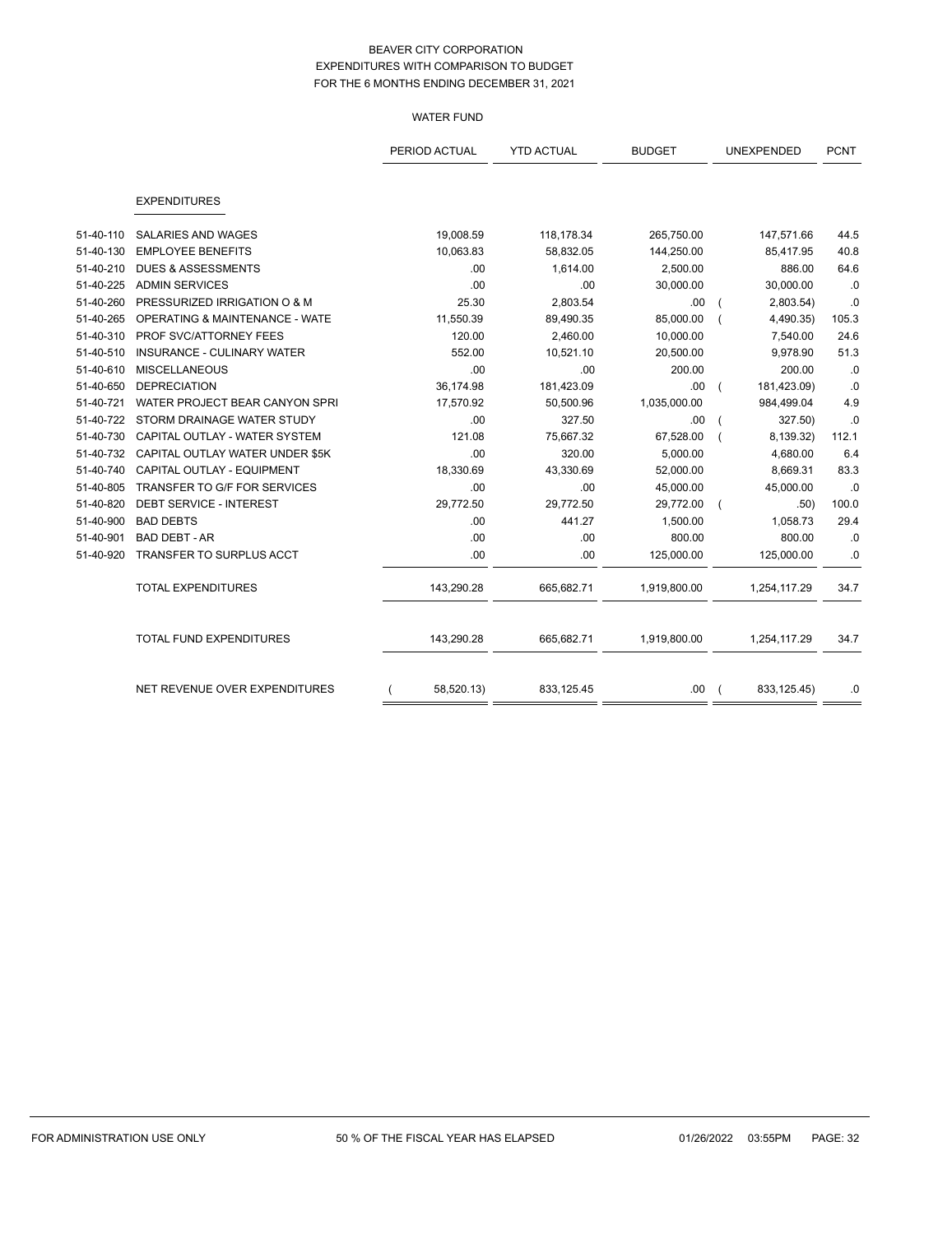#### WATER FUND

|           |                                           | PERIOD ACTUAL | <b>YTD ACTUAL</b> | <b>BUDGET</b> |  | UNEXPENDED   | <b>PCNT</b> |
|-----------|-------------------------------------------|---------------|-------------------|---------------|--|--------------|-------------|
|           |                                           |               |                   |               |  |              |             |
|           | <b>EXPENDITURES</b>                       |               |                   |               |  |              |             |
| 51-40-110 | <b>SALARIES AND WAGES</b>                 | 19,008.59     | 118,178.34        | 265,750.00    |  | 147,571.66   | 44.5        |
| 51-40-130 | <b>EMPLOYEE BENEFITS</b>                  | 10,063.83     | 58,832.05         | 144,250.00    |  | 85,417.95    | 40.8        |
| 51-40-210 | <b>DUES &amp; ASSESSMENTS</b>             | .00           | 1,614.00          | 2,500.00      |  | 886.00       | 64.6        |
| 51-40-225 | <b>ADMIN SERVICES</b>                     | .00           | .00               | 30,000.00     |  | 30,000.00    | .0          |
| 51-40-260 | PRESSURIZED IRRIGATION O & M              | 25.30         | 2,803.54          | .00           |  | 2,803.54)    | .0          |
| 51-40-265 | <b>OPERATING &amp; MAINTENANCE - WATE</b> | 11,550.39     | 89,490.35         | 85,000.00     |  | 4,490.35)    | 105.3       |
| 51-40-310 | PROF SVC/ATTORNEY FEES                    | 120.00        | 2,460.00          | 10,000.00     |  | 7,540.00     | 24.6        |
| 51-40-510 | INSURANCE - CULINARY WATER                | 552.00        | 10,521.10         | 20,500.00     |  | 9,978.90     | 51.3        |
| 51-40-610 | <b>MISCELLANEOUS</b>                      | .00           | .00               | 200.00        |  | 200.00       | .0          |
| 51-40-650 | <b>DEPRECIATION</b>                       | 36,174.98     | 181,423.09        | .00.          |  | 181,423.09)  | .0          |
| 51-40-721 | WATER PROJECT BEAR CANYON SPRI            | 17,570.92     | 50,500.96         | 1,035,000.00  |  | 984,499.04   | 4.9         |
| 51-40-722 | STORM DRAINAGE WATER STUDY                | .00           | 327.50            | .00           |  | 327.50)      | .0          |
| 51-40-730 | CAPITAL OUTLAY - WATER SYSTEM             | 121.08        | 75,667.32         | 67,528.00     |  | 8,139.32)    | 112.1       |
| 51-40-732 | CAPITAL OUTLAY WATER UNDER \$5K           | .00           | 320.00            | 5,000.00      |  | 4,680.00     | 6.4         |
| 51-40-740 | CAPITAL OUTLAY - EQUIPMENT                | 18,330.69     | 43,330.69         | 52,000.00     |  | 8,669.31     | 83.3        |
| 51-40-805 | TRANSFER TO G/F FOR SERVICES              | .00           | .00               | 45,000.00     |  | 45,000.00    | .0          |
| 51-40-820 | DEBT SERVICE - INTEREST                   | 29,772.50     | 29,772.50         | 29,772.00     |  | .50)         | 100.0       |
| 51-40-900 | <b>BAD DEBTS</b>                          | .00           | 441.27            | 1,500.00      |  | 1,058.73     | 29.4        |
| 51-40-901 | <b>BAD DEBT - AR</b>                      | .00           | .00               | 800.00        |  | 800.00       | .0          |
| 51-40-920 | TRANSFER TO SURPLUS ACCT                  | .00           | .00               | 125,000.00    |  | 125,000.00   | .0          |
|           | <b>TOTAL EXPENDITURES</b>                 | 143,290.28    | 665,682.71        | 1,919,800.00  |  | 1,254,117.29 | 34.7        |
|           | TOTAL FUND EXPENDITURES                   | 143,290.28    | 665,682.71        | 1,919,800.00  |  | 1,254,117.29 | 34.7        |
|           | NET REVENUE OVER EXPENDITURES             | 58,520.13)    | 833,125.45        | .00.          |  | 833, 125.45) | .0          |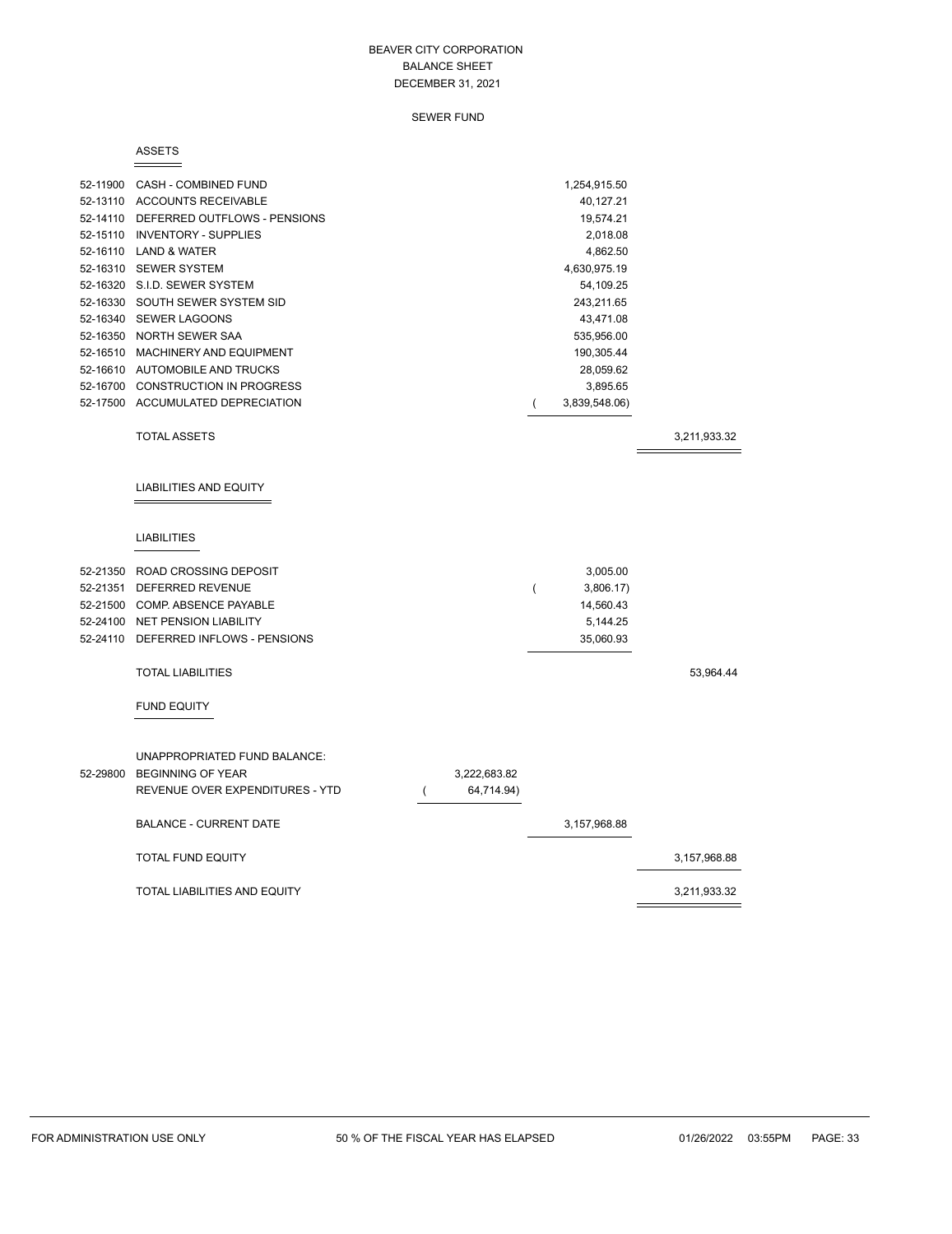SEWER FUND

#### ASSETS

|          | 52-11900 CASH - COMBINED FUND<br>52-13110 ACCOUNTS RECEIVABLE<br>52-14110 DEFERRED OUTFLOWS - PENSIONS<br>52-15110 INVENTORY - SUPPLIES<br>52-16110 LAND & WATER<br>52-16310 SEWER SYSTEM<br>52-16320 S.I.D. SEWER SYSTEM<br>52-16330 SOUTH SEWER SYSTEM SID<br>52-16340 SEWER LAGOONS<br>52-16350 NORTH SEWER SAA<br>52-16510 MACHINERY AND EQUIPMENT<br>52-16610 AUTOMOBILE AND TRUCKS<br>52-16700 CONSTRUCTION IN PROGRESS<br>52-17500 ACCUMULATED DEPRECIATION |          |                            | (              | 1,254,915.50<br>40,127.21<br>19,574.21<br>2,018.08<br>4,862.50<br>4,630,975.19<br>54,109.25<br>243,211.65<br>43,471.08<br>535,956.00<br>190,305.44<br>28,059.62<br>3,895.65<br>3,839,548.06) |              |
|----------|--------------------------------------------------------------------------------------------------------------------------------------------------------------------------------------------------------------------------------------------------------------------------------------------------------------------------------------------------------------------------------------------------------------------------------------------------------------------|----------|----------------------------|----------------|----------------------------------------------------------------------------------------------------------------------------------------------------------------------------------------------|--------------|
|          | <b>TOTAL ASSETS</b>                                                                                                                                                                                                                                                                                                                                                                                                                                                |          |                            |                |                                                                                                                                                                                              | 3,211,933.32 |
|          | <b>LIABILITIES AND EQUITY</b><br><b>LIABILITIES</b><br>52-21350 ROAD CROSSING DEPOSIT<br>52-21351 DEFERRED REVENUE<br>52-21500 COMP. ABSENCE PAYABLE<br>52-24100 NET PENSION LIABILITY<br>52-24110 DEFERRED INFLOWS - PENSIONS<br><b>TOTAL LIABILITIES</b><br><b>FUND EQUITY</b>                                                                                                                                                                                   |          |                            | $\overline{(}$ | 3,005.00<br>3,806.17)<br>14,560.43<br>5,144.25<br>35,060.93                                                                                                                                  | 53,964.44    |
| 52-29800 | UNAPPROPRIATED FUND BALANCE:<br>BEGINNING OF YEAR<br>REVENUE OVER EXPENDITURES - YTD<br><b>BALANCE - CURRENT DATE</b>                                                                                                                                                                                                                                                                                                                                              | $\left($ | 3,222,683.82<br>64,714.94) |                | 3,157,968.88                                                                                                                                                                                 |              |
|          | <b>TOTAL FUND EQUITY</b>                                                                                                                                                                                                                                                                                                                                                                                                                                           |          |                            |                |                                                                                                                                                                                              | 3,157,968.88 |
|          | TOTAL LIABILITIES AND EQUITY                                                                                                                                                                                                                                                                                                                                                                                                                                       |          |                            |                |                                                                                                                                                                                              | 3,211,933.32 |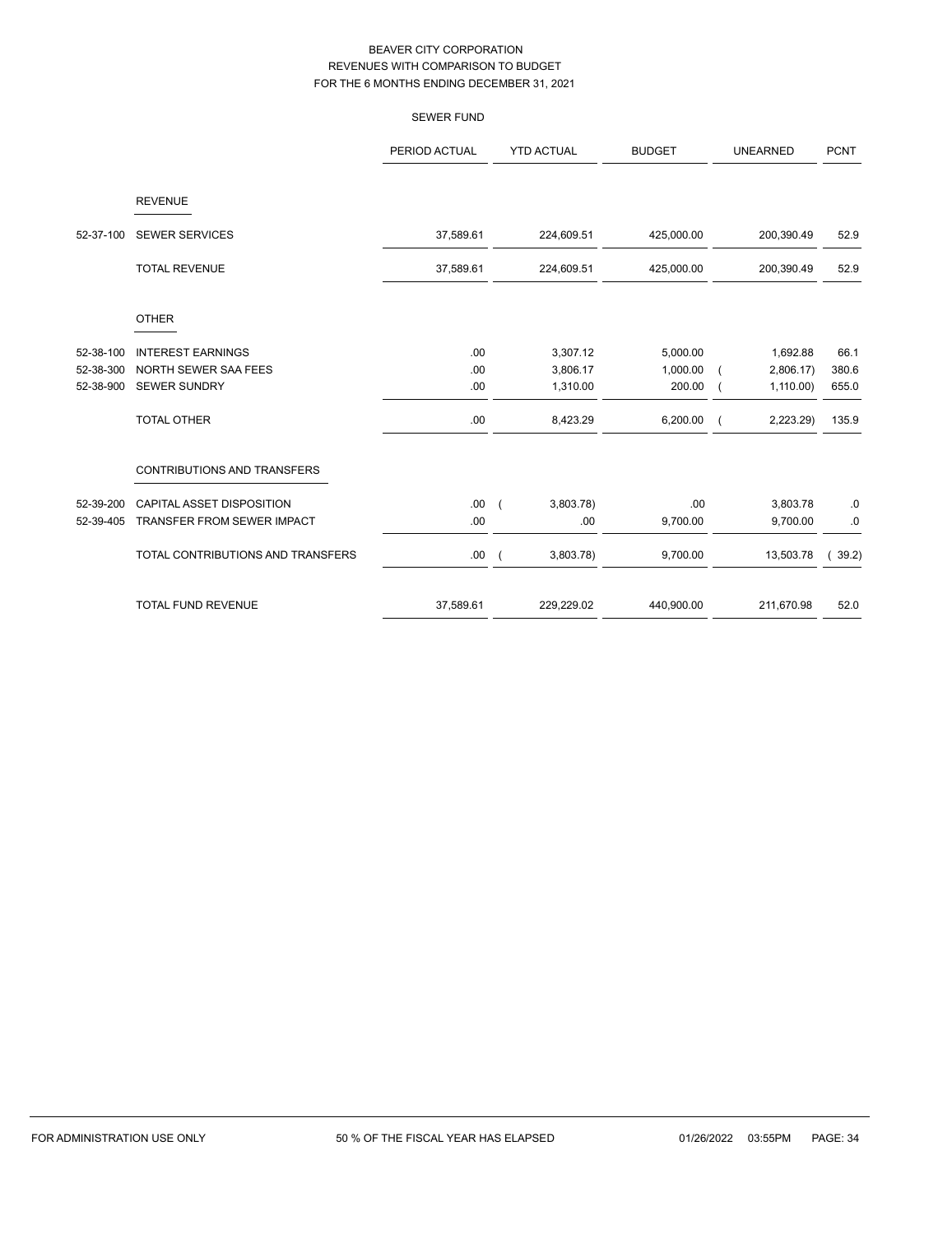|           |                                   | <b>SEWER FUND</b> |                             |               |                 |             |
|-----------|-----------------------------------|-------------------|-----------------------------|---------------|-----------------|-------------|
|           |                                   | PERIOD ACTUAL     | <b>YTD ACTUAL</b>           | <b>BUDGET</b> | <b>UNEARNED</b> | <b>PCNT</b> |
|           | <b>REVENUE</b>                    |                   |                             |               |                 |             |
| 52-37-100 | <b>SEWER SERVICES</b>             | 37,589.61         | 224,609.51                  | 425,000.00    | 200,390.49      | 52.9        |
|           | <b>TOTAL REVENUE</b>              | 37,589.61         | 224,609.51                  | 425,000.00    | 200,390.49      | 52.9        |
|           | <b>OTHER</b>                      |                   |                             |               |                 |             |
| 52-38-100 | <b>INTEREST EARNINGS</b>          | .00               | 3,307.12                    | 5,000.00      | 1,692.88        | 66.1        |
| 52-38-300 | NORTH SEWER SAA FEES              | .00               | 3,806.17                    | 1,000.00      | 2,806.17        | 380.6       |
| 52-38-900 | <b>SEWER SUNDRY</b>               | .00.              | 1,310.00                    | 200.00        | 1,110.00        | 655.0       |
|           | <b>TOTAL OTHER</b>                | .00               | 8,423.29                    | 6,200.00      | 2,223.29)       | 135.9       |
|           | CONTRIBUTIONS AND TRANSFERS       |                   |                             |               |                 |             |
| 52-39-200 | CAPITAL ASSET DISPOSITION         | .00.              | 3,803.78)<br>$\overline{ }$ | .00           | 3,803.78        | $.0\,$      |
| 52-39-405 | TRANSFER FROM SEWER IMPACT        | .00               | .00                         | 9,700.00      | 9,700.00        | .0          |
|           | TOTAL CONTRIBUTIONS AND TRANSFERS | .00               | 3,803.78)<br>$\overline{ }$ | 9,700.00      | 13,503.78       | 39.2)       |
|           | <b>TOTAL FUND REVENUE</b>         | 37,589.61         | 229,229.02                  | 440,900.00    | 211,670.98      | 52.0        |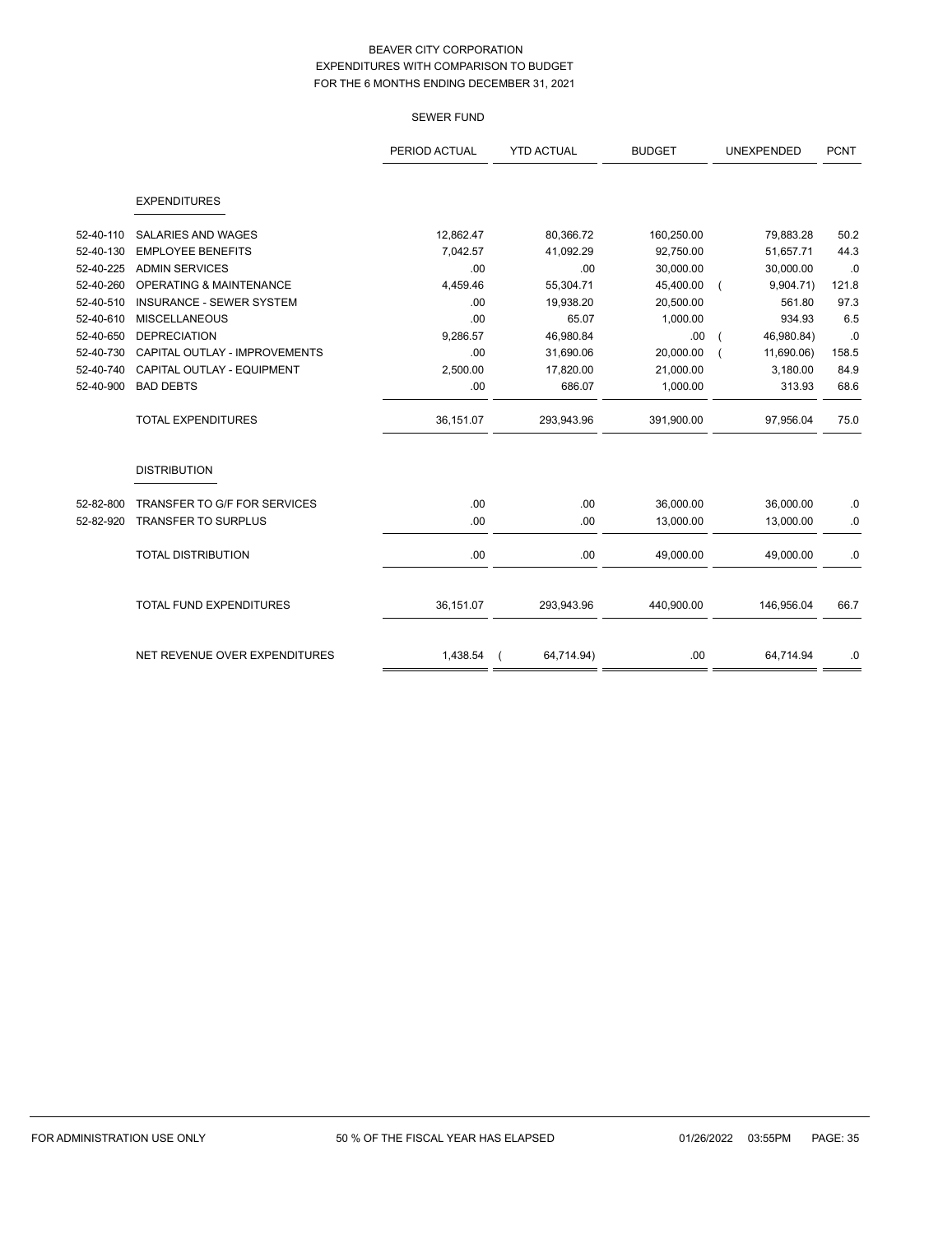SEWER FUND

|           |                                 | PERIOD ACTUAL | <b>YTD ACTUAL</b> | <b>BUDGET</b> | UNEXPENDED | <b>PCNT</b> |
|-----------|---------------------------------|---------------|-------------------|---------------|------------|-------------|
|           | <b>EXPENDITURES</b>             |               |                   |               |            |             |
| 52-40-110 | <b>SALARIES AND WAGES</b>       | 12,862.47     | 80,366.72         | 160,250.00    | 79,883.28  | 50.2        |
| 52-40-130 | <b>EMPLOYEE BENEFITS</b>        | 7.042.57      | 41,092.29         | 92,750.00     | 51,657.71  | 44.3        |
| 52-40-225 | <b>ADMIN SERVICES</b>           | .00           | .00               | 30,000.00     | 30,000.00  | .0          |
| 52-40-260 | OPERATING & MAINTENANCE         | 4,459.46      | 55,304.71         | 45,400.00     | 9,904.71)  | 121.8       |
| 52-40-510 | <b>INSURANCE - SEWER SYSTEM</b> | .00           | 19,938.20         | 20,500.00     | 561.80     | 97.3        |
| 52-40-610 | <b>MISCELLANEOUS</b>            | .00           | 65.07             | 1,000.00      | 934.93     | 6.5         |
| 52-40-650 | <b>DEPRECIATION</b>             | 9,286.57      | 46,980.84         | .00           | 46,980.84) | .0          |
| 52-40-730 | CAPITAL OUTLAY - IMPROVEMENTS   | .00           | 31,690.06         | 20,000.00     | 11,690.06) | 158.5       |
| 52-40-740 | CAPITAL OUTLAY - EQUIPMENT      | 2,500.00      | 17,820.00         | 21,000.00     | 3,180.00   | 84.9        |
| 52-40-900 | <b>BAD DEBTS</b>                | .00           | 686.07            | 1,000.00      | 313.93     | 68.6        |
|           | <b>TOTAL EXPENDITURES</b>       | 36,151.07     | 293,943.96        | 391,900.00    | 97,956.04  | 75.0        |
|           | <b>DISTRIBUTION</b>             |               |                   |               |            |             |
| 52-82-800 | TRANSFER TO G/F FOR SERVICES    | .00.          | .00               | 36,000.00     | 36,000.00  | $\cdot$ 0   |
| 52-82-920 | <b>TRANSFER TO SURPLUS</b>      | .00           | .00               | 13,000.00     | 13,000.00  | $\cdot$ 0   |
|           | <b>TOTAL DISTRIBUTION</b>       | .00.          | .00               | 49,000.00     | 49,000.00  | $\cdot$ 0   |
|           | <b>TOTAL FUND EXPENDITURES</b>  | 36,151.07     | 293,943.96        | 440,900.00    | 146,956.04 | 66.7        |
|           | NET REVENUE OVER EXPENDITURES   | 1,438.54      | 64,714.94)        | .00           | 64,714.94  | .0          |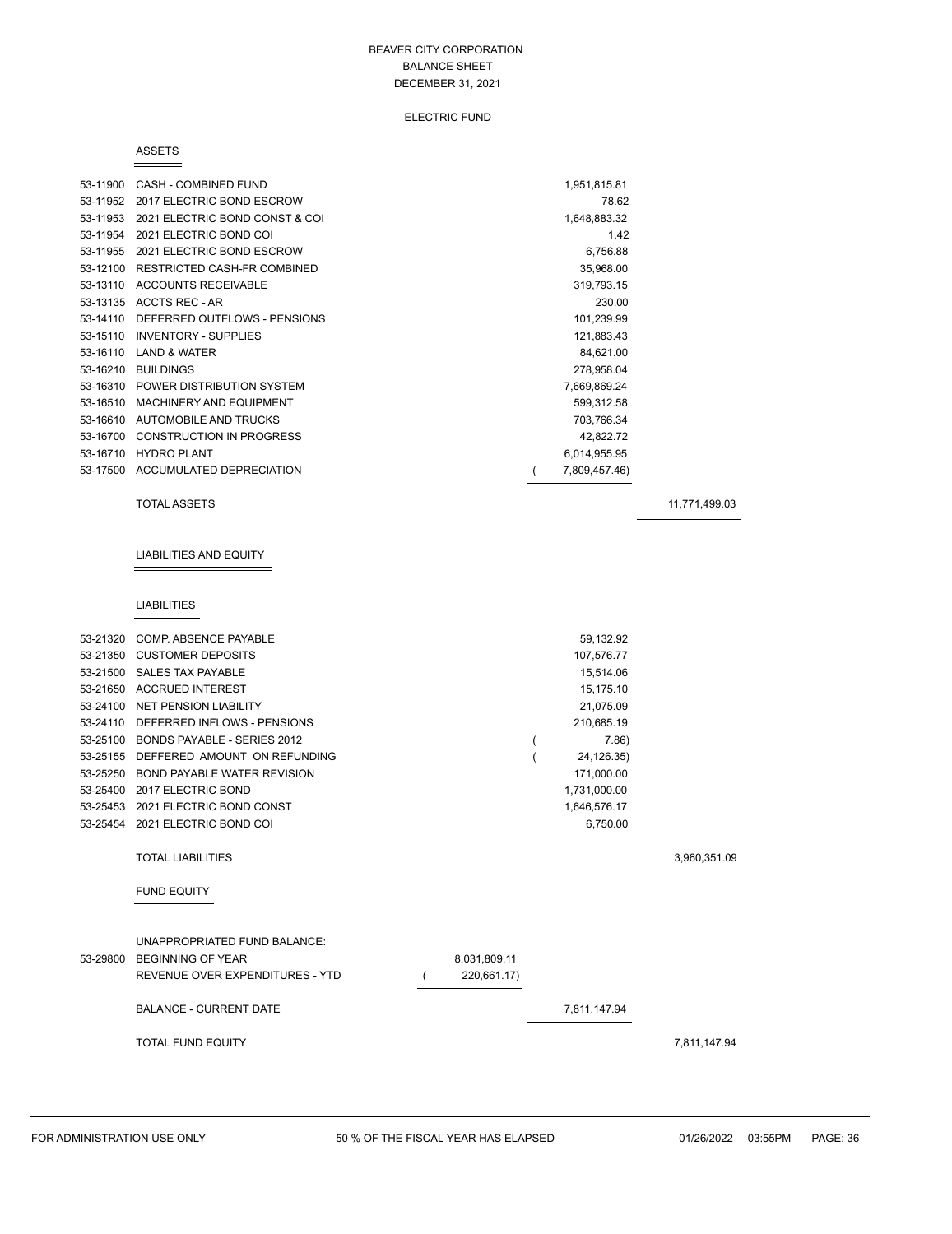#### ELECTRIC FUND

#### ASSETS

| 53-11900 | CASH - COMBINED FUND            | 1,951,815.81  |  |
|----------|---------------------------------|---------------|--|
| 53-11952 | 2017 ELECTRIC BOND ESCROW       | 78.62         |  |
| 53-11953 | 2021 ELECTRIC BOND CONST & COI  | 1,648,883.32  |  |
| 53-11954 | 2021 ELECTRIC BOND COI          | 1.42          |  |
| 53-11955 | 2021 ELECTRIC BOND ESCROW       | 6.756.88      |  |
| 53-12100 | RESTRICTED CASH-FR COMBINED     | 35,968.00     |  |
| 53-13110 | <b>ACCOUNTS RECEIVABLE</b>      | 319,793.15    |  |
| 53-13135 | ACCTS REC - AR                  | 230.00        |  |
| 53-14110 | DEFERRED OUTFLOWS - PENSIONS    | 101,239.99    |  |
| 53-15110 | <b>INVENTORY - SUPPLIES</b>     | 121,883.43    |  |
| 53-16110 | <b>LAND &amp; WATER</b>         | 84,621.00     |  |
| 53-16210 | <b>BUILDINGS</b>                | 278,958.04    |  |
| 53-16310 | POWER DISTRIBUTION SYSTEM       | 7,669,869.24  |  |
| 53-16510 | <b>MACHINERY AND EQUIPMENT</b>  | 599,312.58    |  |
| 53-16610 | AUTOMOBILE AND TRUCKS           | 703,766.34    |  |
| 53-16700 | <b>CONSTRUCTION IN PROGRESS</b> | 42,822.72     |  |
| 53-16710 | <b>HYDRO PLANT</b>              | 6,014,955.95  |  |
| 53-17500 | ACCUMULATED DEPRECIATION        | 7,809,457.46) |  |

#### TOTAL ASSETS 11,771,499.03

# LIABILITIES AND EQUITY

#### LIABILITIES

| 53-21320 | COMP. ABSENCE PAYABLE              | 59,132.92    |              |
|----------|------------------------------------|--------------|--------------|
| 53-21350 | <b>CUSTOMER DEPOSITS</b>           | 107,576.77   |              |
| 53-21500 | <b>SALES TAX PAYABLE</b>           | 15,514.06    |              |
| 53-21650 | <b>ACCRUED INTEREST</b>            | 15,175.10    |              |
| 53-24100 | <b>NET PENSION LIABILITY</b>       | 21,075.09    |              |
| 53-24110 | DEFERRED INFLOWS - PENSIONS        | 210,685.19   |              |
| 53-25100 | BONDS PAYABLE - SERIES 2012        | 7.86         |              |
| 53-25155 | DEFFERED AMOUNT ON REFUNDING       | 24,126.35)   |              |
| 53-25250 | <b>BOND PAYABLE WATER REVISION</b> | 171,000.00   |              |
| 53-25400 | 2017 ELECTRIC BOND                 | 1,731,000.00 |              |
| 53-25453 | 2021 ELECTRIC BOND CONST           | 1,646,576.17 |              |
| 53-25454 | 2021 ELECTRIC BOND COI             | 6,750.00     |              |
|          | <b>TOTAL LIABILITIES</b>           |              | 3,960,351.09 |
|          | <b>FUND EQUITY</b>                 |              |              |
|          |                                    |              |              |
|          |                                    |              |              |

# UNAPPROPRIATED FUND BALANCE: 53-29800 BEGINNING OF YEAR 8,031,809.11

REVENUE OVER EXPENDITURES - YTD  $(220,661.17)$ 

BALANCE - CURRENT DATE 7,811,147.94

TOTAL FUND EQUITY 7,811,147.94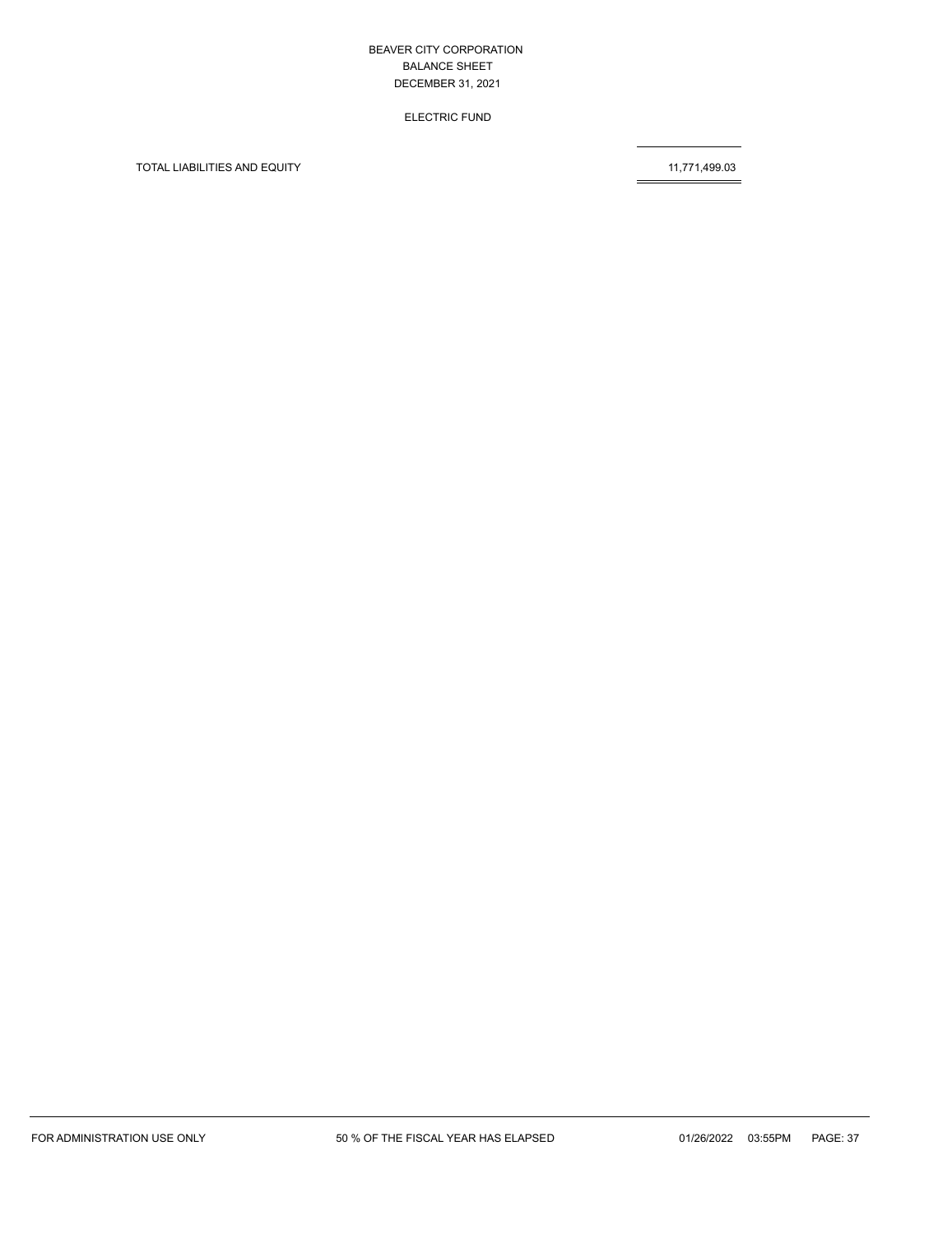ELECTRIC FUND

TOTAL LIABILITIES AND EQUITY 11,771,499.03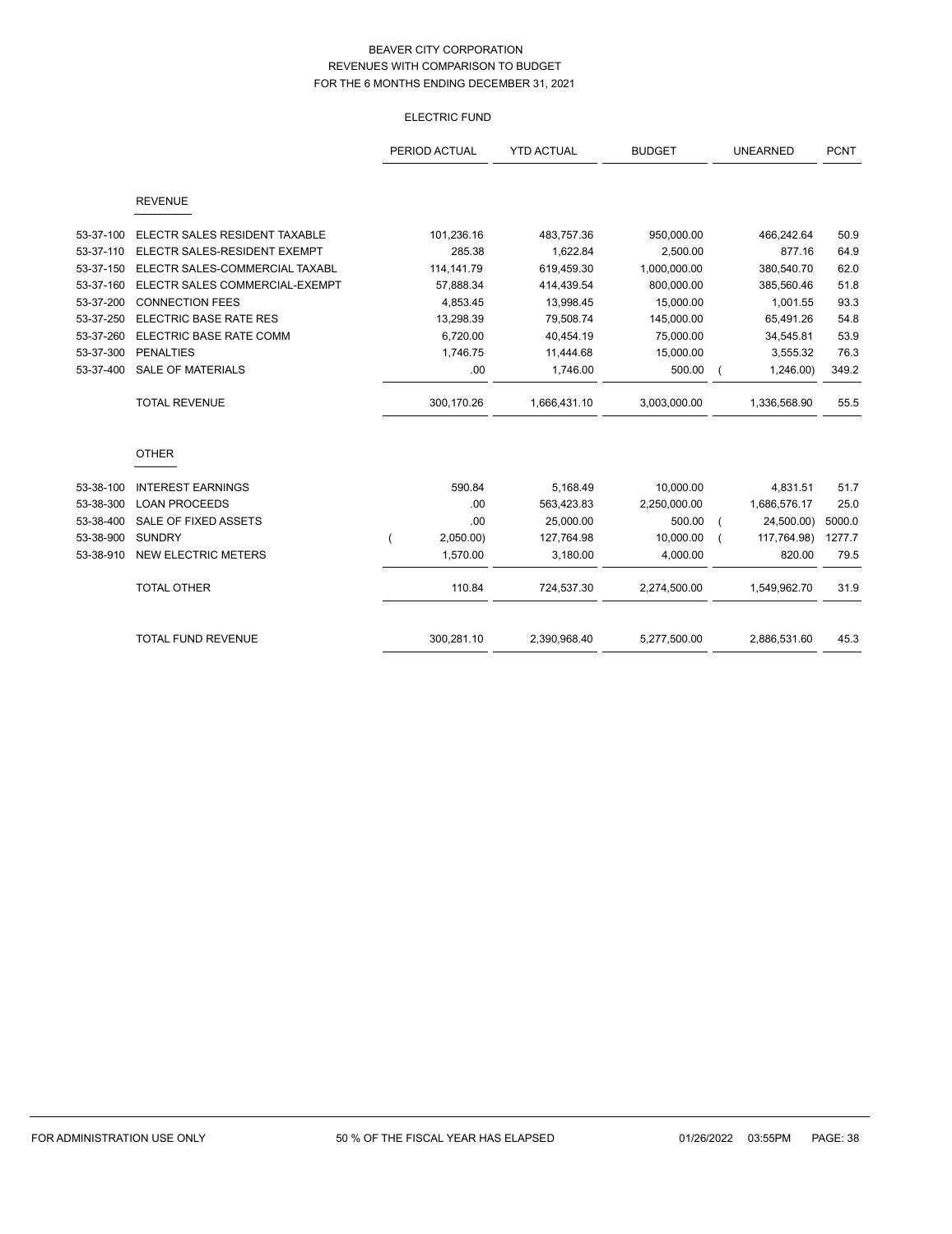# ELECTRIC FUND

|           |                                | PERIOD ACTUAL | <b>YTD ACTUAL</b> | <b>BUDGET</b> | <b>UNEARNED</b> | <b>PCNT</b> |
|-----------|--------------------------------|---------------|-------------------|---------------|-----------------|-------------|
|           | <b>REVENUE</b>                 |               |                   |               |                 |             |
| 53-37-100 | ELECTR SALES RESIDENT TAXABLE  | 101,236.16    | 483,757.36        | 950,000.00    | 466,242.64      | 50.9        |
| 53-37-110 | ELECTR SALES-RESIDENT EXEMPT   | 285.38        | 1,622.84          | 2,500.00      | 877.16          | 64.9        |
| 53-37-150 | ELECTR SALES-COMMERCIAL TAXABL | 114, 141. 79  | 619,459.30        | 1,000,000.00  | 380,540.70      | 62.0        |
| 53-37-160 | ELECTR SALES COMMERCIAL-EXEMPT | 57,888.34     | 414,439.54        | 800,000.00    | 385,560.46      | 51.8        |
| 53-37-200 | <b>CONNECTION FEES</b>         | 4,853.45      | 13,998.45         | 15,000.00     | 1,001.55        | 93.3        |
| 53-37-250 | ELECTRIC BASE RATE RES         | 13,298.39     | 79,508.74         | 145,000.00    | 65,491.26       | 54.8        |
| 53-37-260 | ELECTRIC BASE RATE COMM        | 6,720.00      | 40,454.19         | 75,000.00     | 34,545.81       | 53.9        |
| 53-37-300 | <b>PENALTIES</b>               | 1,746.75      | 11,444.68         | 15,000.00     | 3,555.32        | 76.3        |
| 53-37-400 | <b>SALE OF MATERIALS</b>       | .00           | 1,746.00          | 500.00        | 1,246.00        | 349.2       |
|           | <b>TOTAL REVENUE</b>           | 300,170.26    | 1,666,431.10      | 3,003,000.00  | 1,336,568.90    | 55.5        |
|           | <b>OTHER</b>                   |               |                   |               |                 |             |
| 53-38-100 | <b>INTEREST EARNINGS</b>       | 590.84        | 5,168.49          | 10,000.00     | 4,831.51        | 51.7        |
| 53-38-300 | <b>LOAN PROCEEDS</b>           | .00           | 563,423.83        | 2,250,000.00  | 1,686,576.17    | 25.0        |
| 53-38-400 | SALE OF FIXED ASSETS           | .00           | 25,000.00         | 500.00        | 24,500.00)      | 5000.0      |
| 53-38-900 | <b>SUNDRY</b>                  | 2,050.00)     | 127,764.98        | 10,000.00     | 117,764.98)     | 1277.7      |
| 53-38-910 | <b>NEW ELECTRIC METERS</b>     | 1,570.00      | 3,180.00          | 4,000.00      | 820.00          | 79.5        |
|           | <b>TOTAL OTHER</b>             | 110.84        | 724,537.30        | 2,274,500.00  | 1,549,962.70    | 31.9        |
|           | <b>TOTAL FUND REVENUE</b>      | 300,281.10    | 2,390,968.40      | 5,277,500.00  | 2,886,531.60    | 45.3        |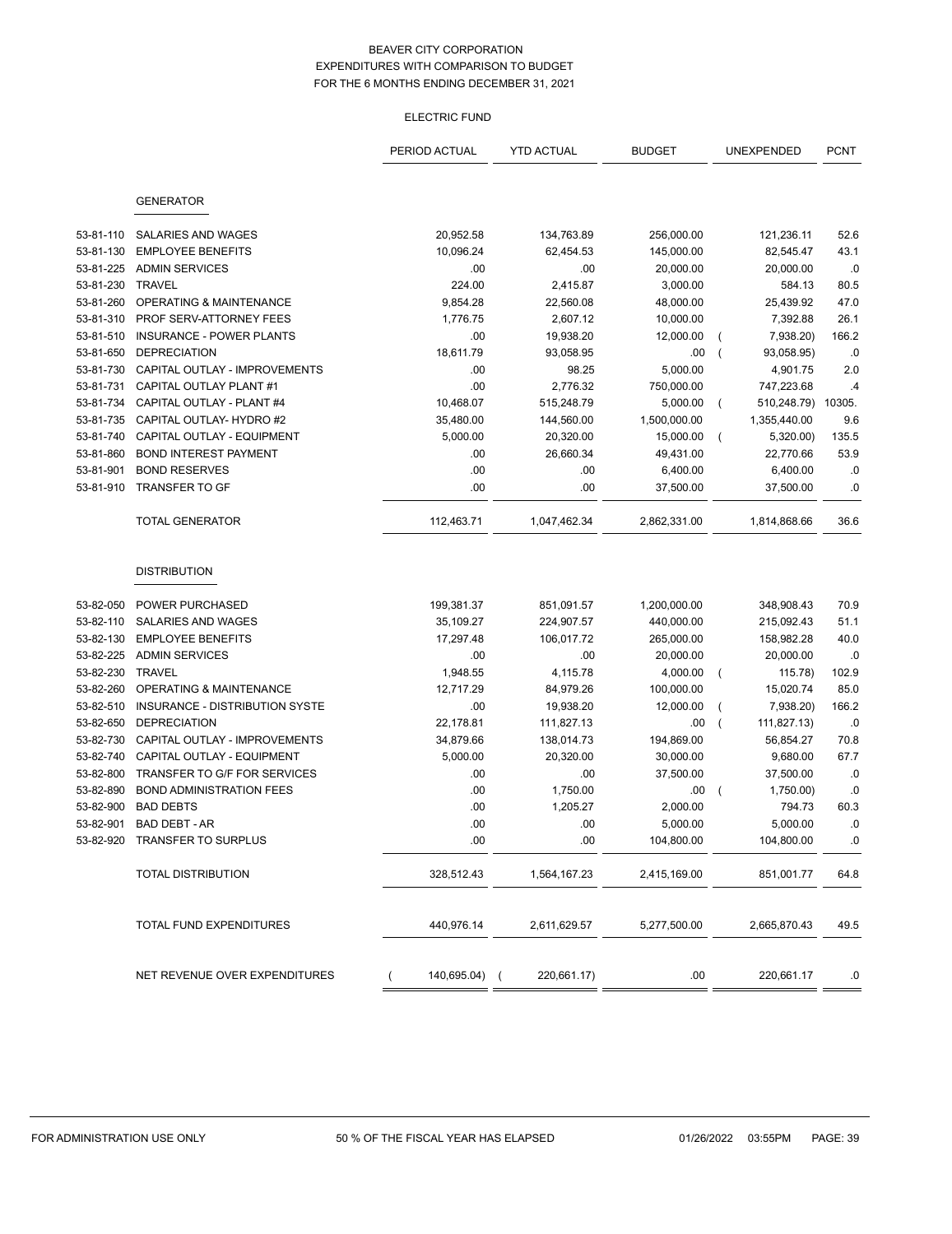# ELECTRIC FUND

|           |                                    | PERIOD ACTUAL | <b>YTD ACTUAL</b> | <b>BUDGET</b> |                | UNEXPENDED         | <b>PCNT</b>   |
|-----------|------------------------------------|---------------|-------------------|---------------|----------------|--------------------|---------------|
|           |                                    |               |                   |               |                |                    |               |
|           |                                    |               |                   |               |                |                    |               |
|           | <b>GENERATOR</b>                   |               |                   |               |                |                    |               |
| 53-81-110 | <b>SALARIES AND WAGES</b>          | 20,952.58     | 134,763.89        | 256,000.00    |                | 121,236.11         | 52.6          |
| 53-81-130 | <b>EMPLOYEE BENEFITS</b>           | 10,096.24     | 62,454.53         | 145,000.00    |                | 82,545.47          | 43.1          |
| 53-81-225 | <b>ADMIN SERVICES</b>              | .00           | .00               | 20,000.00     |                | 20,000.00          | .0            |
| 53-81-230 | TRAVEL                             | 224.00        | 2,415.87          | 3,000.00      |                | 584.13             | 80.5          |
| 53-81-260 | <b>OPERATING &amp; MAINTENANCE</b> | 9,854.28      | 22,560.08         | 48,000.00     |                | 25,439.92          | 47.0          |
| 53-81-310 | PROF SERV-ATTORNEY FEES            | 1,776.75      | 2,607.12          | 10,000.00     |                | 7,392.88           | 26.1          |
| 53-81-510 | <b>INSURANCE - POWER PLANTS</b>    | .00           | 19,938.20         | 12,000.00     | (              | 7,938.20)          | 166.2         |
| 53-81-650 | <b>DEPRECIATION</b>                | 18,611.79     | 93,058.95         | .00           | $\overline{ }$ | 93,058.95)         | .0            |
| 53-81-730 | CAPITAL OUTLAY - IMPROVEMENTS      | .00           | 98.25             | 5,000.00      |                | 4,901.75           | 2.0           |
| 53-81-731 | CAPITAL OUTLAY PLANT #1            | .00           | 2,776.32          | 750,000.00    |                | 747,223.68         | $\mathcal{A}$ |
| 53-81-734 | CAPITAL OUTLAY - PLANT #4          | 10,468.07     | 515,248.79        | 5,000.00      | $\overline{ }$ | 510,248.79) 10305. |               |
| 53-81-735 | CAPITAL OUTLAY- HYDRO #2           | 35,480.00     | 144,560.00        | 1,500,000.00  |                | 1,355,440.00       | 9.6           |
| 53-81-740 | CAPITAL OUTLAY - EQUIPMENT         | 5,000.00      | 20,320.00         | 15,000.00     |                | 5,320.00)          | 135.5         |
| 53-81-860 | <b>BOND INTEREST PAYMENT</b>       | .00           | 26,660.34         | 49,431.00     |                | 22,770.66          | 53.9          |
| 53-81-901 | <b>BOND RESERVES</b>               | .00           | .00               | 6,400.00      |                | 6,400.00           | .0            |
| 53-81-910 | <b>TRANSFER TO GF</b>              | .00           | .00               | 37,500.00     |                | 37,500.00          | .0            |
|           | <b>TOTAL GENERATOR</b>             | 112,463.71    | 1,047,462.34      | 2,862,331.00  |                | 1,814,868.66       | 36.6          |
|           |                                    |               |                   |               |                |                    |               |
|           | <b>DISTRIBUTION</b>                |               |                   |               |                |                    |               |
|           |                                    |               |                   |               |                |                    |               |
| 53-82-050 | <b>POWER PURCHASED</b>             | 199,381.37    | 851,091.57        | 1,200,000.00  |                | 348,908.43         | 70.9          |
| 53-82-110 | SALARIES AND WAGES                 | 35,109.27     | 224,907.57        | 440,000.00    |                | 215,092.43         | 51.1          |
| 53-82-130 | <b>EMPLOYEE BENEFITS</b>           | 17,297.48     | 106,017.72        | 265,000.00    |                | 158,982.28         | 40.0          |
| 53-82-225 | <b>ADMIN SERVICES</b>              | .00           | .00               | 20,000.00     |                | 20,000.00          | .0            |
| 53-82-230 | <b>TRAVEL</b>                      | 1,948.55      | 4,115.78          | 4,000.00      | $\overline{ }$ | 115.78)            | 102.9         |
| 53-82-260 | OPERATING & MAINTENANCE            | 12,717.29     | 84,979.26         | 100,000.00    |                | 15,020.74          | 85.0          |
| 53-82-510 | INSURANCE - DISTRIBUTION SYSTE     | .00           | 19,938.20         | 12,000.00     | $\overline{ }$ | 7,938.20)          | 166.2         |
| 53-82-650 | <b>DEPRECIATION</b>                | 22,178.81     | 111,827.13        | .00           | $\overline{ }$ | 111,827.13)        | .0            |
| 53-82-730 | CAPITAL OUTLAY - IMPROVEMENTS      | 34,879.66     | 138,014.73        | 194,869.00    |                | 56,854.27          | 70.8          |
| 53-82-740 | CAPITAL OUTLAY - EQUIPMENT         | 5,000.00      | 20,320.00         | 30,000.00     |                | 9,680.00           | 67.7          |
| 53-82-800 | TRANSFER TO G/F FOR SERVICES       | .00           | .00               | 37,500.00     |                | 37,500.00          | .0            |
| 53-82-890 | <b>BOND ADMINISTRATION FEES</b>    | .00           | 1,750.00          | .00           |                | 1,750.00)          | .0            |
| 53-82-900 | <b>BAD DEBTS</b>                   | .00           | 1,205.27          | 2,000.00      |                | 794.73             | 60.3          |
| 53-82-901 | BAD DEBT - AR                      | .00           | .00               | 5,000.00      |                | 5,000.00           | $\cdot$ 0     |
|           | 53-82-920 TRANSFER TO SURPLUS      | .00           | .00               | 104,800.00    |                | 104,800.00         | .0            |
|           | <b>TOTAL DISTRIBUTION</b>          | 328,512.43    | 1,564,167.23      | 2,415,169.00  |                | 851,001.77         | 64.8          |
|           |                                    |               |                   |               |                |                    |               |
|           | TOTAL FUND EXPENDITURES            | 440,976.14    | 2,611,629.57      | 5,277,500.00  |                | 2,665,870.43       | 49.5          |
|           |                                    |               |                   |               |                |                    |               |
|           | NET REVENUE OVER EXPENDITURES      | 140,695.04) ( | 220,661.17)       | .00           |                | 220,661.17         | .0            |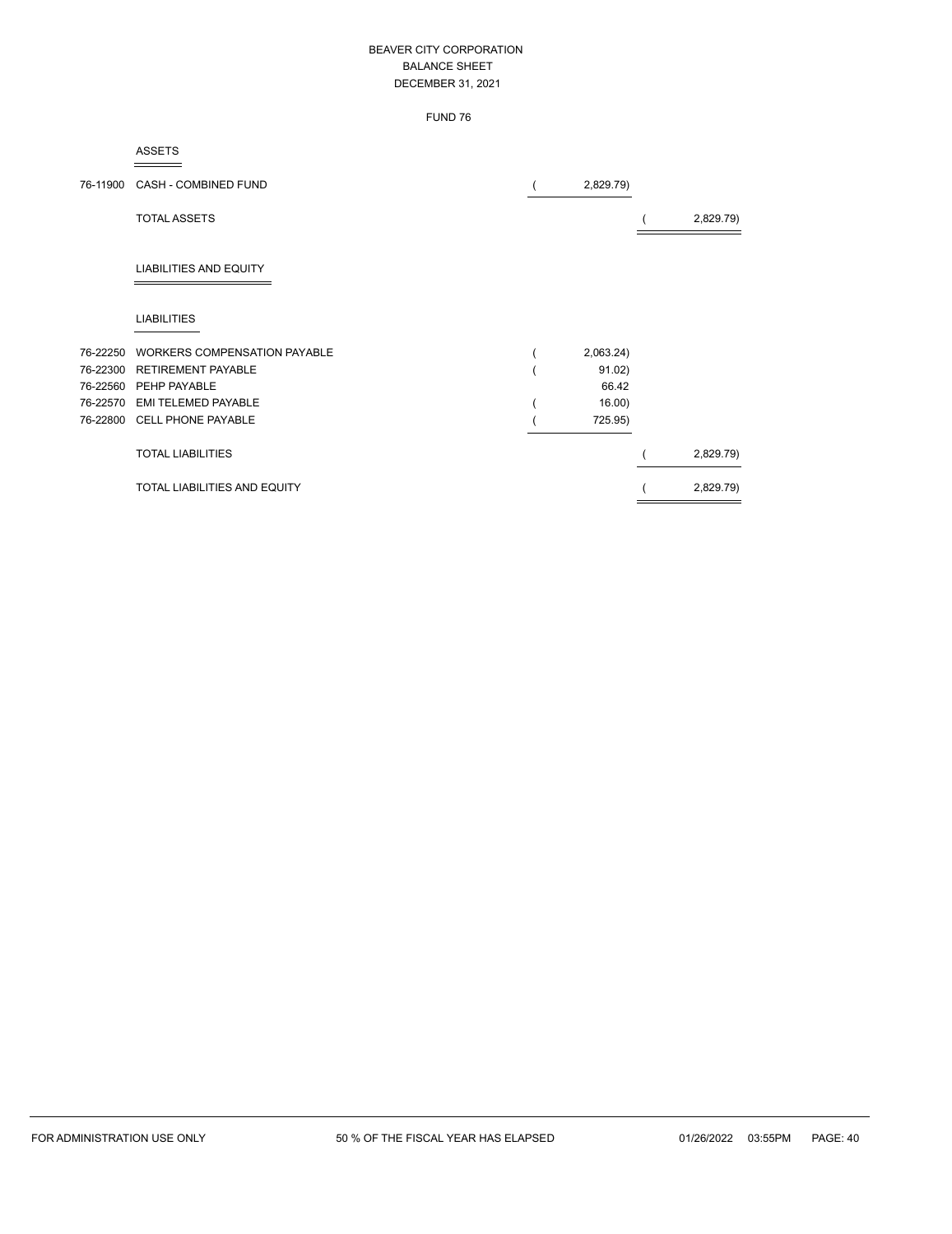# FUND 76

#### ASSETS

| 76-11900 | <b>CASH - COMBINED FUND</b>         | 2,829.79) |           |
|----------|-------------------------------------|-----------|-----------|
|          | <b>TOTAL ASSETS</b>                 |           | 2,829.79) |
|          | <b>LIABILITIES AND EQUITY</b>       |           |           |
|          | <b>LIABILITIES</b>                  |           |           |
| 76-22250 | <b>WORKERS COMPENSATION PAYABLE</b> | 2,063.24) |           |
| 76-22300 | <b>RETIREMENT PAYABLE</b>           | 91.02)    |           |
| 76-22560 | PEHP PAYABLE                        | 66.42     |           |
| 76-22570 | <b>EMI TELEMED PAYABLE</b>          | 16.00     |           |
| 76-22800 | <b>CELL PHONE PAYABLE</b>           | 725.95)   |           |
|          | <b>TOTAL LIABILITIES</b>            |           | 2,829.79) |
|          | <b>TOTAL LIABILITIES AND EQUITY</b> |           | 2,829.79) |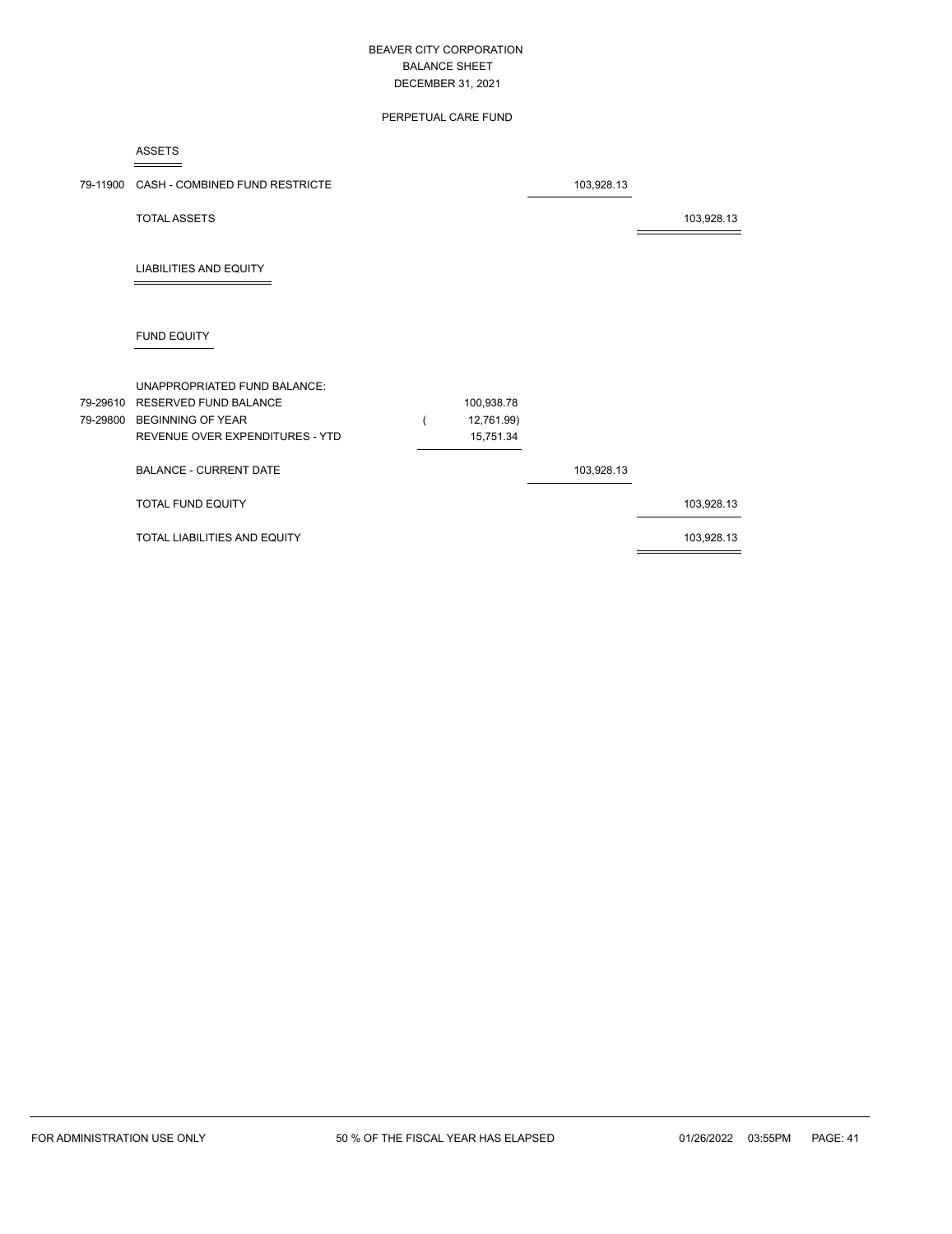## PERPETUAL CARE FUND

ASSETS

| 79-11900 | CASH - COMBINED FUND RESTRICTE                                                                                                |                                       | 103,928.13 |            |
|----------|-------------------------------------------------------------------------------------------------------------------------------|---------------------------------------|------------|------------|
|          | <b>TOTAL ASSETS</b>                                                                                                           |                                       |            | 103,928.13 |
|          | <b>LIABILITIES AND EQUITY</b>                                                                                                 |                                       |            |            |
|          | <b>FUND EQUITY</b>                                                                                                            |                                       |            |            |
| 79-29800 | UNAPPROPRIATED FUND BALANCE:<br>79-29610 RESERVED FUND BALANCE<br><b>BEGINNING OF YEAR</b><br>REVENUE OVER EXPENDITURES - YTD | 100,938.78<br>12,761.99)<br>15,751.34 |            |            |
|          | <b>BALANCE - CURRENT DATE</b>                                                                                                 |                                       | 103,928.13 |            |
|          | TOTAL FUND EQUITY                                                                                                             |                                       |            | 103,928.13 |
|          | TOTAL LIABILITIES AND EQUITY                                                                                                  |                                       |            | 103,928.13 |
|          |                                                                                                                               |                                       |            |            |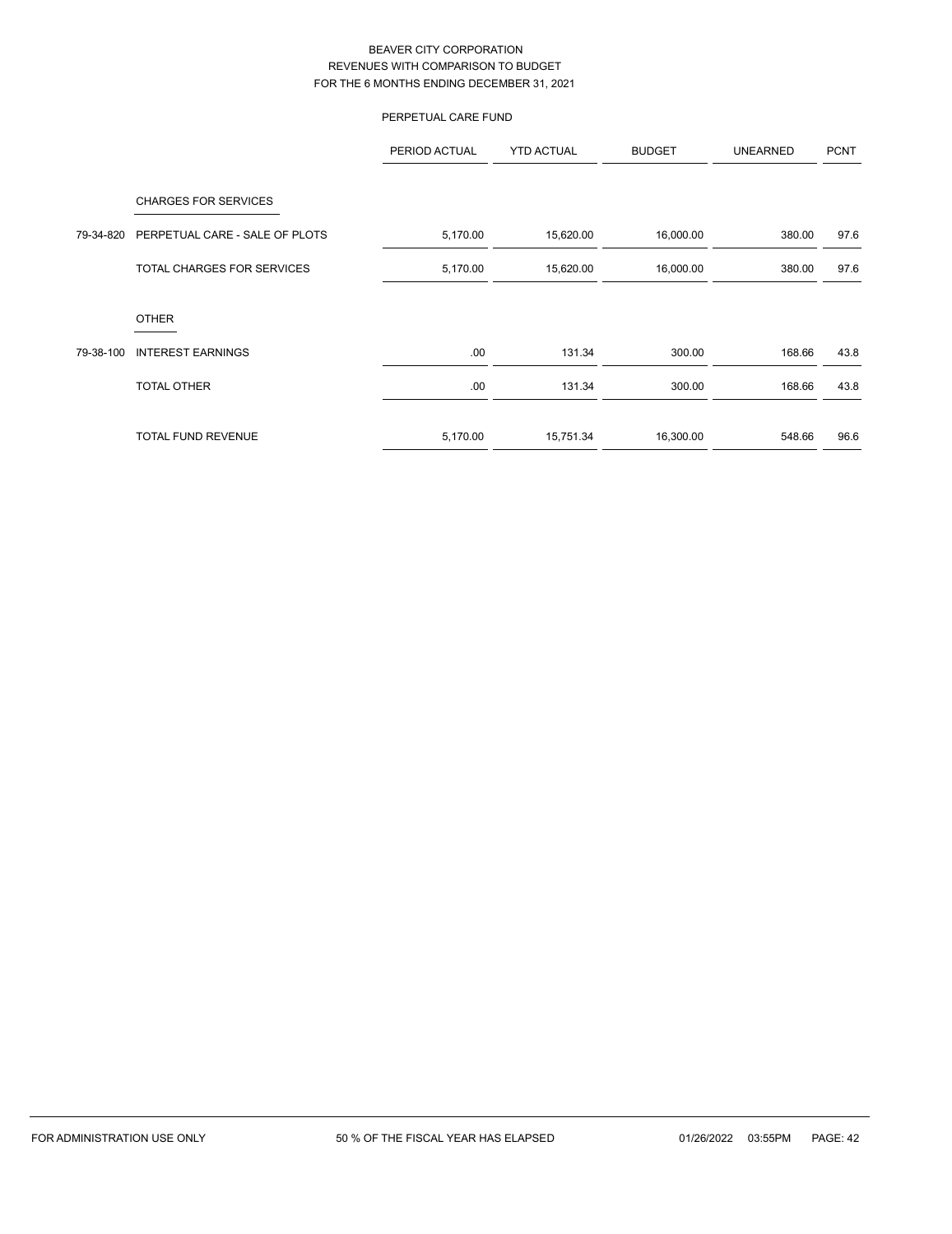# PERPETUAL CARE FUND

|           |                                | PERIOD ACTUAL | <b>YTD ACTUAL</b> | <b>BUDGET</b> | <b>UNEARNED</b> | <b>PCNT</b> |
|-----------|--------------------------------|---------------|-------------------|---------------|-----------------|-------------|
|           | <b>CHARGES FOR SERVICES</b>    |               |                   |               |                 |             |
| 79-34-820 | PERPETUAL CARE - SALE OF PLOTS | 5,170.00      | 15,620.00         | 16,000.00     | 380.00          | 97.6        |
|           | TOTAL CHARGES FOR SERVICES     | 5,170.00      | 15,620.00         | 16,000.00     | 380.00          | 97.6        |
|           | <b>OTHER</b>                   |               |                   |               |                 |             |
| 79-38-100 | <b>INTEREST EARNINGS</b>       | .00.          | 131.34            | 300.00        | 168.66          | 43.8        |
|           | <b>TOTAL OTHER</b>             | .00.          | 131.34            | 300.00        | 168.66          | 43.8        |
|           | <b>TOTAL FUND REVENUE</b>      | 5,170.00      | 15,751.34         | 16,300.00     | 548.66          | 96.6        |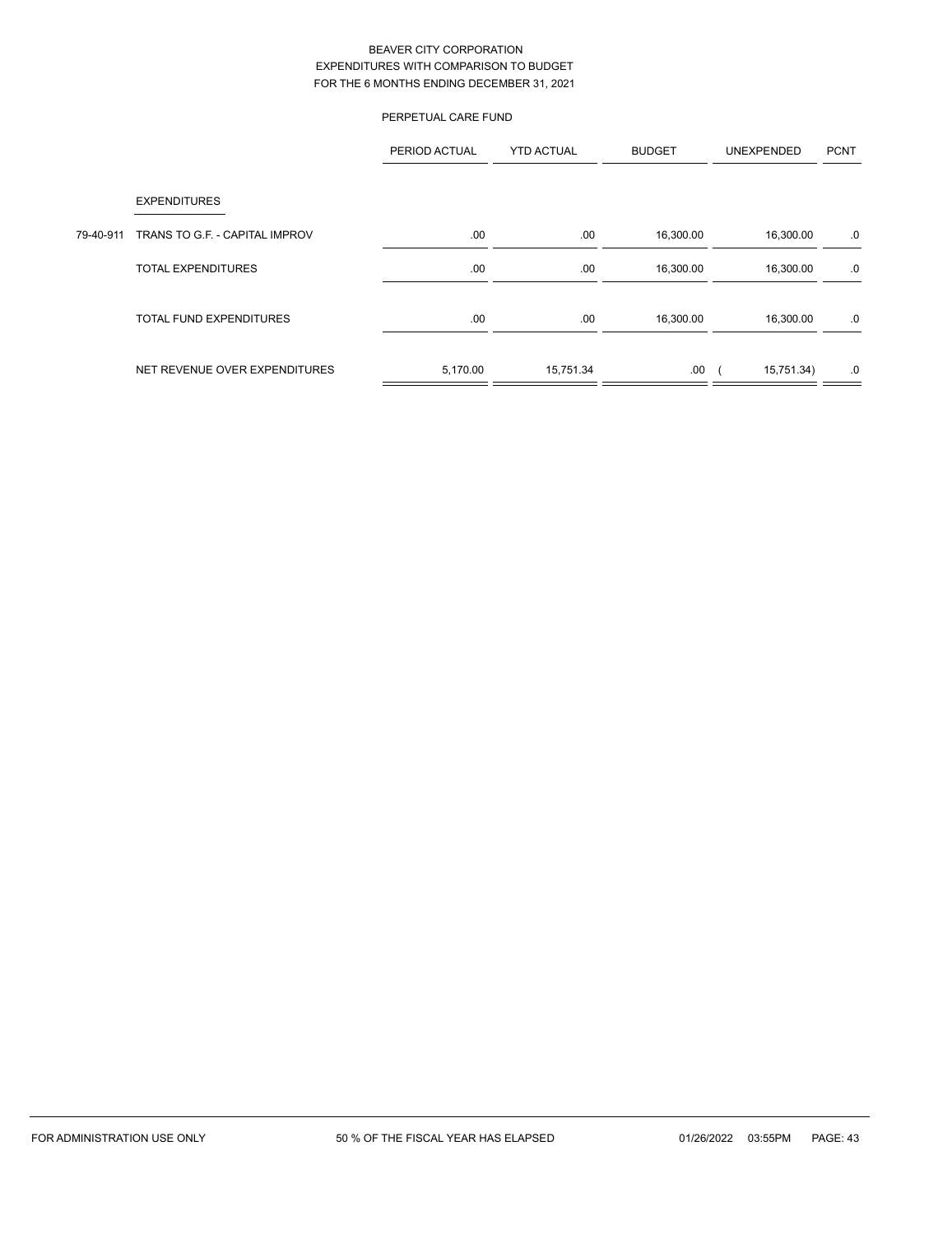|           | PERPETUAL CARE FUND            |               |                   |               |            |             |
|-----------|--------------------------------|---------------|-------------------|---------------|------------|-------------|
|           |                                | PERIOD ACTUAL | <b>YTD ACTUAL</b> | <b>BUDGET</b> | UNEXPENDED | <b>PCNT</b> |
|           | <b>EXPENDITURES</b>            |               |                   |               |            |             |
| 79-40-911 | TRANS TO G.F. - CAPITAL IMPROV | .00.          | .00               | 16,300.00     | 16,300.00  | .0          |
|           | <b>TOTAL EXPENDITURES</b>      | .00.          | .00               | 16,300.00     | 16,300.00  | .0          |
|           | <b>TOTAL FUND EXPENDITURES</b> | .00.          | .00.              | 16,300.00     | 16,300.00  | .0          |
|           | NET REVENUE OVER EXPENDITURES  | 5,170.00      | 15,751.34         | .00.          | 15,751.34) | .0          |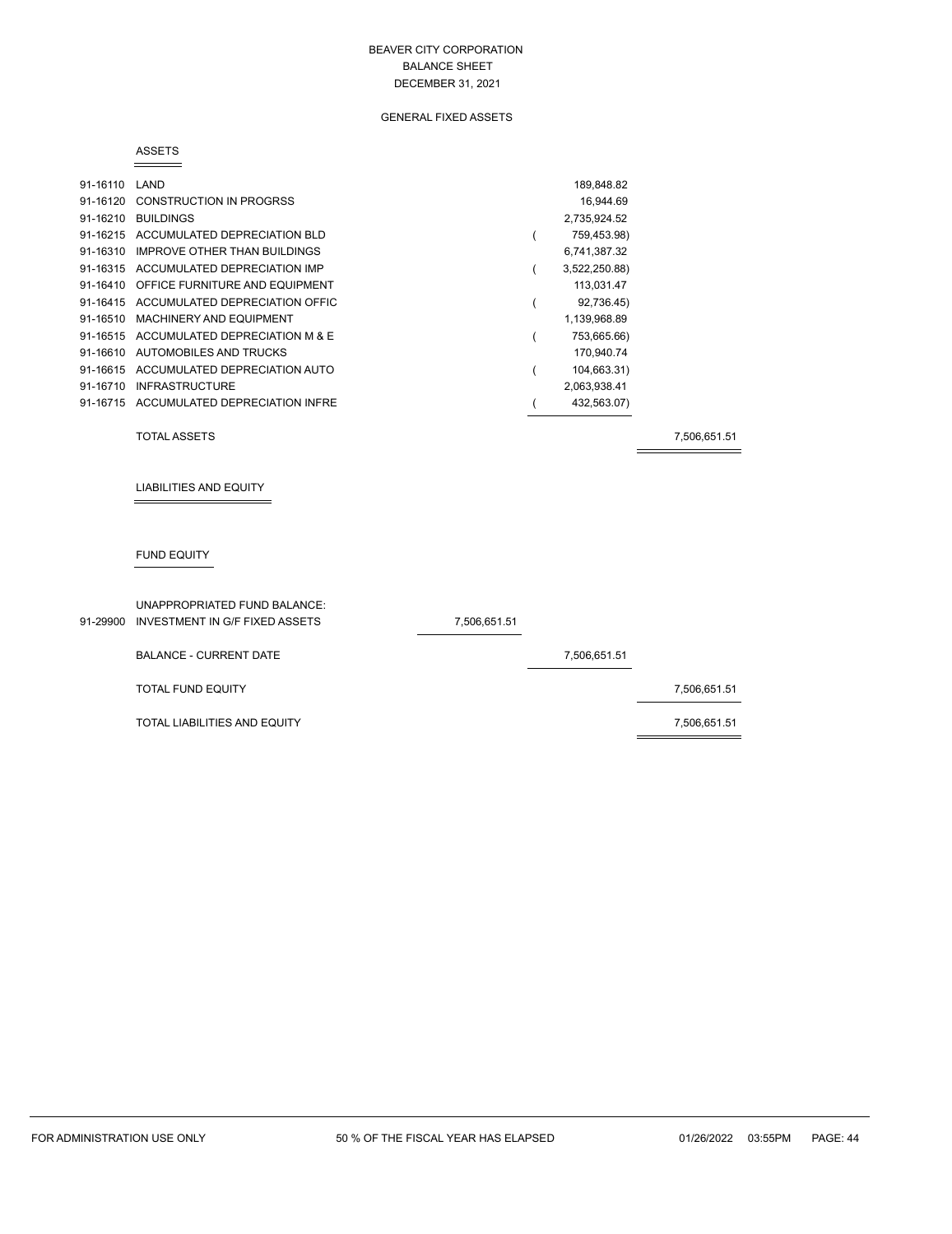## GENERAL FIXED ASSETS

#### ASSETS

| 91-16110 | LAND                                    | 189,848.82    |
|----------|-----------------------------------------|---------------|
| 91-16120 | <b>CONSTRUCTION IN PROGRSS</b>          | 16.944.69     |
| 91-16210 | <b>BUILDINGS</b>                        | 2,735,924.52  |
|          | 91-16215 ACCUMULATED DEPRECIATION BLD   | 759,453.98)   |
| 91-16310 | IMPROVE OTHER THAN BUILDINGS            | 6,741,387.32  |
|          | 91-16315 ACCUMULATED DEPRECIATION IMP   | 3,522,250.88) |
| 91-16410 | OFFICE FURNITURE AND EQUIPMENT          | 113,031.47    |
|          | 91-16415 ACCUMULATED DEPRECIATION OFFIC | 92,736.45)    |
|          | 91-16510 MACHINERY AND EQUIPMENT        | 1,139,968.89  |
|          | 91-16515 ACCUMULATED DEPRECIATION M & E | 753,665.66)   |
| 91-16610 | AUTOMOBILES AND TRUCKS                  | 170,940.74    |
| 91-16615 | ACCUMULATED DEPRECIATION AUTO           | 104,663.31)   |
| 91-16710 | <b>INFRASTRUCTURE</b>                   | 2,063,938.41  |
|          | 91-16715 ACCUMULATED DEPRECIATION INFRE | 432,563.07)   |

TOTAL ASSETS 7,506,651.51

LIABILITIES AND EQUITY

## FUND EQUITY

| UNAPPROPRIATED FUND BALANCE:<br>91-29900 INVESTMENT IN G/F FIXED ASSETS | 7,506,651.51 |              |              |
|-------------------------------------------------------------------------|--------------|--------------|--------------|
| <b>BALANCE - CURRENT DATE</b>                                           |              | 7,506,651.51 |              |
| <b>TOTAL FUND EQUITY</b>                                                |              |              | 7,506,651.51 |
| TOTAL LIABILITIES AND EQUITY                                            |              |              | 7,506,651.51 |